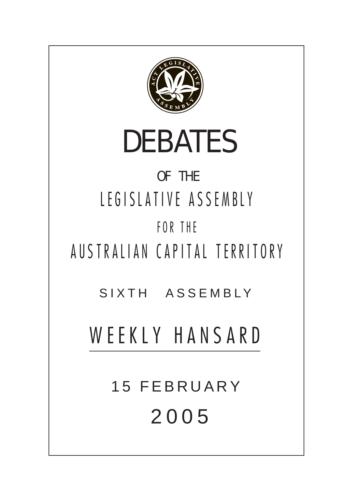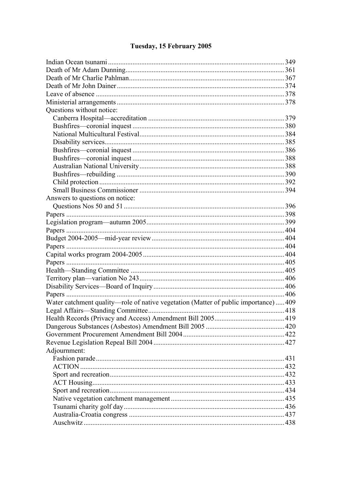# Tuesday, 15 February 2005

| Questions without notice:                                                            |     |
|--------------------------------------------------------------------------------------|-----|
|                                                                                      |     |
|                                                                                      |     |
|                                                                                      |     |
|                                                                                      |     |
|                                                                                      |     |
|                                                                                      |     |
|                                                                                      |     |
|                                                                                      |     |
|                                                                                      |     |
|                                                                                      | 394 |
| Answers to questions on notice:                                                      |     |
|                                                                                      |     |
|                                                                                      |     |
|                                                                                      |     |
|                                                                                      |     |
|                                                                                      |     |
|                                                                                      |     |
|                                                                                      |     |
|                                                                                      |     |
|                                                                                      |     |
|                                                                                      |     |
|                                                                                      |     |
|                                                                                      |     |
| Water catchment quality—role of native vegetation (Matter of public importance)  409 |     |
|                                                                                      |     |
|                                                                                      |     |
|                                                                                      |     |
|                                                                                      |     |
|                                                                                      |     |
| Adjournment:                                                                         |     |
|                                                                                      |     |
|                                                                                      |     |
|                                                                                      |     |
|                                                                                      |     |
|                                                                                      |     |
|                                                                                      |     |
|                                                                                      |     |
|                                                                                      |     |
|                                                                                      |     |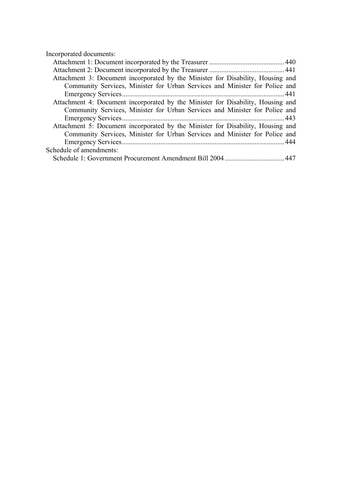Incorporated documents:

| Attachment 3: Document incorporated by the Minister for Disability, Housing and |  |
|---------------------------------------------------------------------------------|--|
| Community Services, Minister for Urban Services and Minister for Police and     |  |
|                                                                                 |  |
| Attachment 4: Document incorporated by the Minister for Disability, Housing and |  |
| Community Services, Minister for Urban Services and Minister for Police and     |  |
|                                                                                 |  |
| Attachment 5: Document incorporated by the Minister for Disability, Housing and |  |
| Community Services, Minister for Urban Services and Minister for Police and     |  |
|                                                                                 |  |
| Schedule of amendments:                                                         |  |
|                                                                                 |  |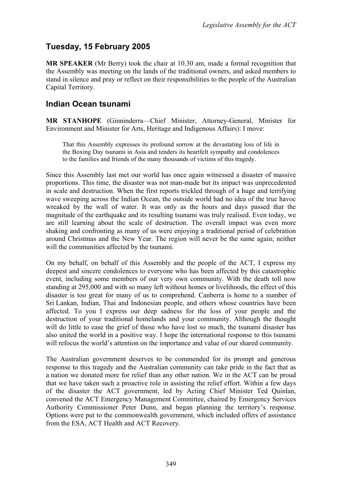## **Tuesday, 15 February 2005**

**MR SPEAKER** (Mr Berry) took the chair at 10.30 am, made a formal recognition that the Assembly was meeting on the lands of the traditional owners, and asked members to stand in silence and pray or reflect on their responsibilities to the people of the Australian Capital Territory.

### <span id="page-3-0"></span>**Indian Ocean tsunami**

**MR STANHOPE** (Ginninderra—Chief Minister, Attorney-General, Minister for Environment and Minister for Arts, Heritage and Indigenous Affairs): I move:

That this Assembly expresses its profound sorrow at the devastating loss of life in the Boxing Day tsunami in Asia and tenders its heartfelt sympathy and condolences to the families and friends of the many thousands of victims of this tragedy.

Since this Assembly last met our world has once again witnessed a disaster of massive proportions. This time, the disaster was not man-made but its impact was unprecedented in scale and destruction. When the first reports trickled through of a huge and terrifying wave sweeping across the Indian Ocean, the outside world had no idea of the true havoc wreaked by the wall of water. It was only as the hours and days passed that the magnitude of the earthquake and its resulting tsunami was truly realised. Even today, we are still learning about the scale of destruction. The overall impact was even more shaking and confronting as many of us were enjoying a traditional period of celebration around Christmas and the New Year. The region will never be the same again; neither will the communities affected by the tsunami.

On my behalf, on behalf of this Assembly and the people of the ACT, I express my deepest and sincere condolences to everyone who has been affected by this catastrophic event, including some members of our very own community. With the death toll now standing at 295,000 and with so many left without homes or livelihoods, the effect of this disaster is too great for many of us to comprehend. Canberra is home to a number of Sri Lankan, Indian, Thai and Indonesian people, and others whose countries have been affected. To you I express our deep sadness for the loss of your people and the destruction of your traditional homelands and your community. Although the thought will do little to ease the grief of those who have lost so much, the tsunami disaster has also united the world in a positive way. I hope the international response to this tsunami will refocus the world's attention on the importance and value of our shared community.

The Australian government deserves to be commended for its prompt and generous response to this tragedy and the Australian community can take pride in the fact that as a nation we donated more for relief than any other nation. We in the ACT can be proud that we have taken such a proactive role in assisting the relief effort. Within a few days of the disaster the ACT government, led by Acting Chief Minister Ted Quinlan, convened the ACT Emergency Management Committee, chaired by Emergency Services Authority Commissioner Peter Dunn, and began planning the territory's response. Options were put to the commonwealth government, which included offers of assistance from the ESA, ACT Health and ACT Recovery.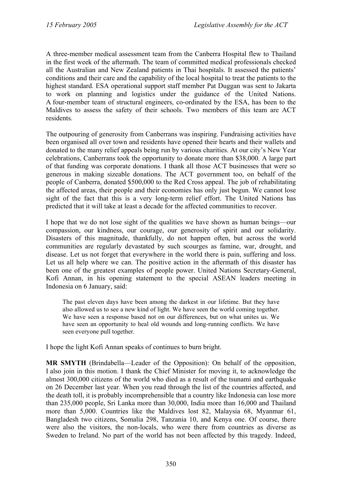A three-member medical assessment team from the Canberra Hospital flew to Thailand in the first week of the aftermath. The team of committed medical professionals checked all the Australian and New Zealand patients in Thai hospitals. It assessed the patients' conditions and their care and the capability of the local hospital to treat the patients to the highest standard. ESA operational support staff member Pat Duggan was sent to Jakarta to work on planning and logistics under the guidance of the United Nations. A four-member team of structural engineers, co-ordinated by the ESA, has been to the Maldives to assess the safety of their schools. Two members of this team are ACT residents.

The outpouring of generosity from Canberrans was inspiring. Fundraising activities have been organised all over town and residents have opened their hearts and their wallets and donated to the many relief appeals being run by various charities. At our city's New Year celebrations, Canberrans took the opportunity to donate more than \$38,000. A large part of that funding was corporate donations. I thank all those ACT businesses that were so generous in making sizeable donations. The ACT government too, on behalf of the people of Canberra, donated \$500,000 to the Red Cross appeal. The job of rehabilitating the affected areas, their people and their economies has only just begun. We cannot lose sight of the fact that this is a very long-term relief effort. The United Nations has predicted that it will take at least a decade for the affected communities to recover.

I hope that we do not lose sight of the qualities we have shown as human beings—our compassion, our kindness, our courage, our generosity of spirit and our solidarity. Disasters of this magnitude, thankfully, do not happen often, but across the world communities are regularly devastated by such scourges as famine, war, drought, and disease. Let us not forget that everywhere in the world there is pain, suffering and loss. Let us all help where we can. The positive action in the aftermath of this disaster has been one of the greatest examples of people power. United Nations Secretary-General, Kofi Annan, in his opening statement to the special ASEAN leaders meeting in Indonesia on 6 January, said:

The past eleven days have been among the darkest in our lifetime. But they have also allowed us to see a new kind of light. We have seen the world coming together. We have seen a response based not on our differences, but on what unites us. We have seen an opportunity to heal old wounds and long-running conflicts. We have seen everyone pull together.

I hope the light Kofi Annan speaks of continues to burn bright.

**MR SMYTH** (Brindabella—Leader of the Opposition): On behalf of the opposition, I also join in this motion. I thank the Chief Minister for moving it, to acknowledge the almost 300,000 citizens of the world who died as a result of the tsunami and earthquake on 26 December last year. When you read through the list of the countries affected, and the death toll, it is probably incomprehensible that a country like Indonesia can lose more than 235,000 people, Sri Lanka more than 30,000, India more than 16,000 and Thailand more than 5,000. Countries like the Maldives lost 82, Malaysia 68, Myanmar 61, Bangladesh two citizens, Somalia 298, Tanzania 10, and Kenya one. Of course, there were also the visitors, the non-locals, who were there from countries as diverse as Sweden to Ireland. No part of the world has not been affected by this tragedy. Indeed,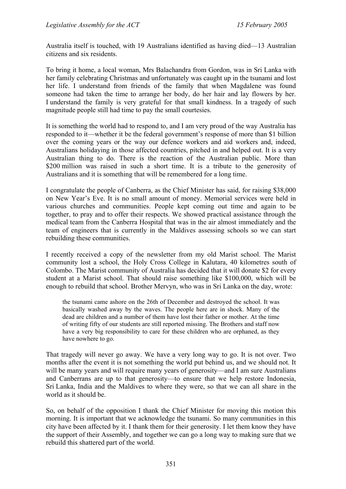Australia itself is touched, with 19 Australians identified as having died—13 Australian citizens and six residents.

To bring it home, a local woman, Mrs Balachandra from Gordon, was in Sri Lanka with her family celebrating Christmas and unfortunately was caught up in the tsunami and lost her life. I understand from friends of the family that when Magdalene was found someone had taken the time to arrange her body, do her hair and lay flowers by her. I understand the family is very grateful for that small kindness. In a tragedy of such magnitude people still had time to pay the small courtesies.

It is something the world had to respond to, and I am very proud of the way Australia has responded to it—whether it be the federal government's response of more than \$1 billion over the coming years or the way our defence workers and aid workers and, indeed, Australians holidaying in those affected countries, pitched in and helped out. It is a very Australian thing to do. There is the reaction of the Australian public. More than \$200 million was raised in such a short time. It is a tribute to the generosity of Australians and it is something that will be remembered for a long time.

I congratulate the people of Canberra, as the Chief Minister has said, for raising \$38,000 on New Year's Eve. It is no small amount of money. Memorial services were held in various churches and communities. People kept coming out time and again to be together, to pray and to offer their respects. We showed practical assistance through the medical team from the Canberra Hospital that was in the air almost immediately and the team of engineers that is currently in the Maldives assessing schools so we can start rebuilding these communities.

I recently received a copy of the newsletter from my old Marist school. The Marist community lost a school, the Holy Cross College in Kalutara, 40 kilometres south of Colombo. The Marist community of Australia has decided that it will donate \$2 for every student at a Marist school. That should raise something like \$100,000, which will be enough to rebuild that school. Brother Mervyn, who was in Sri Lanka on the day, wrote:

the tsunami came ashore on the 26th of December and destroyed the school. It was basically washed away by the waves. The people here are in shock. Many of the dead are children and a number of them have lost their father or mother. At the time of writing fifty of our students are still reported missing. The Brothers and staff now have a very big responsibility to care for these children who are orphaned, as they have nowhere to go.

That tragedy will never go away. We have a very long way to go. It is not over. Two months after the event it is not something the world put behind us, and we should not. It will be many years and will require many years of generosity—and I am sure Australians and Canberrans are up to that generosity—to ensure that we help restore Indonesia, Sri Lanka, India and the Maldives to where they were, so that we can all share in the world as it should be.

So, on behalf of the opposition I thank the Chief Minister for moving this motion this morning. It is important that we acknowledge the tsunami. So many communities in this city have been affected by it. I thank them for their generosity. I let them know they have the support of their Assembly, and together we can go a long way to making sure that we rebuild this shattered part of the world.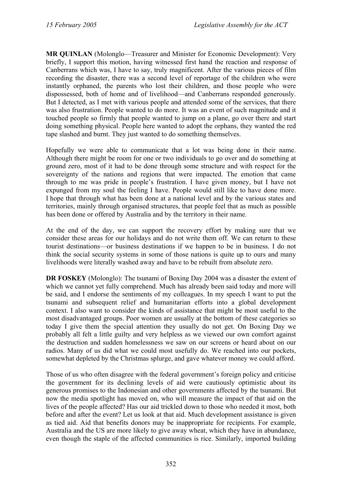**MR QUINLAN** (Molonglo—Treasurer and Minister for Economic Development): Very briefly, I support this motion, having witnessed first hand the reaction and response of Canberrans which was, I have to say, truly magnificent. After the various pieces of film recording the disaster, there was a second level of reportage of the children who were instantly orphaned, the parents who lost their children, and those people who were dispossessed, both of home and of livelihood—and Canberrans responded generously. But I detected, as I met with various people and attended some of the services, that there was also frustration. People wanted to do more. It was an event of such magnitude and it touched people so firmly that people wanted to jump on a plane, go over there and start doing something physical. People here wanted to adopt the orphans, they wanted the red tape slashed and burnt. They just wanted to do something themselves.

Hopefully we were able to communicate that a lot was being done in their name. Although there might be room for one or two individuals to go over and do something at ground zero, most of it had to be done through some structure and with respect for the sovereignty of the nations and regions that were impacted. The emotion that came through to me was pride in people's frustration. I have given money, but I have not expunged from my soul the feeling I have. People would still like to have done more. I hope that through what has been done at a national level and by the various states and territories, mainly through organised structures, that people feel that as much as possible has been done or offered by Australia and by the territory in their name.

At the end of the day, we can support the recovery effort by making sure that we consider these areas for our holidays and do not write them off. We can return to these tourist destinations—or business destinations if we happen to be in business. I do not think the social security systems in some of those nations is quite up to ours and many livelihoods were literally washed away and have to be rebuilt from absolute zero.

**DR FOSKEY** (Molonglo): The tsunami of Boxing Day 2004 was a disaster the extent of which we cannot yet fully comprehend. Much has already been said today and more will be said, and I endorse the sentiments of my colleagues. In my speech I want to put the tsunami and subsequent relief and humanitarian efforts into a global development context. I also want to consider the kinds of assistance that might be most useful to the most disadvantaged groups. Poor women are usually at the bottom of these categories so today I give them the special attention they usually do not get. On Boxing Day we probably all felt a little guilty and very helpless as we viewed our own comfort against the destruction and sudden homelessness we saw on our screens or heard about on our radios. Many of us did what we could most usefully do. We reached into our pockets, somewhat depleted by the Christmas splurge, and gave whatever money we could afford.

Those of us who often disagree with the federal government's foreign policy and criticise the government for its declining levels of aid were cautiously optimistic about its generous promises to the Indonesian and other governments affected by the tsunami. But now the media spotlight has moved on, who will measure the impact of that aid on the lives of the people affected? Has our aid trickled down to those who needed it most, both before and after the event? Let us look at that aid. Much development assistance is given as tied aid. Aid that benefits donors may be inappropriate for recipients. For example, Australia and the US are more likely to give away wheat, which they have in abundance, even though the staple of the affected communities is rice. Similarly, imported building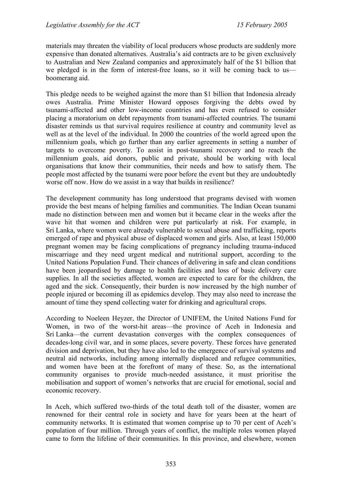materials may threaten the viability of local producers whose products are suddenly more expensive than donated alternatives. Australia's aid contracts are to be given exclusively to Australian and New Zealand companies and approximately half of the \$1 billion that we pledged is in the form of interest-free loans, so it will be coming back to us boomerang aid.

This pledge needs to be weighed against the more than \$1 billion that Indonesia already owes Australia. Prime Minister Howard opposes forgiving the debts owed by tsunami-affected and other low-income countries and has even refused to consider placing a moratorium on debt repayments from tsunami-affected countries. The tsunami disaster reminds us that survival requires resilience at country and community level as well as at the level of the individual. In 2000 the countries of the world agreed upon the millennium goals, which go further than any earlier agreements in setting a number of targets to overcome poverty. To assist in post-tsunami recovery and to reach the millennium goals, aid donors, public and private, should be working with local organisations that know their communities, their needs and how to satisfy them. The people most affected by the tsunami were poor before the event but they are undoubtedly worse off now. How do we assist in a way that builds in resilience?

The development community has long understood that programs devised with women provide the best means of helping families and communities. The Indian Ocean tsunami made no distinction between men and women but it became clear in the weeks after the wave hit that women and children were put particularly at risk. For example, in Sri Lanka, where women were already vulnerable to sexual abuse and trafficking, reports emerged of rape and physical abuse of displaced women and girls. Also, at least 150,000 pregnant women may be facing complications of pregnancy including trauma-induced miscarriage and they need urgent medical and nutritional support, according to the United Nations Population Fund. Their chances of delivering in safe and clean conditions have been jeopardised by damage to health facilities and loss of basic delivery care supplies. In all the societies affected, women are expected to care for the children, the aged and the sick. Consequently, their burden is now increased by the high number of people injured or becoming ill as epidemics develop. They may also need to increase the amount of time they spend collecting water for drinking and agricultural crops.

According to Noeleen Heyzer, the Director of UNIFEM, the United Nations Fund for Women, in two of the worst-hit areas—the province of Aceh in Indonesia and Sri Lanka—the current devastation converges with the complex consequences of decades-long civil war, and in some places, severe poverty. These forces have generated division and deprivation, but they have also led to the emergence of survival systems and neutral aid networks, including among internally displaced and refugee communities, and women have been at the forefront of many of these. So, as the international community organises to provide much-needed assistance, it must prioritise the mobilisation and support of women's networks that are crucial for emotional, social and economic recovery.

In Aceh, which suffered two-thirds of the total death toll of the disaster, women are renowned for their central role in society and have for years been at the heart of community networks. It is estimated that women comprise up to 70 per cent of Aceh's population of four million. Through years of conflict, the multiple roles women played came to form the lifeline of their communities. In this province, and elsewhere, women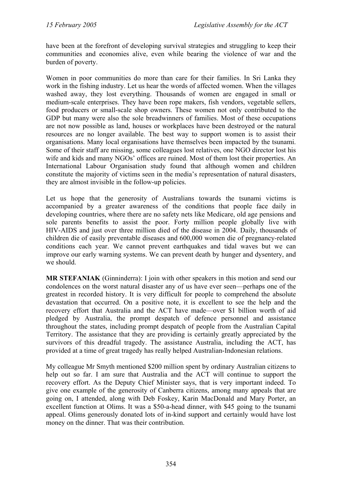have been at the forefront of developing survival strategies and struggling to keep their communities and economies alive, even while bearing the violence of war and the burden of poverty.

Women in poor communities do more than care for their families. In Sri Lanka they work in the fishing industry. Let us hear the words of affected women. When the villages washed away, they lost everything. Thousands of women are engaged in small or medium-scale enterprises. They have been rope makers, fish vendors, vegetable sellers, food producers or small-scale shop owners. These women not only contributed to the GDP but many were also the sole breadwinners of families. Most of these occupations are not now possible as land, houses or workplaces have been destroyed or the natural resources are no longer available. The best way to support women is to assist their organisations. Many local organisations have themselves been impacted by the tsunami. Some of their staff are missing, some colleagues lost relatives, one NGO director lost his wife and kids and many NGOs' offices are ruined. Most of them lost their properties. An International Labour Organisation study found that although women and children constitute the majority of victims seen in the media's representation of natural disasters, they are almost invisible in the follow-up policies.

Let us hope that the generosity of Australians towards the tsunami victims is accompanied by a greater awareness of the conditions that people face daily in developing countries, where there are no safety nets like Medicare, old age pensions and sole parents benefits to assist the poor. Forty million people globally live with HIV-AIDS and just over three million died of the disease in 2004. Daily, thousands of children die of easily preventable diseases and 600,000 women die of pregnancy-related conditions each year. We cannot prevent earthquakes and tidal waves but we can improve our early warning systems. We can prevent death by hunger and dysentery, and we should.

**MR STEFANIAK** (Ginninderra): I join with other speakers in this motion and send our condolences on the worst natural disaster any of us have ever seen—perhaps one of the greatest in recorded history. It is very difficult for people to comprehend the absolute devastation that occurred. On a positive note, it is excellent to see the help and the recovery effort that Australia and the ACT have made—over \$1 billion worth of aid pledged by Australia, the prompt despatch of defence personnel and assistance throughout the states, including prompt despatch of people from the Australian Capital Territory. The assistance that they are providing is certainly greatly appreciated by the survivors of this dreadful tragedy. The assistance Australia, including the ACT, has provided at a time of great tragedy has really helped Australian-Indonesian relations.

My colleague Mr Smyth mentioned \$200 million spent by ordinary Australian citizens to help out so far. I am sure that Australia and the ACT will continue to support the recovery effort. As the Deputy Chief Minister says, that is very important indeed. To give one example of the generosity of Canberra citizens, among many appeals that are going on, I attended, along with Deb Foskey, Karin MacDonald and Mary Porter, an excellent function at Olims. It was a \$50-a-head dinner, with \$45 going to the tsunami appeal. Olims generously donated lots of in-kind support and certainly would have lost money on the dinner. That was their contribution.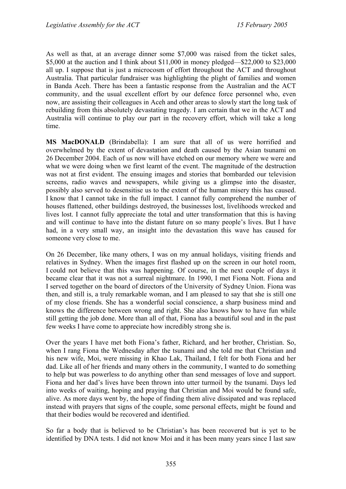As well as that, at an average dinner some \$7,000 was raised from the ticket sales, \$5,000 at the auction and I think about \$11,000 in money pledged—\$22,000 to \$23,000 all up. I suppose that is just a microcosm of effort throughout the ACT and throughout Australia. That particular fundraiser was highlighting the plight of families and women in Banda Aceh. There has been a fantastic response from the Australian and the ACT community, and the usual excellent effort by our defence force personnel who, even now, are assisting their colleagues in Aceh and other areas to slowly start the long task of rebuilding from this absolutely devastating tragedy. I am certain that we in the ACT and Australia will continue to play our part in the recovery effort, which will take a long time.

**MS MacDONALD** (Brindabella): I am sure that all of us were horrified and overwhelmed by the extent of devastation and death caused by the Asian tsunami on 26 December 2004. Each of us now will have etched on our memory where we were and what we were doing when we first learnt of the event. The magnitude of the destruction was not at first evident. The ensuing images and stories that bombarded our television screens, radio waves and newspapers, while giving us a glimpse into the disaster, possibly also served to desensitise us to the extent of the human misery this has caused. I know that I cannot take in the full impact. I cannot fully comprehend the number of houses flattened, other buildings destroyed, the businesses lost, livelihoods wrecked and lives lost. I cannot fully appreciate the total and utter transformation that this is having and will continue to have into the distant future on so many people's lives. But I have had, in a very small way, an insight into the devastation this wave has caused for someone very close to me.

On 26 December, like many others, I was on my annual holidays, visiting friends and relatives in Sydney. When the images first flashed up on the screen in our hotel room, I could not believe that this was happening. Of course, in the next couple of days it became clear that it was not a surreal nightmare. In 1990, I met Fiona Nott. Fiona and I served together on the board of directors of the University of Sydney Union. Fiona was then, and still is, a truly remarkable woman, and I am pleased to say that she is still one of my close friends. She has a wonderful social conscience, a sharp business mind and knows the difference between wrong and right. She also knows how to have fun while still getting the job done. More than all of that, Fiona has a beautiful soul and in the past few weeks I have come to appreciate how incredibly strong she is.

Over the years I have met both Fiona's father, Richard, and her brother, Christian. So, when I rang Fiona the Wednesday after the tsunami and she told me that Christian and his new wife, Moi, were missing in Khao Lak, Thailand, I felt for both Fiona and her dad. Like all of her friends and many others in the community, I wanted to do something to help but was powerless to do anything other than send messages of love and support. Fiona and her dad's lives have been thrown into utter turmoil by the tsunami. Days led into weeks of waiting, hoping and praying that Christian and Moi would be found safe, alive. As more days went by, the hope of finding them alive dissipated and was replaced instead with prayers that signs of the couple, some personal effects, might be found and that their bodies would be recovered and identified.

So far a body that is believed to be Christian's has been recovered but is yet to be identified by DNA tests. I did not know Moi and it has been many years since I last saw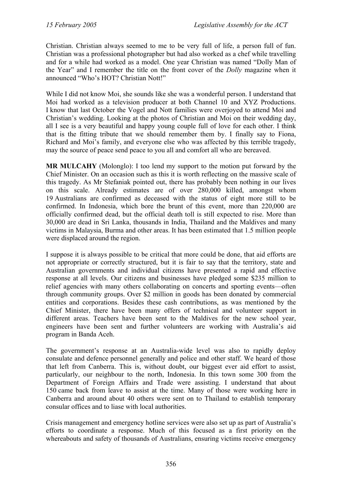Christian. Christian always seemed to me to be very full of life, a person full of fun. Christian was a professional photographer but had also worked as a chef while travelling and for a while had worked as a model. One year Christian was named "Dolly Man of the Year" and I remember the title on the front cover of the *Dolly* magazine when it announced "Who's HOT? Christian Nott!"

While I did not know Moi, she sounds like she was a wonderful person. I understand that Moi had worked as a television producer at both Channel 10 and XYZ Productions. I know that last October the Vogel and Nott families were overjoyed to attend Moi and Christian's wedding. Looking at the photos of Christian and Moi on their wedding day, all I see is a very beautiful and happy young couple full of love for each other. I think that is the fitting tribute that we should remember them by. I finally say to Fiona, Richard and Moi's family, and everyone else who was affected by this terrible tragedy, may the source of peace send peace to you all and comfort all who are bereaved.

**MR MULCAHY** (Molonglo): I too lend my support to the motion put forward by the Chief Minister. On an occasion such as this it is worth reflecting on the massive scale of this tragedy. As Mr Stefaniak pointed out, there has probably been nothing in our lives on this scale. Already estimates are of over 280,000 killed, amongst whom 19 Australians are confirmed as deceased with the status of eight more still to be confirmed. In Indonesia, which bore the brunt of this event, more than 220,000 are officially confirmed dead, but the official death toll is still expected to rise. More than 30,000 are dead in Sri Lanka, thousands in India, Thailand and the Maldives and many victims in Malaysia, Burma and other areas. It has been estimated that 1.5 million people were displaced around the region.

I suppose it is always possible to be critical that more could be done, that aid efforts are not appropriate or correctly structured, but it is fair to say that the territory, state and Australian governments and individual citizens have presented a rapid and effective response at all levels. Our citizens and businesses have pledged some \$235 million to relief agencies with many others collaborating on concerts and sporting events—often through community groups. Over \$2 million in goods has been donated by commercial entities and corporations. Besides these cash contributions, as was mentioned by the Chief Minister, there have been many offers of technical and volunteer support in different areas. Teachers have been sent to the Maldives for the new school year, engineers have been sent and further volunteers are working with Australia's aid program in Banda Aceh.

The government's response at an Australia-wide level was also to rapidly deploy consulate and defence personnel generally and police and other staff. We heard of those that left from Canberra. This is, without doubt, our biggest ever aid effort to assist, particularly, our neighbour to the north, Indonesia. In this town some 300 from the Department of Foreign Affairs and Trade were assisting. I understand that about 150 came back from leave to assist at the time. Many of those were working here in Canberra and around about 40 others were sent on to Thailand to establish temporary consular offices and to liase with local authorities.

Crisis management and emergency hotline services were also set up as part of Australia's efforts to coordinate a response. Much of this focused as a first priority on the whereabouts and safety of thousands of Australians, ensuring victims receive emergency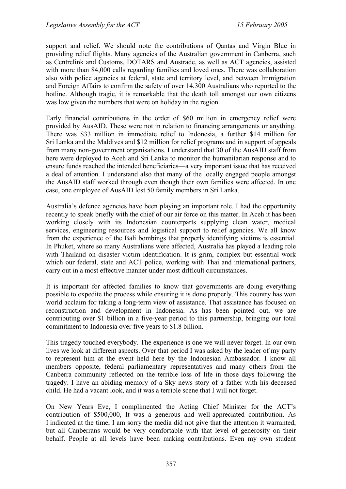support and relief. We should note the contributions of Qantas and Virgin Blue in providing relief flights. Many agencies of the Australian government in Canberra, such as Centrelink and Customs, DOTARS and Austrade, as well as ACT agencies, assisted with more than 84,000 calls regarding families and loved ones. There was collaboration also with police agencies at federal, state and territory level, and between Immigration and Foreign Affairs to confirm the safety of over 14,300 Australians who reported to the hotline. Although tragic, it is remarkable that the death toll amongst our own citizens was low given the numbers that were on holiday in the region.

Early financial contributions in the order of \$60 million in emergency relief were provided by AusAID. These were not in relation to financing arrangements or anything. There was \$33 million in immediate relief to Indonesia, a further \$14 million for Sri Lanka and the Maldives and \$12 million for relief programs and in support of appeals from many non-government organisations. I understand that 30 of the AusAID staff from here were deployed to Aceh and Sri Lanka to monitor the humanitarian response and to ensure funds reached the intended beneficiaries—a very important issue that has received a deal of attention. I understand also that many of the locally engaged people amongst the AusAID staff worked through even though their own families were affected. In one case, one employee of AusAID lost 50 family members in Sri Lanka.

Australia's defence agencies have been playing an important role. I had the opportunity recently to speak briefly with the chief of our air force on this matter. In Aceh it has been working closely with its Indonesian counterparts supplying clean water, medical services, engineering resources and logistical support to relief agencies. We all know from the experience of the Bali bombings that properly identifying victims is essential. In Phuket, where so many Australians were affected, Australia has played a leading role with Thailand on disaster victim identification. It is grim, complex but essential work which our federal, state and ACT police, working with Thai and international partners, carry out in a most effective manner under most difficult circumstances.

It is important for affected families to know that governments are doing everything possible to expedite the process while ensuring it is done properly. This country has won world acclaim for taking a long-term view of assistance. That assistance has focused on reconstruction and development in Indonesia. As has been pointed out, we are contributing over \$1 billion in a five-year period to this partnership, bringing our total commitment to Indonesia over five years to \$1.8 billion.

This tragedy touched everybody. The experience is one we will never forget. In our own lives we look at different aspects. Over that period I was asked by the leader of my party to represent him at the event held here by the Indonesian Ambassador. I know all members opposite, federal parliamentary representatives and many others from the Canberra community reflected on the terrible loss of life in those days following the tragedy. I have an abiding memory of a Sky news story of a father with his deceased child. He had a vacant look, and it was a terrible scene that I will not forget.

On New Years Eve, I complimented the Acting Chief Minister for the ACT's contribution of \$500,000, It was a generous and well-appreciated contribution. As I indicated at the time, I am sorry the media did not give that the attention it warranted, but all Canberrans would be very comfortable with that level of generosity on their behalf. People at all levels have been making contributions. Even my own student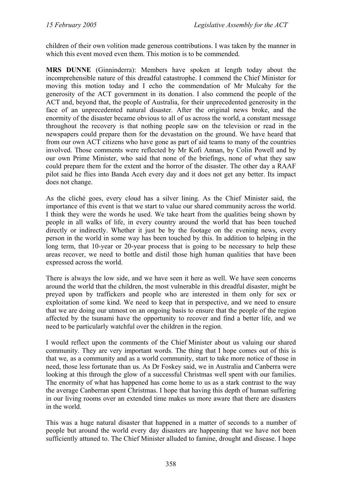children of their own volition made generous contributions. I was taken by the manner in which this event moved even them. This motion is to be commended.

**MRS DUNNE** (Ginninderra): Members have spoken at length today about the incomprehensible nature of this dreadful catastrophe. I commend the Chief Minister for moving this motion today and I echo the commendation of Mr Mulcahy for the generosity of the ACT government in its donation. I also commend the people of the ACT and, beyond that, the people of Australia, for their unprecedented generosity in the face of an unprecedented natural disaster. After the original news broke, and the enormity of the disaster became obvious to all of us across the world, a constant message throughout the recovery is that nothing people saw on the television or read in the newspapers could prepare them for the devastation on the ground. We have heard that from our own ACT citizens who have gone as part of aid teams to many of the countries involved. Those comments were reflected by Mr Kofi Annan, by Colin Powell and by our own Prime Minister, who said that none of the briefings, none of what they saw could prepare them for the extent and the horror of the disaster. The other day a RAAF pilot said he flies into Banda Aceh every day and it does not get any better. Its impact does not change.

As the cliché goes, every cloud has a silver lining. As the Chief Minister said, the importance of this event is that we start to value our shared community across the world. I think they were the words he used. We take heart from the qualities being shown by people in all walks of life, in every country around the world that has been touched directly or indirectly. Whether it just be by the footage on the evening news, every person in the world in some way has been touched by this. In addition to helping in the long term, that 10-year or 20-year process that is going to be necessary to help these areas recover, we need to bottle and distil those high human qualities that have been expressed across the world.

There is always the low side, and we have seen it here as well. We have seen concerns around the world that the children, the most vulnerable in this dreadful disaster, might be preyed upon by traffickers and people who are interested in them only for sex or exploitation of some kind. We need to keep that in perspective, and we need to ensure that we are doing our utmost on an ongoing basis to ensure that the people of the region affected by the tsunami have the opportunity to recover and find a better life, and we need to be particularly watchful over the children in the region.

I would reflect upon the comments of the Chief Minister about us valuing our shared community. They are very important words. The thing that I hope comes out of this is that we, as a community and as a world community, start to take more notice of those in need, those less fortunate than us. As Dr Foskey said, we in Australia and Canberra were looking at this through the glow of a successful Christmas well spent with our families. The enormity of what has happened has come home to us as a stark contrast to the way the average Canberran spent Christmas. I hope that having this depth of human suffering in our living rooms over an extended time makes us more aware that there are disasters in the world.

This was a huge natural disaster that happened in a matter of seconds to a number of people but around the world every day disasters are happening that we have not been sufficiently attuned to. The Chief Minister alluded to famine, drought and disease. I hope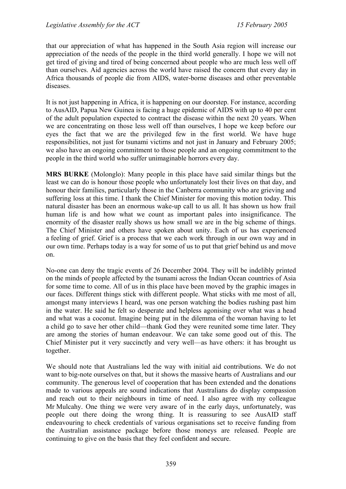that our appreciation of what has happened in the South Asia region will increase our appreciation of the needs of the people in the third world generally. I hope we will not get tired of giving and tired of being concerned about people who are much less well off than ourselves. Aid agencies across the world have raised the concern that every day in Africa thousands of people die from AIDS, water-borne diseases and other preventable diseases.

It is not just happening in Africa, it is happening on our doorstep. For instance, according to AusAID, Papua New Guinea is facing a huge epidemic of AIDS with up to 40 per cent of the adult population expected to contract the disease within the next 20 years. When we are concentrating on those less well off than ourselves, I hope we keep before our eyes the fact that we are the privileged few in the first world. We have huge responsibilities, not just for tsunami victims and not just in January and February 2005; we also have an ongoing commitment to those people and an ongoing commitment to the people in the third world who suffer unimaginable horrors every day.

**MRS BURKE** (Molonglo): Many people in this place have said similar things but the least we can do is honour those people who unfortunately lost their lives on that day, and honour their families, particularly those in the Canberra community who are grieving and suffering loss at this time. I thank the Chief Minister for moving this motion today. This natural disaster has been an enormous wake-up call to us all. It has shown us how frail human life is and how what we count as important pales into insignificance. The enormity of the disaster really shows us how small we are in the big scheme of things. The Chief Minister and others have spoken about unity. Each of us has experienced a feeling of grief. Grief is a process that we each work through in our own way and in our own time. Perhaps today is a way for some of us to put that grief behind us and move on.

No-one can deny the tragic events of 26 December 2004. They will be indelibly printed on the minds of people affected by the tsunami across the Indian Ocean countries of Asia for some time to come. All of us in this place have been moved by the graphic images in our faces. Different things stick with different people. What sticks with me most of all, amongst many interviews I heard, was one person watching the bodies rushing past him in the water. He said he felt so desperate and helpless agonising over what was a head and what was a coconut. Imagine being put in the dilemma of the woman having to let a child go to save her other child—thank God they were reunited some time later. They are among the stories of human endeavour. We can take some good out of this. The Chief Minister put it very succinctly and very well—as have others: it has brought us together.

We should note that Australians led the way with initial aid contributions. We do not want to big-note ourselves on that, but it shows the massive hearts of Australians and our community. The generous level of cooperation that has been extended and the donations made to various appeals are sound indications that Australians do display compassion and reach out to their neighbours in time of need. I also agree with my colleague Mr Mulcahy. One thing we were very aware of in the early days, unfortunately, was people out there doing the wrong thing. It is reassuring to see AusAID staff endeavouring to check credentials of various organisations set to receive funding from the Australian assistance package before those moneys are released. People are continuing to give on the basis that they feel confident and secure.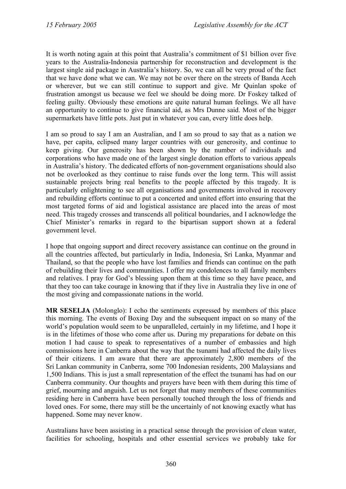It is worth noting again at this point that Australia's commitment of \$1 billion over five years to the Australia-Indonesia partnership for reconstruction and development is the largest single aid package in Australia's history. So, we can all be very proud of the fact that we have done what we can. We may not be over there on the streets of Banda Aceh or wherever, but we can still continue to support and give. Mr Quinlan spoke of frustration amongst us because we feel we should be doing more. Dr Foskey talked of feeling guilty. Obviously these emotions are quite natural human feelings. We all have an opportunity to continue to give financial aid, as Mrs Dunne said. Most of the bigger supermarkets have little pots. Just put in whatever you can, every little does help.

I am so proud to say I am an Australian, and I am so proud to say that as a nation we have, per capita, eclipsed many larger countries with our generosity, and continue to keep giving. Our generosity has been shown by the number of individuals and corporations who have made one of the largest single donation efforts to various appeals in Australia's history. The dedicated efforts of non-government organisations should also not be overlooked as they continue to raise funds over the long term. This will assist sustainable projects bring real benefits to the people affected by this tragedy. It is particularly enlightening to see all organisations and governments involved in recovery and rebuilding efforts continue to put a concerted and united effort into ensuring that the most targeted forms of aid and logistical assistance are placed into the areas of most need. This tragedy crosses and transcends all political boundaries, and I acknowledge the Chief Minister's remarks in regard to the bipartisan support shown at a federal government level.

I hope that ongoing support and direct recovery assistance can continue on the ground in all the countries affected, but particularly in India, Indonesia, Sri Lanka, Myanmar and Thailand, so that the people who have lost families and friends can continue on the path of rebuilding their lives and communities. I offer my condolences to all family members and relatives. I pray for God's blessing upon them at this time so they have peace, and that they too can take courage in knowing that if they live in Australia they live in one of the most giving and compassionate nations in the world.

**MR SESELJA** (Molonglo): I echo the sentiments expressed by members of this place this morning. The events of Boxing Day and the subsequent impact on so many of the world's population would seem to be unparalleled, certainly in my lifetime, and I hope it is in the lifetimes of those who come after us. During my preparations for debate on this motion I had cause to speak to representatives of a number of embassies and high commissions here in Canberra about the way that the tsunami had affected the daily lives of their citizens. I am aware that there are approximately 2,800 members of the Sri Lankan community in Canberra, some 700 Indonesian residents, 200 Malaysians and 1,500 Indians. This is just a small representation of the effect the tsunami has had on our Canberra community. Our thoughts and prayers have been with them during this time of grief, mourning and anguish. Let us not forget that many members of these communities residing here in Canberra have been personally touched through the loss of friends and loved ones. For some, there may still be the uncertainly of not knowing exactly what has happened. Some may never know.

Australians have been assisting in a practical sense through the provision of clean water, facilities for schooling, hospitals and other essential services we probably take for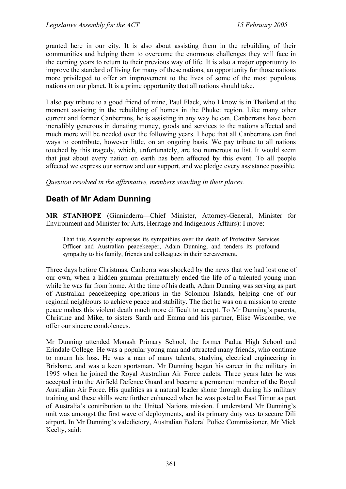granted here in our city. It is also about assisting them in the rebuilding of their communities and helping them to overcome the enormous challenges they will face in the coming years to return to their previous way of life. It is also a major opportunity to improve the standard of living for many of these nations, an opportunity for those nations more privileged to offer an improvement to the lives of some of the most populous nations on our planet. It is a prime opportunity that all nations should take.

I also pay tribute to a good friend of mine, Paul Flack, who I know is in Thailand at the moment assisting in the rebuilding of homes in the Phuket region. Like many other current and former Canberrans, he is assisting in any way he can. Canberrans have been incredibly generous in donating money, goods and services to the nations affected and much more will be needed over the following years. I hope that all Canberrans can find ways to contribute, however little, on an ongoing basis. We pay tribute to all nations touched by this tragedy, which, unfortunately, are too numerous to list. It would seem that just about every nation on earth has been affected by this event. To all people affected we express our sorrow and our support, and we pledge every assistance possible.

*Question resolved in the affirmative, members standing in their places.*

## <span id="page-15-0"></span>**Death of Mr Adam Dunning**

**MR STANHOPE** (Ginninderra—Chief Minister, Attorney-General, Minister for Environment and Minister for Arts, Heritage and Indigenous Affairs): I move:

That this Assembly expresses its sympathies over the death of Protective Services Officer and Australian peacekeeper, Adam Dunning, and tenders its profound sympathy to his family, friends and colleagues in their bereavement.

Three days before Christmas, Canberra was shocked by the news that we had lost one of our own, when a hidden gunman prematurely ended the life of a talented young man while he was far from home. At the time of his death, Adam Dunning was serving as part of Australian peacekeeping operations in the Solomon Islands, helping one of our regional neighbours to achieve peace and stability. The fact he was on a mission to create peace makes this violent death much more difficult to accept. To Mr Dunning's parents, Christine and Mike, to sisters Sarah and Emma and his partner, Elise Wiscombe, we offer our sincere condolences.

Mr Dunning attended Monash Primary School, the former Padua High School and Erindale College. He was a popular young man and attracted many friends, who continue to mourn his loss. He was a man of many talents, studying electrical engineering in Brisbane, and was a keen sportsman. Mr Dunning began his career in the military in 1995 when he joined the Royal Australian Air Force cadets. Three years later he was accepted into the Airfield Defence Guard and became a permanent member of the Royal Australian Air Force. His qualities as a natural leader shone through during his military training and these skills were further enhanced when he was posted to East Timor as part of Australia's contribution to the United Nations mission. I understand Mr Dunning's unit was amongst the first wave of deployments, and its primary duty was to secure Dili airport. In Mr Dunning's valedictory, Australian Federal Police Commissioner, Mr Mick Keelty, said: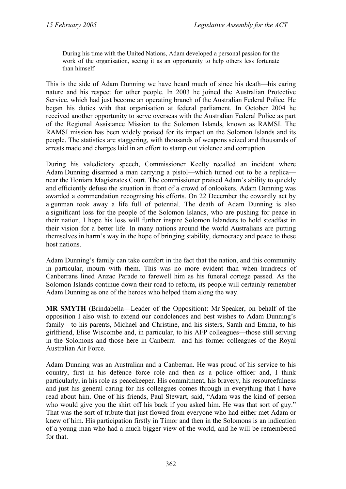During his time with the United Nations, Adam developed a personal passion for the work of the organisation, seeing it as an opportunity to help others less fortunate than himself.

This is the side of Adam Dunning we have heard much of since his death—his caring nature and his respect for other people. In 2003 he joined the Australian Protective Service, which had just become an operating branch of the Australian Federal Police. He began his duties with that organisation at federal parliament. In October 2004 he received another opportunity to serve overseas with the Australian Federal Police as part of the Regional Assistance Mission to the Solomon Islands, known as RAMSI. The RAMSI mission has been widely praised for its impact on the Solomon Islands and its people. The statistics are staggering, with thousands of weapons seized and thousands of arrests made and charges laid in an effort to stamp out violence and corruption.

During his valedictory speech, Commissioner Keelty recalled an incident where Adam Dunning disarmed a man carrying a pistol—which turned out to be a replica near the Honiara Magistrates Court. The commissioner praised Adam's ability to quickly and efficiently defuse the situation in front of a crowd of onlookers. Adam Dunning was awarded a commendation recognising his efforts. On 22 December the cowardly act by a gunman took away a life full of potential. The death of Adam Dunning is also a significant loss for the people of the Solomon Islands, who are pushing for peace in their nation. I hope his loss will further inspire Solomon Islanders to hold steadfast in their vision for a better life. In many nations around the world Australians are putting themselves in harm's way in the hope of bringing stability, democracy and peace to these host nations.

Adam Dunning's family can take comfort in the fact that the nation, and this community in particular, mourn with them. This was no more evident than when hundreds of Canberrans lined Anzac Parade to farewell him as his funeral cortege passed. As the Solomon Islands continue down their road to reform, its people will certainly remember Adam Dunning as one of the heroes who helped them along the way.

**MR SMYTH** (Brindabella—Leader of the Opposition): Mr Speaker, on behalf of the opposition I also wish to extend our condolences and best wishes to Adam Dunning's family—to his parents, Michael and Christine, and his sisters, Sarah and Emma, to his girlfriend, Elise Wiscombe and, in particular, to his AFP colleagues—those still serving in the Solomons and those here in Canberra—and his former colleagues of the Royal Australian Air Force.

Adam Dunning was an Australian and a Canberran. He was proud of his service to his country, first in his defence force role and then as a police officer and, I think particularly, in his role as peacekeeper. His commitment, his bravery, his resourcefulness and just his general caring for his colleagues comes through in everything that I have read about him. One of his friends, Paul Stewart, said, "Adam was the kind of person who would give you the shirt off his back if you asked him. He was that sort of guy." That was the sort of tribute that just flowed from everyone who had either met Adam or knew of him. His participation firstly in Timor and then in the Solomons is an indication of a young man who had a much bigger view of the world, and he will be remembered for that.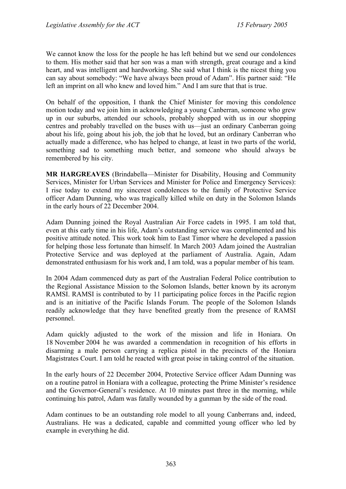We cannot know the loss for the people he has left behind but we send our condolences to them. His mother said that her son was a man with strength, great courage and a kind heart, and was intelligent and hardworking. She said what I think is the nicest thing you can say about somebody: "We have always been proud of Adam". His partner said: "He left an imprint on all who knew and loved him." And I am sure that that is true.

On behalf of the opposition, I thank the Chief Minister for moving this condolence motion today and we join him in acknowledging a young Canberran, someone who grew up in our suburbs, attended our schools, probably shopped with us in our shopping centres and probably travelled on the buses with us—just an ordinary Canberran going about his life, going about his job, the job that he loved, but an ordinary Canberran who actually made a difference, who has helped to change, at least in two parts of the world, something sad to something much better, and someone who should always be remembered by his city.

**MR HARGREAVES** (Brindabella—Minister for Disability, Housing and Community Services, Minister for Urban Services and Minister for Police and Emergency Services): I rise today to extend my sincerest condolences to the family of Protective Service officer Adam Dunning, who was tragically killed while on duty in the Solomon Islands in the early hours of 22 December 2004.

Adam Dunning joined the Royal Australian Air Force cadets in 1995. I am told that, even at this early time in his life, Adam's outstanding service was complimented and his positive attitude noted. This work took him to East Timor where he developed a passion for helping those less fortunate than himself. In March 2003 Adam joined the Australian Protective Service and was deployed at the parliament of Australia. Again, Adam demonstrated enthusiasm for his work and, I am told, was a popular member of his team.

In 2004 Adam commenced duty as part of the Australian Federal Police contribution to the Regional Assistance Mission to the Solomon Islands, better known by its acronym RAMSI. RAMSI is contributed to by 11 participating police forces in the Pacific region and is an initiative of the Pacific Islands Forum. The people of the Solomon Islands readily acknowledge that they have benefited greatly from the presence of RAMSI personnel.

Adam quickly adjusted to the work of the mission and life in Honiara. On 18 November 2004 he was awarded a commendation in recognition of his efforts in disarming a male person carrying a replica pistol in the precincts of the Honiara Magistrates Court. I am told he reacted with great poise in taking control of the situation.

In the early hours of 22 December 2004, Protective Service officer Adam Dunning was on a routine patrol in Honiara with a colleague, protecting the Prime Minister's residence and the Governor-General's residence. At 10 minutes past three in the morning, while continuing his patrol, Adam was fatally wounded by a gunman by the side of the road.

Adam continues to be an outstanding role model to all young Canberrans and, indeed, Australians. He was a dedicated, capable and committed young officer who led by example in everything he did.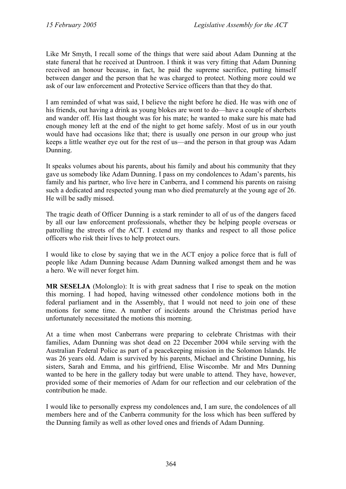Like Mr Smyth, I recall some of the things that were said about Adam Dunning at the state funeral that he received at Duntroon. I think it was very fitting that Adam Dunning received an honour because, in fact, he paid the supreme sacrifice, putting himself between danger and the person that he was charged to protect. Nothing more could we ask of our law enforcement and Protective Service officers than that they do that.

I am reminded of what was said, I believe the night before he died. He was with one of his friends, out having a drink as young blokes are wont to do—have a couple of sherbets and wander off. His last thought was for his mate; he wanted to make sure his mate had enough money left at the end of the night to get home safely. Most of us in our youth would have had occasions like that; there is usually one person in our group who just keeps a little weather eye out for the rest of us—and the person in that group was Adam Dunning.

It speaks volumes about his parents, about his family and about his community that they gave us somebody like Adam Dunning. I pass on my condolences to Adam's parents, his family and his partner, who live here in Canberra, and I commend his parents on raising such a dedicated and respected young man who died prematurely at the young age of 26. He will be sadly missed.

The tragic death of Officer Dunning is a stark reminder to all of us of the dangers faced by all our law enforcement professionals, whether they be helping people overseas or patrolling the streets of the ACT. I extend my thanks and respect to all those police officers who risk their lives to help protect ours.

I would like to close by saying that we in the ACT enjoy a police force that is full of people like Adam Dunning because Adam Dunning walked amongst them and he was a hero. We will never forget him.

**MR SESELJA** (Molonglo): It is with great sadness that I rise to speak on the motion this morning. I had hoped, having witnessed other condolence motions both in the federal parliament and in the Assembly, that I would not need to join one of these motions for some time. A number of incidents around the Christmas period have unfortunately necessitated the motions this morning.

At a time when most Canberrans were preparing to celebrate Christmas with their families, Adam Dunning was shot dead on 22 December 2004 while serving with the Australian Federal Police as part of a peacekeeping mission in the Solomon Islands. He was 26 years old. Adam is survived by his parents, Michael and Christine Dunning, his sisters, Sarah and Emma, and his girlfriend, Elise Wiscombe. Mr and Mrs Dunning wanted to be here in the gallery today but were unable to attend. They have, however, provided some of their memories of Adam for our reflection and our celebration of the contribution he made.

I would like to personally express my condolences and, I am sure, the condolences of all members here and of the Canberra community for the loss which has been suffered by the Dunning family as well as other loved ones and friends of Adam Dunning.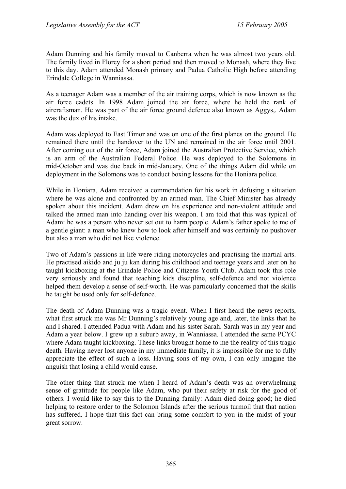Adam Dunning and his family moved to Canberra when he was almost two years old. The family lived in Florey for a short period and then moved to Monash, where they live to this day. Adam attended Monash primary and Padua Catholic High before attending Erindale College in Wanniassa.

As a teenager Adam was a member of the air training corps, which is now known as the air force cadets. In 1998 Adam joined the air force, where he held the rank of aircraftsman. He was part of the air force ground defence also known as Aggys,. Adam was the dux of his intake.

Adam was deployed to East Timor and was on one of the first planes on the ground. He remained there until the handover to the UN and remained in the air force until 2001. After coming out of the air force, Adam joined the Australian Protective Service, which is an arm of the Australian Federal Police. He was deployed to the Solomons in mid-October and was due back in mid-January. One of the things Adam did while on deployment in the Solomons was to conduct boxing lessons for the Honiara police.

While in Honiara, Adam received a commendation for his work in defusing a situation where he was alone and confronted by an armed man. The Chief Minister has already spoken about this incident. Adam drew on his experience and non-violent attitude and talked the armed man into handing over his weapon. I am told that this was typical of Adam: he was a person who never set out to harm people. Adam's father spoke to me of a gentle giant: a man who knew how to look after himself and was certainly no pushover but also a man who did not like violence.

Two of Adam's passions in life were riding motorcycles and practising the martial arts. He practised aikido and ju ju kan during his childhood and teenage years and later on he taught kickboxing at the Erindale Police and Citizens Youth Club. Adam took this role very seriously and found that teaching kids discipline, self-defence and not violence helped them develop a sense of self-worth. He was particularly concerned that the skills he taught be used only for self-defence.

The death of Adam Dunning was a tragic event. When I first heard the news reports, what first struck me was Mr Dunning's relatively young age and, later, the links that he and I shared. I attended Padua with Adam and his sister Sarah. Sarah was in my year and Adam a year below. I grew up a suburb away, in Wanniassa. I attended the same PCYC where Adam taught kickboxing. These links brought home to me the reality of this tragic death. Having never lost anyone in my immediate family, it is impossible for me to fully appreciate the effect of such a loss. Having sons of my own, I can only imagine the anguish that losing a child would cause.

The other thing that struck me when I heard of Adam's death was an overwhelming sense of gratitude for people like Adam, who put their safety at risk for the good of others. I would like to say this to the Dunning family: Adam died doing good; he died helping to restore order to the Solomon Islands after the serious turmoil that that nation has suffered. I hope that this fact can bring some comfort to you in the midst of your great sorrow.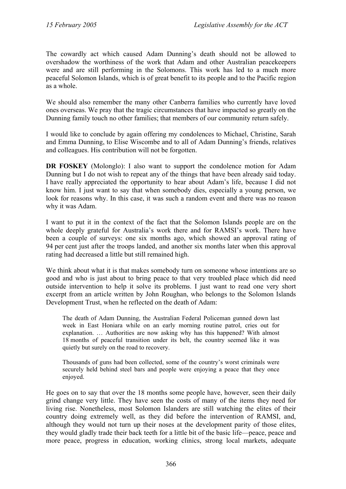The cowardly act which caused Adam Dunning's death should not be allowed to overshadow the worthiness of the work that Adam and other Australian peacekeepers were and are still performing in the Solomons. This work has led to a much more peaceful Solomon Islands, which is of great benefit to its people and to the Pacific region as a whole.

We should also remember the many other Canberra families who currently have loved ones overseas. We pray that the tragic circumstances that have impacted so greatly on the Dunning family touch no other families; that members of our community return safely.

I would like to conclude by again offering my condolences to Michael, Christine, Sarah and Emma Dunning, to Elise Wiscombe and to all of Adam Dunning's friends, relatives and colleagues. His contribution will not be forgotten.

**DR FOSKEY** (Molonglo): I also want to support the condolence motion for Adam Dunning but I do not wish to repeat any of the things that have been already said today. I have really appreciated the opportunity to hear about Adam's life, because I did not know him. I just want to say that when somebody dies, especially a young person, we look for reasons why. In this case, it was such a random event and there was no reason why it was Adam.

I want to put it in the context of the fact that the Solomon Islands people are on the whole deeply grateful for Australia's work there and for RAMSI's work. There have been a couple of surveys: one six months ago, which showed an approval rating of 94 per cent just after the troops landed, and another six months later when this approval rating had decreased a little but still remained high.

We think about what it is that makes somebody turn on someone whose intentions are so good and who is just about to bring peace to that very troubled place which did need outside intervention to help it solve its problems. I just want to read one very short excerpt from an article written by John Roughan, who belongs to the Solomon Islands Development Trust, when he reflected on the death of Adam:

The death of Adam Dunning, the Australian Federal Policeman gunned down last week in East Honiara while on an early morning routine patrol, cries out for explanation. … Authorities are now asking why has this happened? With almost 18 months of peaceful transition under its belt, the country seemed like it was quietly but surely on the road to recovery.

Thousands of guns had been collected, some of the country's worst criminals were securely held behind steel bars and people were enjoying a peace that they once enjoyed.

He goes on to say that over the 18 months some people have, however, seen their daily grind change very little. They have seen the costs of many of the items they need for living rise. Nonetheless, most Solomon Islanders are still watching the elites of their country doing extremely well, as they did before the intervention of RAMSI, and, although they would not turn up their noses at the development parity of those elites, they would gladly trade their back teeth for a little bit of the basic life—peace, peace and more peace, progress in education, working clinics, strong local markets, adequate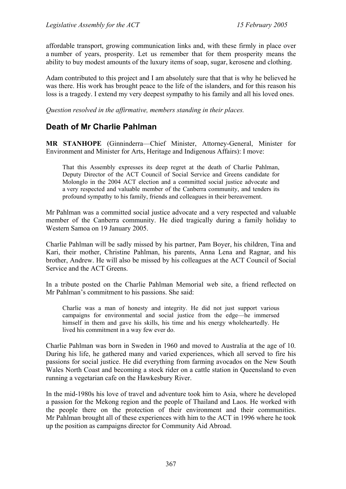affordable transport, growing communication links and, with these firmly in place over a number of years, prosperity. Let us remember that for them prosperity means the ability to buy modest amounts of the luxury items of soap, sugar, kerosene and clothing.

Adam contributed to this project and I am absolutely sure that that is why he believed he was there. His work has brought peace to the life of the islanders, and for this reason his loss is a tragedy. I extend my very deepest sympathy to his family and all his loved ones.

*Question resolved in the affirmative, members standing in their places.*

## <span id="page-21-0"></span>**Death of Mr Charlie Pahlman**

**MR STANHOPE** (Ginninderra—Chief Minister, Attorney-General, Minister for Environment and Minister for Arts, Heritage and Indigenous Affairs): I move:

That this Assembly expresses its deep regret at the death of Charlie Pahlman, Deputy Director of the ACT Council of Social Service and Greens candidate for Molonglo in the 2004 ACT election and a committed social justice advocate and a very respected and valuable member of the Canberra community, and tenders its profound sympathy to his family, friends and colleagues in their bereavement.

Mr Pahlman was a committed social justice advocate and a very respected and valuable member of the Canberra community. He died tragically during a family holiday to Western Samoa on 19 January 2005.

Charlie Pahlman will be sadly missed by his partner, Pam Boyer, his children, Tina and Kari, their mother, Christine Pahlman, his parents, Anna Lena and Ragnar, and his brother, Andrew. He will also be missed by his colleagues at the ACT Council of Social Service and the ACT Greens.

In a tribute posted on the Charlie Pahlman Memorial web site, a friend reflected on Mr Pahlman's commitment to his passions. She said:

Charlie was a man of honesty and integrity. He did not just support various campaigns for environmental and social justice from the edge—he immersed himself in them and gave his skills, his time and his energy wholeheartedly. He lived his commitment in a way few ever do.

Charlie Pahlman was born in Sweden in 1960 and moved to Australia at the age of 10. During his life, he gathered many and varied experiences, which all served to fire his passions for social justice. He did everything from farming avocados on the New South Wales North Coast and becoming a stock rider on a cattle station in Queensland to even running a vegetarian cafe on the Hawkesbury River.

In the mid-1980s his love of travel and adventure took him to Asia, where he developed a passion for the Mekong region and the people of Thailand and Laos. He worked with the people there on the protection of their environment and their communities. Mr Pahlman brought all of these experiences with him to the ACT in 1996 where he took up the position as campaigns director for Community Aid Abroad.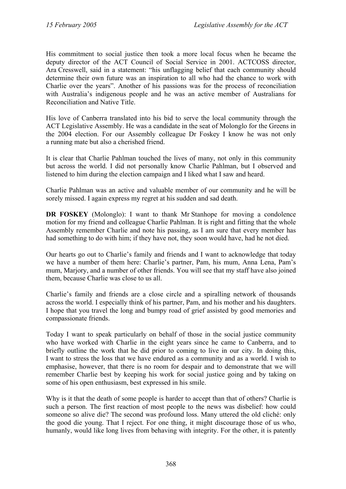His commitment to social justice then took a more local focus when he became the deputy director of the ACT Council of Social Service in 2001. ACTCOSS director, Ara Cresswell, said in a statement: "his unflagging belief that each community should determine their own future was an inspiration to all who had the chance to work with Charlie over the years". Another of his passions was for the process of reconciliation with Australia's indigenous people and he was an active member of Australians for Reconciliation and Native Title.

His love of Canberra translated into his bid to serve the local community through the ACT Legislative Assembly. He was a candidate in the seat of Molonglo for the Greens in the 2004 election. For our Assembly colleague Dr Foskey I know he was not only a running mate but also a cherished friend.

It is clear that Charlie Pahlman touched the lives of many, not only in this community but across the world. I did not personally know Charlie Pahlman, but I observed and listened to him during the election campaign and I liked what I saw and heard.

Charlie Pahlman was an active and valuable member of our community and he will be sorely missed. I again express my regret at his sudden and sad death.

**DR FOSKEY** (Molonglo): I want to thank Mr Stanhope for moving a condolence motion for my friend and colleague Charlie Pahlman. It is right and fitting that the whole Assembly remember Charlie and note his passing, as I am sure that every member has had something to do with him; if they have not, they soon would have, had he not died.

Our hearts go out to Charlie's family and friends and I want to acknowledge that today we have a number of them here: Charlie's partner, Pam, his mum, Anna Lena, Pam's mum, Marjory, and a number of other friends. You will see that my staff have also joined them, because Charlie was close to us all.

Charlie's family and friends are a close circle and a spiralling network of thousands across the world. I especially think of his partner, Pam, and his mother and his daughters. I hope that you travel the long and bumpy road of grief assisted by good memories and compassionate friends.

Today I want to speak particularly on behalf of those in the social justice community who have worked with Charlie in the eight years since he came to Canberra, and to briefly outline the work that he did prior to coming to live in our city. In doing this, I want to stress the loss that we have endured as a community and as a world. I wish to emphasise, however, that there is no room for despair and to demonstrate that we will remember Charlie best by keeping his work for social justice going and by taking on some of his open enthusiasm, best expressed in his smile.

Why is it that the death of some people is harder to accept than that of others? Charlie is such a person. The first reaction of most people to the news was disbelief: how could someone so alive die? The second was profound loss. Many uttered the old cliché: only the good die young. That I reject. For one thing, it might discourage those of us who, humanly, would like long lives from behaving with integrity. For the other, it is patently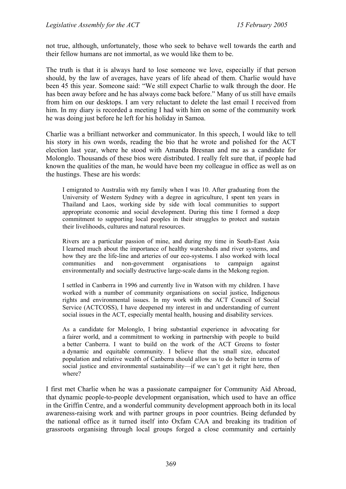not true, although, unfortunately, those who seek to behave well towards the earth and their fellow humans are not immortal, as we would like them to be.

The truth is that it is always hard to lose someone we love, especially if that person should, by the law of averages, have years of life ahead of them. Charlie would have been 45 this year. Someone said: "We still expect Charlie to walk through the door. He has been away before and he has always come back before." Many of us still have emails from him on our desktops. I am very reluctant to delete the last email I received from him. In my diary is recorded a meeting I had with him on some of the community work he was doing just before he left for his holiday in Samoa.

Charlie was a brilliant networker and communicator. In this speech, I would like to tell his story in his own words, reading the bio that he wrote and polished for the ACT election last year, where he stood with Amanda Bresnan and me as a candidate for Molonglo. Thousands of these bios were distributed. I really felt sure that, if people had known the qualities of the man, he would have been my colleague in office as well as on the hustings. These are his words:

I emigrated to Australia with my family when I was 10. After graduating from the University of Western Sydney with a degree in agriculture, I spent ten years in Thailand and Laos, working side by side with local communities to support appropriate economic and social development. During this time I formed a deep commitment to supporting local peoples in their struggles to protect and sustain their livelihoods, cultures and natural resources.

Rivers are a particular passion of mine, and during my time in South-East Asia I learned much about the importance of healthy watersheds and river systems, and how they are the life-line and arteries of our eco-systems. I also worked with local communities and non-government organisations to campaign against environmentally and socially destructive large-scale dams in the Mekong region.

I settled in Canberra in 1996 and currently live in Watson with my children. I have worked with a number of community organisations on social justice, Indigenous rights and environmental issues. In my work with the ACT Council of Social Service (ACTCOSS), I have deepened my interest in and understanding of current social issues in the ACT, especially mental health, housing and disability services.

As a candidate for Molonglo, I bring substantial experience in advocating for a fairer world, and a commitment to working in partnership with people to build a better Canberra. I want to build on the work of the ACT Greens to foster a dynamic and equitable community. I believe that the small size, educated population and relative wealth of Canberra should allow us to do better in terms of social justice and environmental sustainability—if we can't get it right here, then where?

I first met Charlie when he was a passionate campaigner for Community Aid Abroad, that dynamic people-to-people development organisation, which used to have an office in the Griffin Centre, and a wonderful community development approach both in its local awareness-raising work and with partner groups in poor countries. Being defunded by the national office as it turned itself into Oxfam CAA and breaking its tradition of grassroots organising through local groups forged a close community and certainly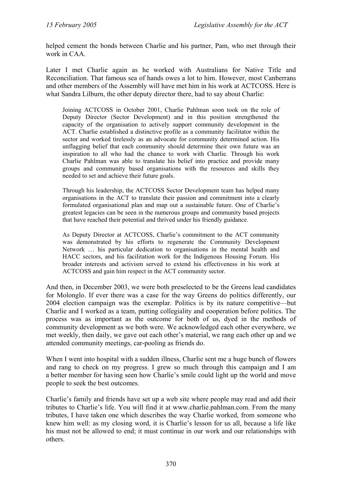helped cement the bonds between Charlie and his partner, Pam, who met through their work in CAA.

Later I met Charlie again as he worked with Australians for Native Title and Reconciliation. That famous sea of hands owes a lot to him. However, most Canberrans and other members of the Assembly will have met him in his work at ACTCOSS. Here is what Sandra Lilburn, the other deputy director there, had to say about Charlie:

Joining ACTCOSS in October 2001, Charlie Pahlman soon took on the role of Deputy Director (Sector Development) and in this position strengthened the capacity of the organisation to actively support community development in the ACT. Charlie established a distinctive profile as a community facilitator within the sector and worked tirelessly as an advocate for community determined action. His unflagging belief that each community should determine their own future was an inspiration to all who had the chance to work with Charlie. Through his work Charlie Pahlman was able to translate his belief into practice and provide many groups and community based organisations with the resources and skills they needed to set and achieve their future goals.

Through his leadership, the ACTCOSS Sector Development team has helped many organisations in the ACT to translate their passion and commitment into a clearly formulated organisational plan and map out a sustainable future. One of Charlie's greatest legacies can be seen in the numerous groups and community based projects that have reached their potential and thrived under his friendly guidance.

As Deputy Director at ACTCOSS, Charlie's commitment to the ACT community was demonstrated by his efforts to regenerate the Community Development Network … his particular dedication to organisations in the mental health and HACC sectors, and his facilitation work for the Indigenous Housing Forum. His broader interests and activism served to extend his effectiveness in his work at ACTCOSS and gain him respect in the ACT community sector.

And then, in December 2003, we were both preselected to be the Greens lead candidates for Molonglo. If ever there was a case for the way Greens do politics differently, our 2004 election campaign was the exemplar. Politics is by its nature competitive—but Charlie and I worked as a team, putting collegiality and cooperation before politics. The process was as important as the outcome for both of us, dyed in the methods of community development as we both were. We acknowledged each other everywhere, we met weekly, then daily, we gave out each other's material, we rang each other up and we attended community meetings, car-pooling as friends do.

When I went into hospital with a sudden illness, Charlie sent me a huge bunch of flowers and rang to check on my progress. I grew so much through this campaign and I am a better member for having seen how Charlie's smile could light up the world and move people to seek the best outcomes.

Charlie's family and friends have set up a web site where people may read and add their tributes to Charlie's life. You will find it at www.charlie.pahlman.com. From the many tributes, I have taken one which describes the way Charlie worked, from someone who knew him well: as my closing word, it is Charlie's lesson for us all, because a life like his must not be allowed to end; it must continue in our work and our relationships with others.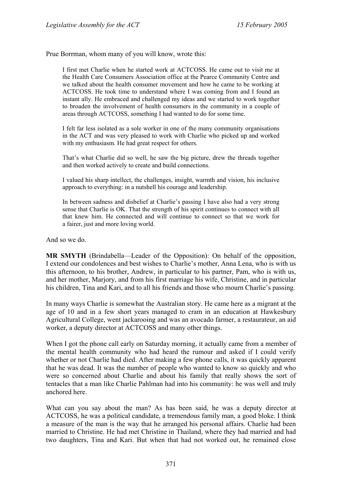Prue Borrman, whom many of you will know, wrote this:

I first met Charlie when he started work at ACTCOSS. He came out to visit me at the Health Care Consumers Association office at the Pearce Community Centre and we talked about the health consumer movement and how he came to be working at ACTCOSS. He took time to understand where I was coming from and I found an instant ally. He embraced and challenged my ideas and we started to work together to broaden the involvement of health consumers in the community in a couple of areas through ACTCOSS, something I had wanted to do for some time.

I felt far less isolated as a sole worker in one of the many community organisations in the ACT and was very pleased to work with Charlie who picked up and worked with my enthusiasm. He had great respect for others.

That's what Charlie did so well, he saw the big picture, drew the threads together and then worked actively to create and build connections.

I valued his sharp intellect, the challenges, insight, warmth and vision, his inclusive approach to everything: in a nutshell his courage and leadership.

In between sadness and disbelief at Charlie's passing I have also had a very strong sense that Charlie is OK. That the strength of his spirit continues to connect with all that knew him. He connected and will continue to connect so that we work for a fairer, just and more loving world.

And so we do.

**MR SMYTH** (Brindabella—Leader of the Opposition): On behalf of the opposition, I extend our condolences and best wishes to Charlie's mother, Anna Lena, who is with us this afternoon, to his brother, Andrew, in particular to his partner, Pam, who is with us, and her mother, Marjory, and from his first marriage his wife, Christine, and in particular his children, Tina and Kari, and to all his friends and those who mourn Charlie's passing.

In many ways Charlie is somewhat the Australian story. He came here as a migrant at the age of 10 and in a few short years managed to cram in an education at Hawkesbury Agricultural College, went jackarooing and was an avocado farmer, a restaurateur, an aid worker, a deputy director at ACTCOSS and many other things.

When I got the phone call early on Saturday morning, it actually came from a member of the mental health community who had heard the rumour and asked if I could verify whether or not Charlie had died. After making a few phone calls, it was quickly apparent that he was dead. It was the number of people who wanted to know so quickly and who were so concerned about Charlie and about his family that really shows the sort of tentacles that a man like Charlie Pahlman had into his community: he was well and truly anchored here.

What can you say about the man? As has been said, he was a deputy director at ACTCOSS, he was a political candidate, a tremendous family man, a good bloke. I think a measure of the man is the way that he arranged his personal affairs. Charlie had been married to Christine. He had met Christine in Thailand, where they had married and had two daughters, Tina and Kari. But when that had not worked out, he remained close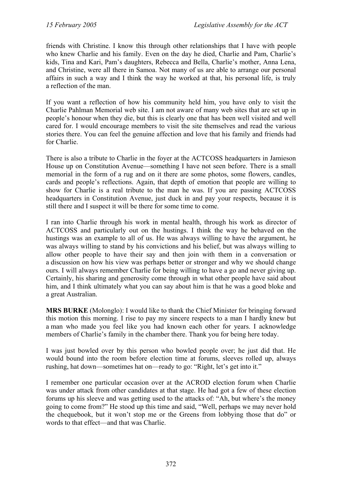friends with Christine. I know this through other relationships that I have with people who knew Charlie and his family. Even on the day he died, Charlie and Pam, Charlie's kids, Tina and Kari, Pam's daughters, Rebecca and Bella, Charlie's mother, Anna Lena, and Christine, were all there in Samoa. Not many of us are able to arrange our personal affairs in such a way and I think the way he worked at that, his personal life, is truly a reflection of the man.

If you want a reflection of how his community held him, you have only to visit the Charlie Pahlman Memorial web site. I am not aware of many web sites that are set up in people's honour when they die, but this is clearly one that has been well visited and well cared for. I would encourage members to visit the site themselves and read the various stories there. You can feel the genuine affection and love that his family and friends had for Charlie.

There is also a tribute to Charlie in the foyer at the ACTCOSS headquarters in Jamieson House up on Constitution Avenue—something I have not seen before. There is a small memorial in the form of a rug and on it there are some photos, some flowers, candles, cards and people's reflections. Again, that depth of emotion that people are willing to show for Charlie is a real tribute to the man he was. If you are passing ACTCOSS headquarters in Constitution Avenue, just duck in and pay your respects, because it is still there and I suspect it will be there for some time to come.

I ran into Charlie through his work in mental health, through his work as director of ACTCOSS and particularly out on the hustings. I think the way he behaved on the hustings was an example to all of us. He was always willing to have the argument, he was always willing to stand by his convictions and his belief, but was always willing to allow other people to have their say and then join with them in a conversation or a discussion on how his view was perhaps better or stronger and why we should change ours. I will always remember Charlie for being willing to have a go and never giving up. Certainly, his sharing and generosity come through in what other people have said about him, and I think ultimately what you can say about him is that he was a good bloke and a great Australian.

**MRS BURKE** (Molonglo): I would like to thank the Chief Minister for bringing forward this motion this morning. I rise to pay my sincere respects to a man I hardly knew but a man who made you feel like you had known each other for years. I acknowledge members of Charlie's family in the chamber there. Thank you for being here today.

I was just bowled over by this person who bowled people over; he just did that. He would bound into the room before election time at forums, sleeves rolled up, always rushing, hat down—sometimes hat on—ready to go: "Right, let's get into it."

I remember one particular occasion over at the ACROD election forum when Charlie was under attack from other candidates at that stage. He had got a few of these election forums up his sleeve and was getting used to the attacks of: "Ah, but where's the money going to come from?" He stood up this time and said, "Well, perhaps we may never hold the chequebook, but it won't stop me or the Greens from lobbying those that do" or words to that effect—and that was Charlie.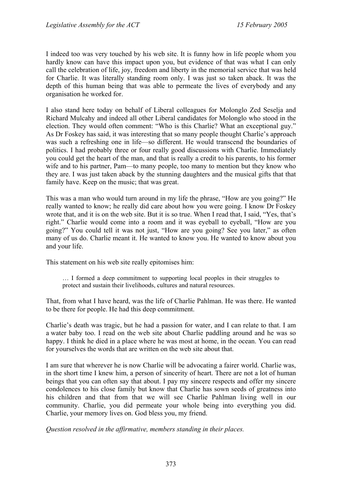I indeed too was very touched by his web site. It is funny how in life people whom you hardly know can have this impact upon you, but evidence of that was what I can only call the celebration of life, joy, freedom and liberty in the memorial service that was held for Charlie. It was literally standing room only. I was just so taken aback. It was the depth of this human being that was able to permeate the lives of everybody and any organisation he worked for.

I also stand here today on behalf of Liberal colleagues for Molonglo Zed Seselja and Richard Mulcahy and indeed all other Liberal candidates for Molonglo who stood in the election. They would often comment: "Who is this Charlie? What an exceptional guy." As Dr Foskey has said, it was interesting that so many people thought Charlie's approach was such a refreshing one in life—so different. He would transcend the boundaries of politics. I had probably three or four really good discussions with Charlie. Immediately you could get the heart of the man, and that is really a credit to his parents, to his former wife and to his partner, Pam—to many people, too many to mention but they know who they are. I was just taken aback by the stunning daughters and the musical gifts that that family have. Keep on the music; that was great.

This was a man who would turn around in my life the phrase, "How are you going?" He really wanted to know; he really did care about how you were going. I know Dr Foskey wrote that, and it is on the web site. But it is so true. When I read that, I said, "Yes, that's right." Charlie would come into a room and it was eyeball to eyeball, "How are you going?" You could tell it was not just, "How are you going? See you later," as often many of us do. Charlie meant it. He wanted to know you. He wanted to know about you and your life.

This statement on his web site really epitomises him:

… I formed a deep commitment to supporting local peoples in their struggles to protect and sustain their livelihoods, cultures and natural resources.

That, from what I have heard, was the life of Charlie Pahlman. He was there. He wanted to be there for people. He had this deep commitment.

Charlie's death was tragic, but he had a passion for water, and I can relate to that. I am a water baby too. I read on the web site about Charlie paddling around and he was so happy. I think he died in a place where he was most at home, in the ocean. You can read for yourselves the words that are written on the web site about that.

I am sure that wherever he is now Charlie will be advocating a fairer world. Charlie was, in the short time I knew him, a person of sincerity of heart. There are not a lot of human beings that you can often say that about. I pay my sincere respects and offer my sincere condolences to his close family but know that Charlie has sown seeds of greatness into his children and that from that we will see Charlie Pahlman living well in our community. Charlie, you did permeate your whole being into everything you did. Charlie, your memory lives on. God bless you, my friend.

*Question resolved in the affirmative, members standing in their places.*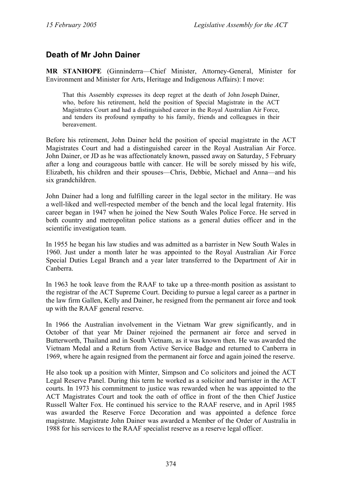### <span id="page-28-0"></span>**Death of Mr John Dainer**

**MR STANHOPE** (Ginninderra—Chief Minister, Attorney-General, Minister for Environment and Minister for Arts, Heritage and Indigenous Affairs): I move:

That this Assembly expresses its deep regret at the death of John Joseph Dainer, who, before his retirement, held the position of Special Magistrate in the ACT Magistrates Court and had a distinguished career in the Royal Australian Air Force, and tenders its profound sympathy to his family, friends and colleagues in their bereavement.

Before his retirement, John Dainer held the position of special magistrate in the ACT Magistrates Court and had a distinguished career in the Royal Australian Air Force. John Dainer, or JD as he was affectionately known, passed away on Saturday, 5 February after a long and courageous battle with cancer. He will be sorely missed by his wife, Elizabeth, his children and their spouses—Chris, Debbie, Michael and Anna—and his six grandchildren.

John Dainer had a long and fulfilling career in the legal sector in the military. He was a well-liked and well-respected member of the bench and the local legal fraternity. His career began in 1947 when he joined the New South Wales Police Force. He served in both country and metropolitan police stations as a general duties officer and in the scientific investigation team.

In 1955 he began his law studies and was admitted as a barrister in New South Wales in 1960. Just under a month later he was appointed to the Royal Australian Air Force Special Duties Legal Branch and a year later transferred to the Department of Air in Canberra.

In 1963 he took leave from the RAAF to take up a three-month position as assistant to the registrar of the ACT Supreme Court. Deciding to pursue a legal career as a partner in the law firm Gallen, Kelly and Dainer, he resigned from the permanent air force and took up with the RAAF general reserve.

In 1966 the Australian involvement in the Vietnam War grew significantly, and in October of that year Mr Dainer rejoined the permanent air force and served in Butterworth, Thailand and in South Vietnam, as it was known then. He was awarded the Vietnam Medal and a Return from Active Service Badge and returned to Canberra in 1969, where he again resigned from the permanent air force and again joined the reserve.

He also took up a position with Minter, Simpson and Co solicitors and joined the ACT Legal Reserve Panel. During this term he worked as a solicitor and barrister in the ACT courts. In 1973 his commitment to justice was rewarded when he was appointed to the ACT Magistrates Court and took the oath of office in front of the then Chief Justice Russell Walter Fox. He continued his service to the RAAF reserve, and in April 1985 was awarded the Reserve Force Decoration and was appointed a defence force magistrate. Magistrate John Dainer was awarded a Member of the Order of Australia in 1988 for his services to the RAAF specialist reserve as a reserve legal officer.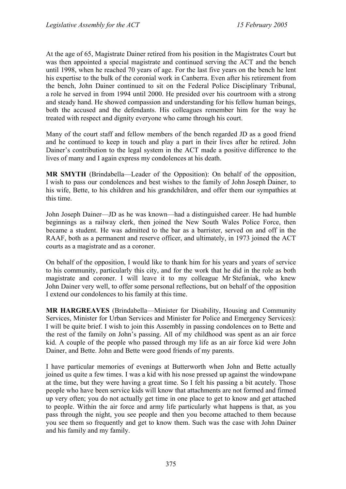At the age of 65, Magistrate Dainer retired from his position in the Magistrates Court but was then appointed a special magistrate and continued serving the ACT and the bench until 1998, when he reached 70 years of age. For the last five years on the bench he lent his expertise to the bulk of the coronial work in Canberra. Even after his retirement from the bench, John Dainer continued to sit on the Federal Police Disciplinary Tribunal, a role he served in from 1994 until 2000. He presided over his courtroom with a strong and steady hand. He showed compassion and understanding for his fellow human beings, both the accused and the defendants. His colleagues remember him for the way he treated with respect and dignity everyone who came through his court.

Many of the court staff and fellow members of the bench regarded JD as a good friend and he continued to keep in touch and play a part in their lives after he retired. John Dainer's contribution to the legal system in the ACT made a positive difference to the lives of many and I again express my condolences at his death.

**MR SMYTH** (Brindabella—Leader of the Opposition): On behalf of the opposition, I wish to pass our condolences and best wishes to the family of John Joseph Dainer, to his wife, Bette, to his children and his grandchildren, and offer them our sympathies at this time.

John Joseph Dainer—JD as he was known—had a distinguished career. He had humble beginnings as a railway clerk, then joined the New South Wales Police Force, then became a student. He was admitted to the bar as a barrister, served on and off in the RAAF, both as a permanent and reserve officer, and ultimately, in 1973 joined the ACT courts as a magistrate and as a coroner.

On behalf of the opposition, I would like to thank him for his years and years of service to his community, particularly this city, and for the work that he did in the role as both magistrate and coroner. I will leave it to my colleague Mr Stefaniak, who knew John Dainer very well, to offer some personal reflections, but on behalf of the opposition I extend our condolences to his family at this time.

**MR HARGREAVES** (Brindabella—Minister for Disability, Housing and Community Services, Minister for Urban Services and Minister for Police and Emergency Services): I will be quite brief. I wish to join this Assembly in passing condolences on to Bette and the rest of the family on John's passing. All of my childhood was spent as an air force kid. A couple of the people who passed through my life as an air force kid were John Dainer, and Bette. John and Bette were good friends of my parents.

I have particular memories of evenings at Butterworth when John and Bette actually joined us quite a few times. I was a kid with his nose pressed up against the windowpane at the time, but they were having a great time. So I felt his passing a bit acutely. Those people who have been service kids will know that attachments are not formed and firmed up very often; you do not actually get time in one place to get to know and get attached to people. Within the air force and army life particularly what happens is that, as you pass through the night, you see people and then you become attached to them because you see them so frequently and get to know them. Such was the case with John Dainer and his family and my family.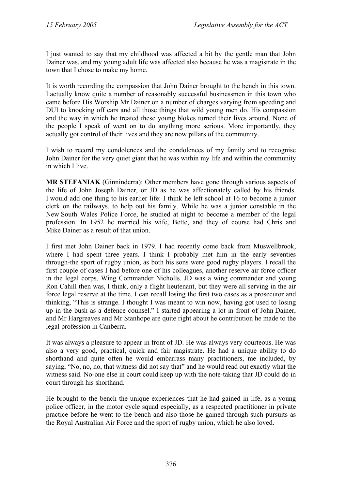I just wanted to say that my childhood was affected a bit by the gentle man that John Dainer was, and my young adult life was affected also because he was a magistrate in the town that I chose to make my home.

It is worth recording the compassion that John Dainer brought to the bench in this town. I actually know quite a number of reasonably successful businessmen in this town who came before His Worship Mr Dainer on a number of charges varying from speeding and DUI to knocking off cars and all those things that wild young men do. His compassion and the way in which he treated these young blokes turned their lives around. None of the people I speak of went on to do anything more serious. More importantly, they actually got control of their lives and they are now pillars of the community.

I wish to record my condolences and the condolences of my family and to recognise John Dainer for the very quiet giant that he was within my life and within the community in which I live.

**MR STEFANIAK** (Ginninderra): Other members have gone through various aspects of the life of John Joseph Dainer, or JD as he was affectionately called by his friends. I would add one thing to his earlier life: I think he left school at 16 to become a junior clerk on the railways, to help out his family. While he was a junior constable in the New South Wales Police Force, he studied at night to become a member of the legal profession. In 1952 he married his wife, Bette, and they of course had Chris and Mike Dainer as a result of that union.

I first met John Dainer back in 1979. I had recently come back from Muswellbrook, where I had spent three years. I think I probably met him in the early seventies through-the sport of rugby union, as both his sons were good rugby players. I recall the first couple of cases I had before one of his colleagues, another reserve air force officer in the legal corps, Wing Commander Nicholls. JD was a wing commander and young Ron Cahill then was, I think, only a flight lieutenant, but they were all serving in the air force legal reserve at the time. I can recall losing the first two cases as a prosecutor and thinking, "This is strange. I thought I was meant to win now, having got used to losing up in the bush as a defence counsel." I started appearing a lot in front of John Dainer, and Mr Hargreaves and Mr Stanhope are quite right about he contribution he made to the legal profession in Canberra.

It was always a pleasure to appear in front of JD. He was always very courteous. He was also a very good, practical, quick and fair magistrate. He had a unique ability to do shorthand and quite often he would embarrass many practitioners, me included, by saying, "No, no, no, that witness did not say that" and he would read out exactly what the witness said. No-one else in court could keep up with the note-taking that JD could do in court through his shorthand.

He brought to the bench the unique experiences that he had gained in life, as a young police officer, in the motor cycle squad especially, as a respected practitioner in private practice before he went to the bench and also those he gained through such pursuits as the Royal Australian Air Force and the sport of rugby union, which he also loved.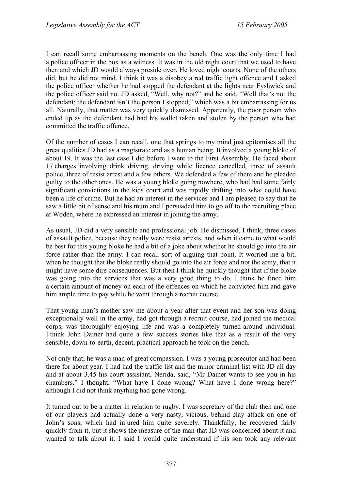I can recall some embarrassing moments on the bench. One was the only time I had a police officer in the box as a witness. It was in the old night court that we used to have then and which JD would always preside over. He loved night courts. None of the others did, but he did not mind. I think it was a disobey a red traffic light offence and I asked the police officer whether he had stopped the defendant at the lights near Fyshwick and the police officer said no. JD asked, "Well, why not?" and he said, "Well that's not the defendant; the defendant isn't the person I stopped," which was a bit embarrassing for us all. Naturally, that matter was very quickly dismissed. Apparently, the poor person who ended up as the defendant had had his wallet taken and stolen by the person who had committed the traffic offence.

Of the number of cases I can recall, one that springs to my mind just epitomises all the great qualities JD had as a magistrate and as a human being. It involved a young bloke of about 19. It was the last case I did before I went to the First Assembly. He faced about 17 charges involving drink driving, driving while licence cancelled, three of assault police, three of resist arrest and a few others. We defended a few of them and he pleaded guilty to the other ones. He was a young bloke going nowhere, who had had some fairly significant convictions in the kids court and was rapidly drifting into what could have been a life of crime. But he had an interest in the services and I am pleased to say that he saw a little bit of sense and his mum and I persuaded him to go off to the recruiting place at Woden, where he expressed an interest in joining the army.

As usual, JD did a very sensible and professional job. He dismissed, I think, three cases of assault police, because they really were resist arrests, and when it came to what would be best for this young bloke he had a bit of a joke about whether he should go into the air force rather than the army. I can recall sort of arguing that point. It worried me a bit, when he thought that the bloke really should go into the air force and not the army, that it might have some dire consequences. But then I think he quickly thought that if the bloke was going into the services that was a very good thing to do. I think he fined him a certain amount of money on each of the offences on which he convicted him and gave him ample time to pay while he went through a recruit course.

That young man's mother saw me about a year after that event and her son was doing exceptionally well in the army, had got through a recruit course, had joined the medical corps, was thoroughly enjoying life and was a completely turned-around individual. I think John Dainer had quite a few success stories like that as a result of the very sensible, down-to-earth, decent, practical approach he took on the bench.

Not only that; he was a man of great compassion. I was a young prosecutor and had been there for about year. I had had the traffic list and the minor criminal list with JD all day and at about 3.45 his court assistant, Nerida, said, "Mr Dainer wants to see you in his chambers." I thought, "What have I done wrong? What have I done wrong here?" although I did not think anything had gone wrong.

It turned out to be a matter in relation to rugby. I was secretary of the club then and one of our players had actually done a very nasty, vicious, behind-play attack on one of John's sons, which had injured him quite severely. Thankfully, he recovered fairly quickly from it, but it shows the measure of the man that JD was concerned about it and wanted to talk about it. I said I would quite understand if his son took any relevant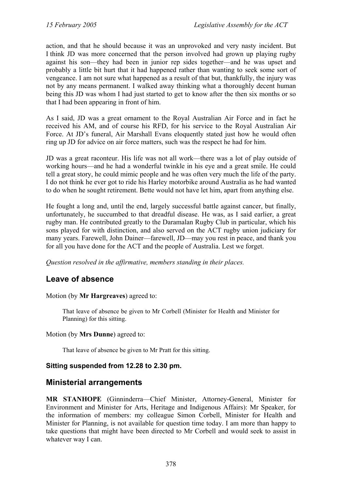action, and that he should because it was an unprovoked and very nasty incident. But I think JD was more concerned that the person involved had grown up playing rugby against his son—they had been in junior rep sides together—and he was upset and probably a little bit hurt that it had happened rather than wanting to seek some sort of vengeance. I am not sure what happened as a result of that but, thankfully, the injury was not by any means permanent. I walked away thinking what a thoroughly decent human being this JD was whom I had just started to get to know after the then six months or so that I had been appearing in front of him.

As I said, JD was a great ornament to the Royal Australian Air Force and in fact he received his AM, and of course his RFD, for his service to the Royal Australian Air Force. At JD's funeral, Air Marshall Evans eloquently stated just how he would often ring up JD for advice on air force matters, such was the respect he had for him.

JD was a great raconteur. His life was not all work—there was a lot of play outside of working hours—and he had a wonderful twinkle in his eye and a great smile. He could tell a great story, he could mimic people and he was often very much the life of the party. I do not think he ever got to ride his Harley motorbike around Australia as he had wanted to do when he sought retirement. Bette would not have let him, apart from anything else.

He fought a long and, until the end, largely successful battle against cancer, but finally, unfortunately, he succumbed to that dreadful disease. He was, as I said earlier, a great rugby man. He contributed greatly to the Daramalan Rugby Club in particular, which his sons played for with distinction, and also served on the ACT rugby union judiciary for many years. Farewell, John Dainer—farewell, JD—may you rest in peace, and thank you for all you have done for the ACT and the people of Australia. Lest we forget.

*Question resolved in the affirmative, members standing in their places.* 

## <span id="page-32-0"></span>**Leave of absence**

#### Motion (by **Mr Hargreaves**) agreed to:

That leave of absence be given to Mr Corbell (Minister for Health and Minister for Planning) for this sitting.

#### Motion (by **Mrs Dunne**) agreed to:

That leave of absence be given to Mr Pratt for this sitting.

### **Sitting suspended from 12.28 to 2.30 pm.**

### <span id="page-32-1"></span>**Ministerial arrangements**

**MR STANHOPE** (Ginninderra—Chief Minister, Attorney-General, Minister for Environment and Minister for Arts, Heritage and Indigenous Affairs): Mr Speaker, for the information of members: my colleague Simon Corbell, Minister for Health and Minister for Planning, is not available for question time today. I am more than happy to take questions that might have been directed to Mr Corbell and would seek to assist in whatever way I can.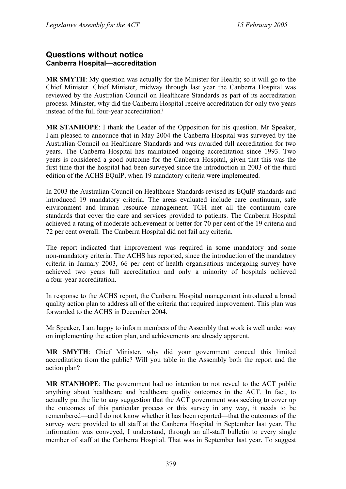### <span id="page-33-0"></span>**Questions without notice Canberra Hospital—accreditation**

**MR SMYTH**: My question was actually for the Minister for Health; so it will go to the Chief Minister. Chief Minister, midway through last year the Canberra Hospital was reviewed by the Australian Council on Healthcare Standards as part of its accreditation process. Minister, why did the Canberra Hospital receive accreditation for only two years instead of the full four-year accreditation?

**MR STANHOPE**: I thank the Leader of the Opposition for his question. Mr Speaker, I am pleased to announce that in May 2004 the Canberra Hospital was surveyed by the Australian Council on Healthcare Standards and was awarded full accreditation for two years. The Canberra Hospital has maintained ongoing accreditation since 1993. Two years is considered a good outcome for the Canberra Hospital, given that this was the first time that the hospital had been surveyed since the introduction in 2003 of the third edition of the ACHS EQuIP, when 19 mandatory criteria were implemented.

In 2003 the Australian Council on Healthcare Standards revised its EQuIP standards and introduced 19 mandatory criteria. The areas evaluated include care continuum, safe environment and human resource management. TCH met all the continuum care standards that cover the care and services provided to patients. The Canberra Hospital achieved a rating of moderate achievement or better for 70 per cent of the 19 criteria and 72 per cent overall. The Canberra Hospital did not fail any criteria.

The report indicated that improvement was required in some mandatory and some non-mandatory criteria. The ACHS has reported, since the introduction of the mandatory criteria in January 2003, 66 per cent of health organisations undergoing survey have achieved two years full accreditation and only a minority of hospitals achieved a four-year accreditation.

In response to the ACHS report, the Canberra Hospital management introduced a broad quality action plan to address all of the criteria that required improvement. This plan was forwarded to the ACHS in December 2004.

Mr Speaker, I am happy to inform members of the Assembly that work is well under way on implementing the action plan, and achievements are already apparent.

**MR SMYTH**: Chief Minister, why did your government conceal this limited accreditation from the public? Will you table in the Assembly both the report and the action plan?

**MR STANHOPE**: The government had no intention to not reveal to the ACT public anything about healthcare and healthcare quality outcomes in the ACT. In fact, to actually put the lie to any suggestion that the ACT government was seeking to cover up the outcomes of this particular process or this survey in any way, it needs to be remembered—and I do not know whether it has been reported—that the outcomes of the survey were provided to all staff at the Canberra Hospital in September last year. The information was conveyed, I understand, through an all-staff bulletin to every single member of staff at the Canberra Hospital. That was in September last year. To suggest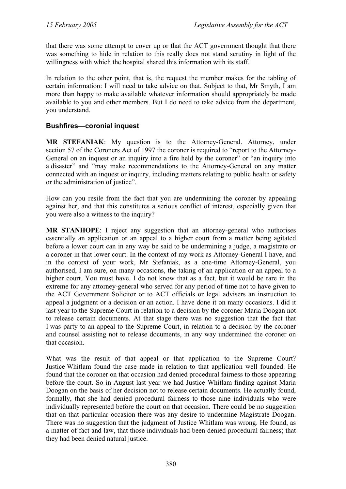that there was some attempt to cover up or that the ACT government thought that there was something to hide in relation to this really does not stand scrutiny in light of the willingness with which the hospital shared this information with its staff.

In relation to the other point, that is, the request the member makes for the tabling of certain information: I will need to take advice on that. Subject to that, Mr Smyth, I am more than happy to make available whatever information should appropriately be made available to you and other members. But I do need to take advice from the department, you understand.

### <span id="page-34-0"></span>**Bushfires—coronial inquest**

**MR STEFANIAK**: My question is to the Attorney-General. Attorney, under section 57 of the Coroners Act of 1997 the coroner is required to "report to the Attorney-General on an inquest or an inquiry into a fire held by the coroner" or "an inquiry into a disaster" and "may make recommendations to the Attorney-General on any matter connected with an inquest or inquiry, including matters relating to public health or safety or the administration of justice".

How can you resile from the fact that you are undermining the coroner by appealing against her, and that this constitutes a serious conflict of interest, especially given that you were also a witness to the inquiry?

**MR STANHOPE**: I reject any suggestion that an attorney-general who authorises essentially an application or an appeal to a higher court from a matter being agitated before a lower court can in any way be said to be undermining a judge, a magistrate or a coroner in that lower court. In the context of my work as Attorney-General I have, and in the context of your work, Mr Stefaniak, as a one-time Attorney-General, you authorised, I am sure, on many occasions, the taking of an application or an appeal to a higher court. You must have. I do not know that as a fact, but it would be rare in the extreme for any attorney-general who served for any period of time not to have given to the ACT Government Solicitor or to ACT officials or legal advisers an instruction to appeal a judgment or a decision or an action. I have done it on many occasions. I did it last year to the Supreme Court in relation to a decision by the coroner Maria Doogan not to release certain documents. At that stage there was no suggestion that the fact that I was party to an appeal to the Supreme Court, in relation to a decision by the coroner and counsel assisting not to release documents, in any way undermined the coroner on that occasion.

What was the result of that appeal or that application to the Supreme Court? Justice Whitlam found the case made in relation to that application well founded. He found that the coroner on that occasion had denied procedural fairness to those appearing before the court. So in August last year we had Justice Whitlam finding against Maria Doogan on the basis of her decision not to release certain documents. He actually found, formally, that she had denied procedural fairness to those nine individuals who were individually represented before the court on that occasion. There could be no suggestion that on that particular occasion there was any desire to undermine Magistrate Doogan. There was no suggestion that the judgment of Justice Whitlam was wrong. He found, as a matter of fact and law, that those individuals had been denied procedural fairness; that they had been denied natural justice.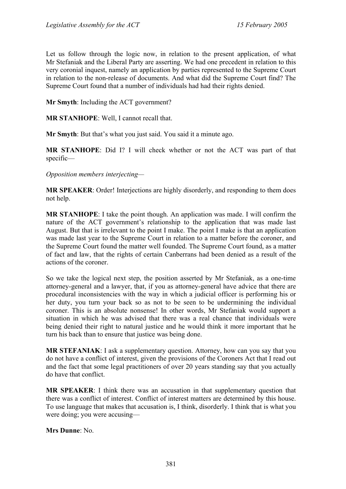Let us follow through the logic now, in relation to the present application, of what Mr Stefaniak and the Liberal Party are asserting. We had one precedent in relation to this very coronial inquest, namely an application by parties represented to the Supreme Court in relation to the non-release of documents. And what did the Supreme Court find? The Supreme Court found that a number of individuals had had their rights denied.

**Mr Smyth**: Including the ACT government?

**MR STANHOPE**: Well, I cannot recall that.

**Mr Smyth**: But that's what you just said. You said it a minute ago.

**MR STANHOPE**: Did I? I will check whether or not the ACT was part of that specific—

*Opposition members interjecting—* 

**MR SPEAKER**: Order! Interjections are highly disorderly, and responding to them does not help.

**MR STANHOPE**: I take the point though. An application was made. I will confirm the nature of the ACT government's relationship to the application that was made last August. But that is irrelevant to the point I make. The point I make is that an application was made last year to the Supreme Court in relation to a matter before the coroner, and the Supreme Court found the matter well founded. The Supreme Court found, as a matter of fact and law, that the rights of certain Canberrans had been denied as a result of the actions of the coroner.

So we take the logical next step, the position asserted by Mr Stefaniak, as a one-time attorney-general and a lawyer, that, if you as attorney-general have advice that there are procedural inconsistencies with the way in which a judicial officer is performing his or her duty, you turn your back so as not to be seen to be undermining the individual coroner. This is an absolute nonsense! In other words, Mr Stefaniak would support a situation in which he was advised that there was a real chance that individuals were being denied their right to natural justice and he would think it more important that he turn his back than to ensure that justice was being done.

**MR STEFANIAK**: I ask a supplementary question. Attorney, how can you say that you do not have a conflict of interest, given the provisions of the Coroners Act that I read out and the fact that some legal practitioners of over 20 years standing say that you actually do have that conflict.

**MR SPEAKER**: I think there was an accusation in that supplementary question that there was a conflict of interest. Conflict of interest matters are determined by this house. To use language that makes that accusation is, I think, disorderly. I think that is what you were doing; you were accusing—

**Mrs Dunne**: No.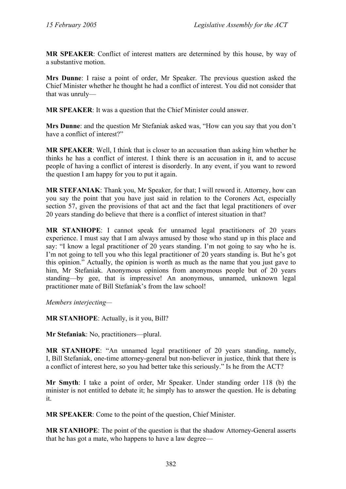**MR SPEAKER**: Conflict of interest matters are determined by this house, by way of a substantive motion.

**Mrs Dunne**: I raise a point of order, Mr Speaker. The previous question asked the Chief Minister whether he thought he had a conflict of interest. You did not consider that that was unruly—

**MR SPEAKER**: It was a question that the Chief Minister could answer.

**Mrs Dunne**: and the question Mr Stefaniak asked was, "How can you say that you don't have a conflict of interest?"

**MR SPEAKER**: Well, I think that is closer to an accusation than asking him whether he thinks he has a conflict of interest. I think there is an accusation in it, and to accuse people of having a conflict of interest is disorderly. In any event, if you want to reword the question I am happy for you to put it again.

**MR STEFANIAK**: Thank you, Mr Speaker, for that; I will reword it. Attorney, how can you say the point that you have just said in relation to the Coroners Act, especially section 57, given the provisions of that act and the fact that legal practitioners of over 20 years standing do believe that there is a conflict of interest situation in that?

**MR STANHOPE**: I cannot speak for unnamed legal practitioners of 20 years experience. I must say that I am always amused by those who stand up in this place and say: "I know a legal practitioner of 20 years standing. I'm not going to say who he is. I'm not going to tell you who this legal practitioner of 20 years standing is. But he's got this opinion." Actually, the opinion is worth as much as the name that you just gave to him, Mr Stefaniak. Anonymous opinions from anonymous people but of 20 years standing—by gee, that is impressive! An anonymous, unnamed, unknown legal practitioner mate of Bill Stefaniak's from the law school!

*Members interjecting—*

**MR STANHOPE**: Actually, is it you, Bill?

**Mr Stefaniak**: No, practitioners—plural.

**MR STANHOPE**: "An unnamed legal practitioner of 20 years standing, namely, I, Bill Stefaniak, one-time attorney-general but non-believer in justice, think that there is a conflict of interest here, so you had better take this seriously." Is he from the ACT?

**Mr Smyth**: I take a point of order, Mr Speaker. Under standing order 118 (b) the minister is not entitled to debate it; he simply has to answer the question. He is debating it.

**MR SPEAKER**: Come to the point of the question, Chief Minister.

**MR STANHOPE**: The point of the question is that the shadow Attorney-General asserts that he has got a mate, who happens to have a law degree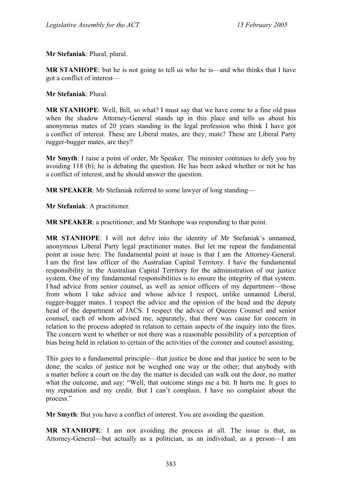**Mr Stefaniak**: Plural, plural.

**MR STANHOPE**: but he is not going to tell us who he is—and who thinks that I have got a conflict of interest—

**Mr Stefaniak**: Plural.

**MR STANHOPE**: Well, Bill, so what? I must say that we have come to a fine old pass when the shadow Attorney-General stands up in this place and tells us about his anonymous mates of 20 years standing in the legal profession who think I have got a conflict of interest. These are Liberal mates, are they, mate? These are Liberal Party rugger-bugger mates, are they?

**Mr Smyth**: I raise a point of order, Mr Speaker. The minister continues to defy you by avoiding 118 (b); he is debating the question. He has been asked whether or not he has a conflict of interest, and he should answer the question.

**MR SPEAKER**: Mr Stefaniak referred to some lawyer of long standing—

**Mr Stefaniak**: A practitioner.

**MR SPEAKER**: a practitioner, and Mr Stanhope was responding to that point.

**MR STANHOPE**: I will not delve into the identity of Mr Stefaniak's unnamed, anonymous Liberal Party legal practitioner mates. But let me repeat the fundamental point at issue here. The fundamental point at issue is that I am the Attorney-General. I am the first law officer of the Australian Capital Territory. I have the fundamental responsibility in the Australian Capital Territory for the administration of our justice system. One of my fundamental responsibilities is to ensure the integrity of that system. I had advice from senior counsel, as well as senior officers of my department—those from whom I take advice and whose advice I respect, unlike unnamed Liberal, rugger-bugger mates. I respect the advice and the opinion of the head and the deputy head of the department of JACS. I respect the advice of Queens Counsel and senior counsel, each of whom advised me, separately, that there was cause for concern in relation to the process adopted in relation to certain aspects of the inquiry into the fires. The concern went to whether or not there was a reasonable possibility of a perception of bias being held in relation to certain of the activities of the coroner and counsel assisting.

This goes to a fundamental principle—that justice be done and that justice be seen to be done; the scales of justice not be weighed one way or the other; that anybody with a matter before a court on the day the matter is decided can walk out the door, no matter what the outcome, and say: "Well, that outcome stings me a bit. It hurts me. It goes to my reputation and my credit. But I can't complain. I have no complaint about the process."

**Mr Smyth**: But you have a conflict of interest. You are avoiding the question.

**MR STANHOPE**: I am not avoiding the process at all. The issue is that, as Attorney-General—but actually as a politician, as an individual, as a person—I am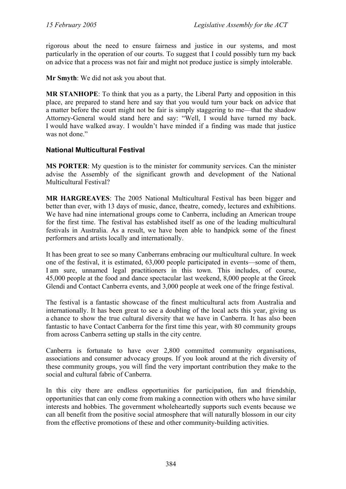rigorous about the need to ensure fairness and justice in our systems, and most particularly in the operation of our courts. To suggest that I could possibly turn my back on advice that a process was not fair and might not produce justice is simply intolerable.

**Mr Smyth**: We did not ask you about that.

**MR STANHOPE**: To think that you as a party, the Liberal Party and opposition in this place, are prepared to stand here and say that you would turn your back on advice that a matter before the court might not be fair is simply staggering to me—that the shadow Attorney-General would stand here and say: "Well, I would have turned my back. I would have walked away. I wouldn't have minded if a finding was made that justice was not done."

## **National Multicultural Festival**

**MS PORTER**: My question is to the minister for community services. Can the minister advise the Assembly of the significant growth and development of the National Multicultural Festival?

**MR HARGREAVES**: The 2005 National Multicultural Festival has been bigger and better than ever, with 13 days of music, dance, theatre, comedy, lectures and exhibitions. We have had nine international groups come to Canberra, including an American troupe for the first time. The festival has established itself as one of the leading multicultural festivals in Australia. As a result, we have been able to handpick some of the finest performers and artists locally and internationally.

It has been great to see so many Canberrans embracing our multicultural culture. In week one of the festival, it is estimated, 63,000 people participated in events—some of them, I am sure, unnamed legal practitioners in this town. This includes, of course, 45,000 people at the food and dance spectacular last weekend, 8,000 people at the Greek Glendi and Contact Canberra events, and 3,000 people at week one of the fringe festival.

The festival is a fantastic showcase of the finest multicultural acts from Australia and internationally. It has been great to see a doubling of the local acts this year, giving us a chance to show the true cultural diversity that we have in Canberra. It has also been fantastic to have Contact Canberra for the first time this year, with 80 community groups from across Canberra setting up stalls in the city centre.

Canberra is fortunate to have over 2,800 committed community organisations, associations and consumer advocacy groups. If you look around at the rich diversity of these community groups, you will find the very important contribution they make to the social and cultural fabric of Canberra.

In this city there are endless opportunities for participation, fun and friendship, opportunities that can only come from making a connection with others who have similar interests and hobbies. The government wholeheartedly supports such events because we can all benefit from the positive social atmosphere that will naturally blossom in our city from the effective promotions of these and other community-building activities.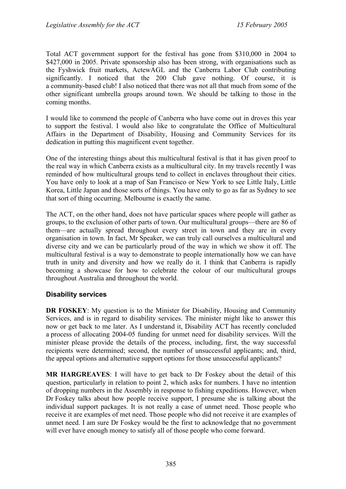Total ACT government support for the festival has gone from \$310,000 in 2004 to \$427,000 in 2005. Private sponsorship also has been strong, with organisations such as the Fyshwick fruit markets, ActewAGL and the Canberra Labor Club contributing significantly. I noticed that the 200 Club gave nothing. Of course, it is a community-based club! I also noticed that there was not all that much from some of the other significant umbrella groups around town. We should be talking to those in the coming months.

I would like to commend the people of Canberra who have come out in droves this year to support the festival. I would also like to congratulate the Office of Multicultural Affairs in the Department of Disability, Housing and Community Services for its dedication in putting this magnificent event together.

One of the interesting things about this multicultural festival is that it has given proof to the real way in which Canberra exists as a multicultural city. In my travels recently I was reminded of how multicultural groups tend to collect in enclaves throughout their cities. You have only to look at a map of San Francisco or New York to see Little Italy, Little Korea, Little Japan and those sorts of things. You have only to go as far as Sydney to see that sort of thing occurring. Melbourne is exactly the same.

The ACT, on the other hand, does not have particular spaces where people will gather as groups, to the exclusion of other parts of town. Our multicultural groups—there are 86 of them—are actually spread throughout every street in town and they are in every organisation in town. In fact, Mr Speaker, we can truly call ourselves a multicultural and diverse city and we can be particularly proud of the way in which we show it off. The multicultural festival is a way to demonstrate to people internationally how we can have truth in unity and diversity and how we really do it. I think that Canberra is rapidly becoming a showcase for how to celebrate the colour of our multicultural groups throughout Australia and throughout the world.

## **Disability services**

**DR FOSKEY:** My question is to the Minister for Disability, Housing and Community Services, and is in regard to disability services. The minister might like to answer this now or get back to me later. As I understand it, Disability ACT has recently concluded a process of allocating 2004-05 funding for unmet need for disability services. Will the minister please provide the details of the process, including, first, the way successful recipients were determined; second, the number of unsuccessful applicants; and, third, the appeal options and alternative support options for those unsuccessful applicants?

**MR HARGREAVES**: I will have to get back to Dr Foskey about the detail of this question, particularly in relation to point 2, which asks for numbers. I have no intention of dropping numbers in the Assembly in response to fishing expeditions. However, when Dr Foskey talks about how people receive support, I presume she is talking about the individual support packages. It is not really a case of unmet need. Those people who receive it are examples of met need. Those people who did not receive it are examples of unmet need. I am sure Dr Foskey would be the first to acknowledge that no government will ever have enough money to satisfy all of those people who come forward.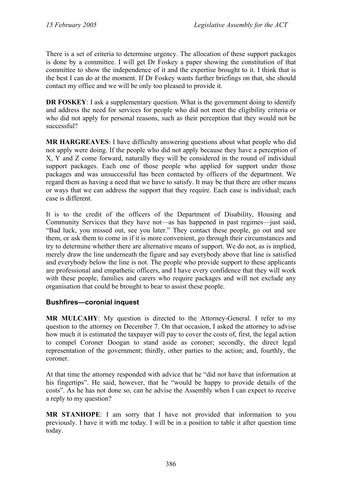There is a set of criteria to determine urgency. The allocation of these support packages is done by a committee. I will get Dr Foskey a paper showing the constitution of that committee to show the independence of it and the expertise brought to it. I think that is the best I can do at the moment. If Dr Foskey wants further briefings on that, she should contact my office and we will be only too pleased to provide it.

**DR FOSKEY**: I ask a supplementary question. What is the government doing to identify and address the need for services for people who did not meet the eligibility criteria or who did not apply for personal reasons, such as their perception that they would not be successful?

**MR HARGREAVES**: I have difficulty answering questions about what people who did not apply were doing. If the people who did not apply because they have a perception of X, Y and Z come forward, naturally they will be considered in the round of individual support packages. Each one of those people who applied for support under those packages and was unsuccessful has been contacted by officers of the department. We regard them as having a need that we have to satisfy. It may be that there are other means or ways that we can address the support that they require. Each case is individual; each case is different.

It is to the credit of the officers of the Department of Disability, Housing and Community Services that they have not—as has happened in past regimes—just said, "Bad luck, you missed out, see you later." They contact these people, go out and see them, or ask them to come in if it is more convenient, go through their circumstances and try to determine whether there are alternative means of support. We do not, as is implied, merely draw the line underneath the figure and say everybody above that line is satisfied and everybody below the line is not. The people who provide support to these applicants are professional and empathetic officers, and I have every confidence that they will work with these people, families and carers who require packages and will not exclude any organisation that could be brought to bear to assist these people.

## **Bushfires—coronial inquest**

**MR MULCAHY**: My question is directed to the Attorney-General. I refer to my question to the attorney on December 7. On that occasion, I asked the attorney to advise how much it is estimated the taxpayer will pay to cover the costs of, first, the legal action to compel Coroner Doogan to stand aside as coroner; secondly, the direct legal representation of the government; thirdly, other parties to the action; and, fourthly, the coroner.

At that time the attorney responded with advice that he "did not have that information at his fingertips". He said, however, that he "would be happy to provide details of the costs". As he has not done so, can he advise the Assembly when I can expect to receive a reply to my question?

**MR STANHOPE**: I am sorry that I have not provided that information to you previously. I have it with me today. I will be in a position to table it after question time today.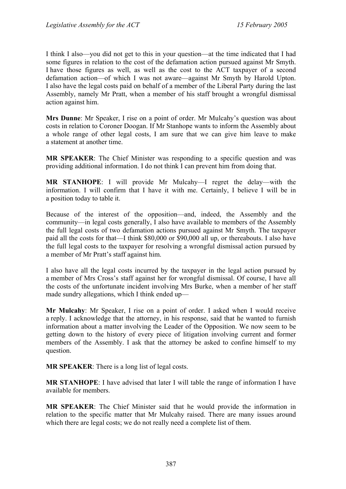I think I also—you did not get to this in your question—at the time indicated that I had some figures in relation to the cost of the defamation action pursued against Mr Smyth. I have those figures as well, as well as the cost to the ACT taxpayer of a second defamation action—of which I was not aware—against Mr Smyth by Harold Upton. I also have the legal costs paid on behalf of a member of the Liberal Party during the last Assembly, namely Mr Pratt, when a member of his staff brought a wrongful dismissal action against him.

**Mrs Dunne**: Mr Speaker, I rise on a point of order. Mr Mulcahy's question was about costs in relation to Coroner Doogan. If Mr Stanhope wants to inform the Assembly about a whole range of other legal costs, I am sure that we can give him leave to make a statement at another time.

**MR SPEAKER**: The Chief Minister was responding to a specific question and was providing additional information. I do not think I can prevent him from doing that.

**MR STANHOPE**: I will provide Mr Mulcahy—I regret the delay—with the information. I will confirm that I have it with me. Certainly, I believe I will be in a position today to table it.

Because of the interest of the opposition—and, indeed, the Assembly and the community—in legal costs generally, I also have available to members of the Assembly the full legal costs of two defamation actions pursued against Mr Smyth. The taxpayer paid all the costs for that—I think \$80,000 or \$90,000 all up, or thereabouts. I also have the full legal costs to the taxpayer for resolving a wrongful dismissal action pursued by a member of Mr Pratt's staff against him.

I also have all the legal costs incurred by the taxpayer in the legal action pursued by a member of Mrs Cross's staff against her for wrongful dismissal. Of course, I have all the costs of the unfortunate incident involving Mrs Burke, when a member of her staff made sundry allegations, which I think ended up—

**Mr Mulcahy**: Mr Speaker, I rise on a point of order. I asked when I would receive a reply. I acknowledge that the attorney, in his response, said that he wanted to furnish information about a matter involving the Leader of the Opposition. We now seem to be getting down to the history of every piece of litigation involving current and former members of the Assembly. I ask that the attorney be asked to confine himself to my question.

**MR SPEAKER**: There is a long list of legal costs.

**MR STANHOPE**: I have advised that later I will table the range of information I have available for members.

**MR SPEAKER**: The Chief Minister said that he would provide the information in relation to the specific matter that Mr Mulcahy raised. There are many issues around which there are legal costs; we do not really need a complete list of them.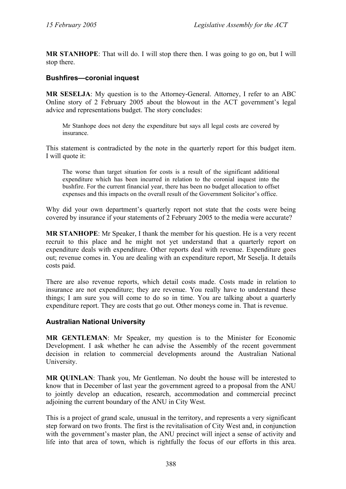**MR STANHOPE**: That will do. I will stop there then. I was going to go on, but I will stop there.

### **Bushfires—coronial inquest**

**MR SESELJA**: My question is to the Attorney-General. Attorney, I refer to an ABC Online story of 2 February 2005 about the blowout in the ACT government's legal advice and representations budget. The story concludes:

Mr Stanhope does not deny the expenditure but says all legal costs are covered by insurance.

This statement is contradicted by the note in the quarterly report for this budget item. I will quote it:

The worse than target situation for costs is a result of the significant additional expenditure which has been incurred in relation to the coronial inquest into the bushfire. For the current financial year, there has been no budget allocation to offset expenses and this impacts on the overall result of the Government Solicitor's office.

Why did your own department's quarterly report not state that the costs were being covered by insurance if your statements of 2 February 2005 to the media were accurate?

**MR STANHOPE**: Mr Speaker, I thank the member for his question. He is a very recent recruit to this place and he might not yet understand that a quarterly report on expenditure deals with expenditure. Other reports deal with revenue. Expenditure goes out; revenue comes in. You are dealing with an expenditure report, Mr Seselja. It details costs paid.

There are also revenue reports, which detail costs made. Costs made in relation to insurance are not expenditure; they are revenue. You really have to understand these things; I am sure you will come to do so in time. You are talking about a quarterly expenditure report. They are costs that go out. Other moneys come in. That is revenue.

### **Australian National University**

**MR GENTLEMAN**: Mr Speaker, my question is to the Minister for Economic Development. I ask whether he can advise the Assembly of the recent government decision in relation to commercial developments around the Australian National University.

**MR QUINLAN**: Thank you, Mr Gentleman. No doubt the house will be interested to know that in December of last year the government agreed to a proposal from the ANU to jointly develop an education, research, accommodation and commercial precinct adjoining the current boundary of the ANU in City West.

This is a project of grand scale, unusual in the territory, and represents a very significant step forward on two fronts. The first is the revitalisation of City West and, in conjunction with the government's master plan, the ANU precinct will inject a sense of activity and life into that area of town, which is rightfully the focus of our efforts in this area.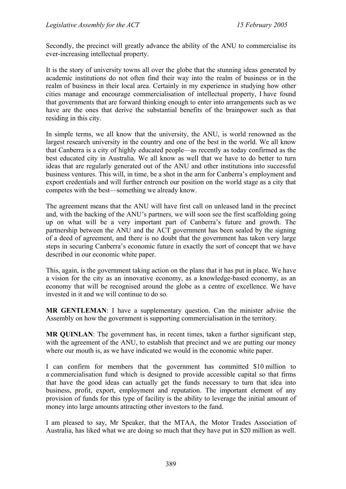Secondly, the precinct will greatly advance the ability of the ANU to commercialise its ever-increasing intellectual property.

It is the story of university towns all over the globe that the stunning ideas generated by academic institutions do not often find their way into the realm of business or in the realm of business in their local area. Certainly in my experience in studying how other cities manage and encourage commercialisation of intellectual property, I have found that governments that are forward thinking enough to enter into arrangements such as we have are the ones that derive the substantial benefits of the brainpower such as that residing in this city.

In simple terms, we all know that the university, the ANU, is world renowned as the largest research university in the country and one of the best in the world. We all know that Canberra is a city of highly educated people—as recently as today confirmed as the best educated city in Australia. We all know as well that we have to do better to turn ideas that are regularly generated out of the ANU and other institutions into successful business ventures. This will, in time, be a shot in the arm for Canberra's employment and export credentials and will further entrench our position on the world stage as a city that competes with the best—something we already know.

The agreement means that the ANU will have first call on unleased land in the precinct and, with the backing of the ANU's partners, we will soon see the first scaffolding going up on what will be a very important part of Canberra's future and growth. The partnership between the ANU and the ACT government has been sealed by the signing of a deed of agreement, and there is no doubt that the government has taken very large steps in securing Canberra's economic future in exactly the sort of concept that we have described in our economic white paper.

This, again, is the government taking action on the plans that it has put in place. We have a vision for the city as an innovative economy, as a knowledge-based economy, as an economy that will be recognised around the globe as a centre of excellence. We have invested in it and we will continue to do so.

**MR GENTLEMAN**: I have a supplementary question. Can the minister advise the Assembly on how the government is supporting commercialisation in the territory.

**MR QUINLAN**: The government has, in recent times, taken a further significant step, with the agreement of the ANU, to establish that precinct and we are putting our money where our mouth is, as we have indicated we would in the economic white paper.

I can confirm for members that the government has committed \$10 million to a commercialisation fund which is designed to provide accessible capital so that firms that have the good ideas can actually get the funds necessary to turn that idea into business, profit, export, employment and reputation. The important element of any provision of funds for this type of facility is the ability to leverage the initial amount of money into large amounts attracting other investors to the fund.

I am pleased to say, Mr Speaker, that the MTAA, the Motor Trades Association of Australia, has liked what we are doing so much that they have put in \$20 million as well.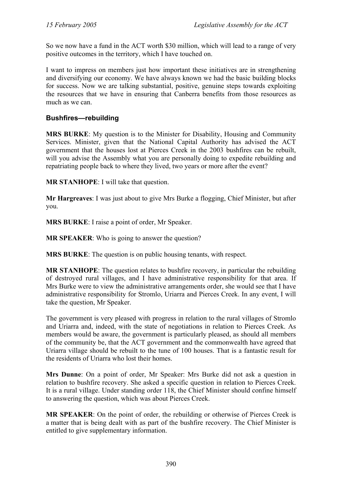So we now have a fund in the ACT worth \$30 million, which will lead to a range of very positive outcomes in the territory, which I have touched on.

I want to impress on members just how important these initiatives are in strengthening and diversifying our economy. We have always known we had the basic building blocks for success. Now we are talking substantial, positive, genuine steps towards exploiting the resources that we have in ensuring that Canberra benefits from those resources as much as we can.

## **Bushfires—rebuilding**

**MRS BURKE**: My question is to the Minister for Disability, Housing and Community Services. Minister, given that the National Capital Authority has advised the ACT government that the houses lost at Pierces Creek in the 2003 bushfires can be rebuilt, will you advise the Assembly what you are personally doing to expedite rebuilding and repatriating people back to where they lived, two years or more after the event?

**MR STANHOPE**: I will take that question.

**Mr Hargreaves**: I was just about to give Mrs Burke a flogging, Chief Minister, but after you.

**MRS BURKE**: I raise a point of order, Mr Speaker.

**MR SPEAKER:** Who is going to answer the question?

**MRS BURKE**: The question is on public housing tenants, with respect.

**MR STANHOPE**: The question relates to bushfire recovery, in particular the rebuilding of destroyed rural villages, and I have administrative responsibility for that area. If Mrs Burke were to view the administrative arrangements order, she would see that I have administrative responsibility for Stromlo, Uriarra and Pierces Creek. In any event, I will take the question, Mr Speaker.

The government is very pleased with progress in relation to the rural villages of Stromlo and Uriarra and, indeed, with the state of negotiations in relation to Pierces Creek. As members would be aware, the government is particularly pleased, as should all members of the community be, that the ACT government and the commonwealth have agreed that Uriarra village should be rebuilt to the tune of 100 houses. That is a fantastic result for the residents of Uriarra who lost their homes.

**Mrs Dunne**: On a point of order, Mr Speaker: Mrs Burke did not ask a question in relation to bushfire recovery. She asked a specific question in relation to Pierces Creek. It is a rural village. Under standing order 118, the Chief Minister should confine himself to answering the question, which was about Pierces Creek.

**MR SPEAKER**: On the point of order, the rebuilding or otherwise of Pierces Creek is a matter that is being dealt with as part of the bushfire recovery. The Chief Minister is entitled to give supplementary information.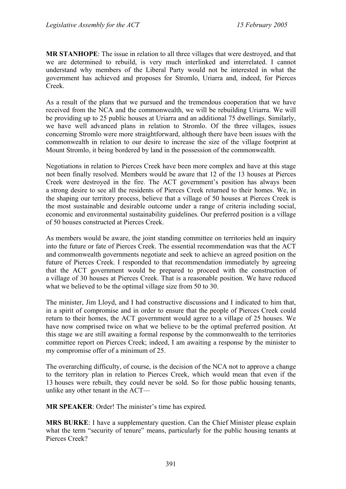**MR STANHOPE**: The issue in relation to all three villages that were destroyed, and that we are determined to rebuild, is very much interlinked and interrelated. I cannot understand why members of the Liberal Party would not be interested in what the government has achieved and proposes for Stromlo, Uriarra and, indeed, for Pierces Creek.

As a result of the plans that we pursued and the tremendous cooperation that we have received from the NCA and the commonwealth, we will be rebuilding Uriarra. We will be providing up to 25 public houses at Uriarra and an additional 75 dwellings. Similarly, we have well advanced plans in relation to Stromlo. Of the three villages, issues concerning Stromlo were more straightforward, although there have been issues with the commonwealth in relation to our desire to increase the size of the village footprint at Mount Stromlo, it being bordered by land in the possession of the commonwealth.

Negotiations in relation to Pierces Creek have been more complex and have at this stage not been finally resolved. Members would be aware that 12 of the 13 houses at Pierces Creek were destroyed in the fire. The ACT government's position has always been a strong desire to see all the residents of Pierces Creek returned to their homes. We, in the shaping our territory process, believe that a village of 50 houses at Pierces Creek is the most sustainable and desirable outcome under a range of criteria including social, economic and environmental sustainability guidelines. Our preferred position is a village of 50 houses constructed at Pierces Creek.

As members would be aware, the joint standing committee on territories held an inquiry into the future or fate of Pierces Creek. The essential recommendation was that the ACT and commonwealth governments negotiate and seek to achieve an agreed position on the future of Pierces Creek. I responded to that recommendation immediately by agreeing that the ACT government would be prepared to proceed with the construction of a village of 30 houses at Pierces Creek. That is a reasonable position. We have reduced what we believed to be the optimal village size from 50 to 30.

The minister, Jim Lloyd, and I had constructive discussions and I indicated to him that, in a spirit of compromise and in order to ensure that the people of Pierces Creek could return to their homes, the ACT government would agree to a village of 25 houses. We have now comprised twice on what we believe to be the optimal preferred position. At this stage we are still awaiting a formal response by the commonwealth to the territories committee report on Pierces Creek; indeed, I am awaiting a response by the minister to my compromise offer of a minimum of 25.

The overarching difficulty, of course, is the decision of the NCA not to approve a change to the territory plan in relation to Pierces Creek, which would mean that even if the 13 houses were rebuilt, they could never be sold. So for those public housing tenants, unlike any other tenant in the ACT—

**MR SPEAKER**: Order! The minister's time has expired.

**MRS BURKE**: I have a supplementary question. Can the Chief Minister please explain what the term "security of tenure" means, particularly for the public housing tenants at Pierces Creek?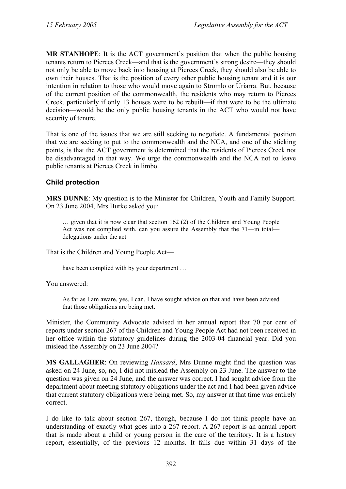**MR STANHOPE**: It is the ACT government's position that when the public housing tenants return to Pierces Creek—and that is the government's strong desire—they should not only be able to move back into housing at Pierces Creek, they should also be able to own their houses. That is the position of every other public housing tenant and it is our intention in relation to those who would move again to Stromlo or Uriarra. But, because of the current position of the commonwealth, the residents who may return to Pierces Creek, particularly if only 13 houses were to be rebuilt—if that were to be the ultimate decision—would be the only public housing tenants in the ACT who would not have security of tenure.

That is one of the issues that we are still seeking to negotiate. A fundamental position that we are seeking to put to the commonwealth and the NCA, and one of the sticking points, is that the ACT government is determined that the residents of Pierces Creek not be disadvantaged in that way. We urge the commonwealth and the NCA not to leave public tenants at Pierces Creek in limbo.

## **Child protection**

**MRS DUNNE**: My question is to the Minister for Children, Youth and Family Support. On 23 June 2004, Mrs Burke asked you:

… given that it is now clear that section 162 (2) of the Children and Young People Act was not complied with, can you assure the Assembly that the 71—in total delegations under the act—

That is the Children and Young People Act—

have been complied with by your department …

You answered:

As far as I am aware, yes, I can. I have sought advice on that and have been advised that those obligations are being met.

Minister, the Community Advocate advised in her annual report that 70 per cent of reports under section 267 of the Children and Young People Act had not been received in her office within the statutory guidelines during the 2003-04 financial year. Did you mislead the Assembly on 23 June 2004?

**MS GALLAGHER**: On reviewing *Hansard*, Mrs Dunne might find the question was asked on 24 June, so, no, I did not mislead the Assembly on 23 June. The answer to the question was given on 24 June, and the answer was correct. I had sought advice from the department about meeting statutory obligations under the act and I had been given advice that current statutory obligations were being met. So, my answer at that time was entirely correct.

I do like to talk about section 267, though, because I do not think people have an understanding of exactly what goes into a 267 report. A 267 report is an annual report that is made about a child or young person in the care of the territory. It is a history report, essentially, of the previous 12 months. It falls due within 31 days of the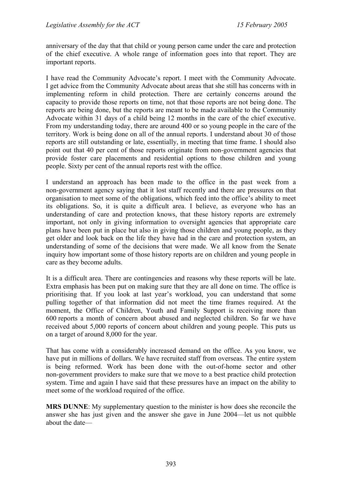anniversary of the day that that child or young person came under the care and protection of the chief executive. A whole range of information goes into that report. They are important reports.

I have read the Community Advocate's report. I meet with the Community Advocate. I get advice from the Community Advocate about areas that she still has concerns with in implementing reform in child protection. There are certainly concerns around the capacity to provide those reports on time, not that those reports are not being done. The reports are being done, but the reports are meant to be made available to the Community Advocate within 31 days of a child being 12 months in the care of the chief executive. From my understanding today, there are around 400 or so young people in the care of the territory. Work is being done on all of the annual reports. I understand about 30 of those reports are still outstanding or late, essentially, in meeting that time frame. I should also point out that 40 per cent of those reports originate from non-government agencies that provide foster care placements and residential options to those children and young people. Sixty per cent of the annual reports rest with the office.

I understand an approach has been made to the office in the past week from a non-government agency saying that it lost staff recently and there are pressures on that organisation to meet some of the obligations, which feed into the office's ability to meet its obligations. So, it is quite a difficult area. I believe, as everyone who has an understanding of care and protection knows, that these history reports are extremely important, not only in giving information to oversight agencies that appropriate care plans have been put in place but also in giving those children and young people, as they get older and look back on the life they have had in the care and protection system, an understanding of some of the decisions that were made. We all know from the Senate inquiry how important some of those history reports are on children and young people in care as they become adults.

It is a difficult area. There are contingencies and reasons why these reports will be late. Extra emphasis has been put on making sure that they are all done on time. The office is prioritising that. If you look at last year's workload, you can understand that some pulling together of that information did not meet the time frames required. At the moment, the Office of Children, Youth and Family Support is receiving more than 600 reports a month of concern about abused and neglected children. So far we have received about 5,000 reports of concern about children and young people. This puts us on a target of around 8,000 for the year.

That has come with a considerably increased demand on the office. As you know, we have put in millions of dollars. We have recruited staff from overseas. The entire system is being reformed. Work has been done with the out-of-home sector and other non-government providers to make sure that we move to a best practice child protection system. Time and again I have said that these pressures have an impact on the ability to meet some of the workload required of the office.

**MRS DUNNE**: My supplementary question to the minister is how does she reconcile the answer she has just given and the answer she gave in June 2004—let us not quibble about the date—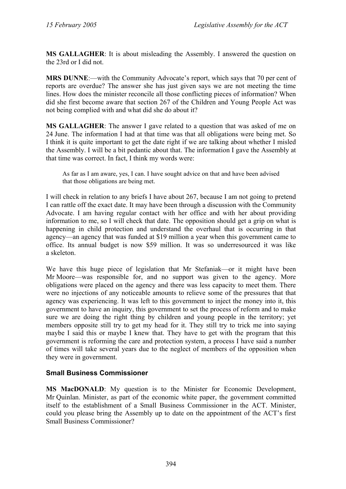**MS GALLAGHER**: It is about misleading the Assembly. I answered the question on the 23rd or I did not.

**MRS DUNNE**:—with the Community Advocate's report, which says that 70 per cent of reports are overdue? The answer she has just given says we are not meeting the time lines. How does the minister reconcile all those conflicting pieces of information? When did she first become aware that section 267 of the Children and Young People Act was not being complied with and what did she do about it?

**MS GALLAGHER**: The answer I gave related to a question that was asked of me on 24 June. The information I had at that time was that all obligations were being met. So I think it is quite important to get the date right if we are talking about whether I misled the Assembly. I will be a bit pedantic about that. The information I gave the Assembly at that time was correct. In fact, I think my words were:

As far as I am aware, yes, I can. I have sought advice on that and have been advised that those obligations are being met.

I will check in relation to any briefs I have about 267, because I am not going to pretend I can rattle off the exact date. It may have been through a discussion with the Community Advocate. I am having regular contact with her office and with her about providing information to me, so I will check that date. The opposition should get a grip on what is happening in child protection and understand the overhaul that is occurring in that agency—an agency that was funded at \$19 million a year when this government came to office. Its annual budget is now \$59 million. It was so underresourced it was like a skeleton.

We have this huge piece of legislation that Mr Stefaniak—or it might have been Mr Moore—was responsible for, and no support was given to the agency. More obligations were placed on the agency and there was less capacity to meet them. There were no injections of any noticeable amounts to relieve some of the pressures that that agency was experiencing. It was left to this government to inject the money into it, this government to have an inquiry, this government to set the process of reform and to make sure we are doing the right thing by children and young people in the territory; yet members opposite still try to get my head for it. They still try to trick me into saying maybe I said this or maybe I knew that. They have to get with the program that this government is reforming the care and protection system, a process I have said a number of times will take several years due to the neglect of members of the opposition when they were in government.

## **Small Business Commissioner**

**MS MacDONALD**: My question is to the Minister for Economic Development, Mr Quinlan. Minister, as part of the economic white paper, the government committed itself to the establishment of a Small Business Commissioner in the ACT. Minister, could you please bring the Assembly up to date on the appointment of the ACT's first Small Business Commissioner?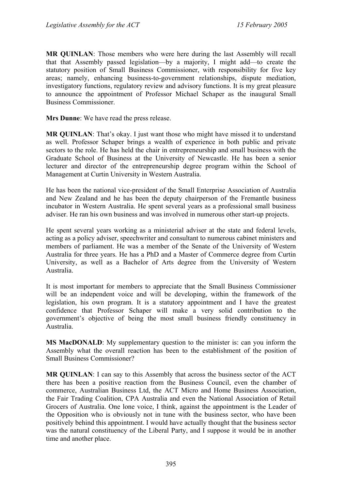**MR QUINLAN**: Those members who were here during the last Assembly will recall that that Assembly passed legislation—by a majority, I might add—to create the statutory position of Small Business Commissioner, with responsibility for five key areas; namely, enhancing business-to-government relationships, dispute mediation, investigatory functions, regulatory review and advisory functions. It is my great pleasure to announce the appointment of Professor Michael Schaper as the inaugural Small Business Commissioner.

**Mrs Dunne**: We have read the press release.

**MR QUINLAN**: That's okay. I just want those who might have missed it to understand as well. Professor Schaper brings a wealth of experience in both public and private sectors to the role. He has held the chair in entrepreneurship and small business with the Graduate School of Business at the University of Newcastle. He has been a senior lecturer and director of the entrepreneurship degree program within the School of Management at Curtin University in Western Australia.

He has been the national vice-president of the Small Enterprise Association of Australia and New Zealand and he has been the deputy chairperson of the Fremantle business incubator in Western Australia. He spent several years as a professional small business adviser. He ran his own business and was involved in numerous other start-up projects.

He spent several years working as a ministerial adviser at the state and federal levels, acting as a policy adviser, speechwriter and consultant to numerous cabinet ministers and members of parliament. He was a member of the Senate of the University of Western Australia for three years. He has a PhD and a Master of Commerce degree from Curtin University, as well as a Bachelor of Arts degree from the University of Western Australia.

It is most important for members to appreciate that the Small Business Commissioner will be an independent voice and will be developing, within the framework of the legislation, his own program. It is a statutory appointment and I have the greatest confidence that Professor Schaper will make a very solid contribution to the government's objective of being the most small business friendly constituency in Australia.

**MS MacDONALD**: My supplementary question to the minister is: can you inform the Assembly what the overall reaction has been to the establishment of the position of Small Business Commissioner?

**MR QUINLAN**: I can say to this Assembly that across the business sector of the ACT there has been a positive reaction from the Business Council, even the chamber of commerce, Australian Business Ltd, the ACT Micro and Home Business Association, the Fair Trading Coalition, CPA Australia and even the National Association of Retail Grocers of Australia. One lone voice, I think, against the appointment is the Leader of the Opposition who is obviously not in tune with the business sector, who have been positively behind this appointment. I would have actually thought that the business sector was the natural constituency of the Liberal Party, and I suppose it would be in another time and another place.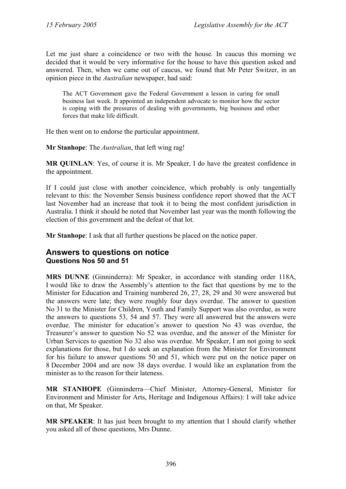Let me just share a coincidence or two with the house. In caucus this morning we decided that it would be very informative for the house to have this question asked and answered. Then, when we came out of caucus, we found that Mr Peter Switzer, in an opinion piece in the *Australian* newspaper, had said:

The ACT Government gave the Federal Government a lesson in caring for small business last week. It appointed an independent advocate to monitor how the sector is coping with the pressures of dealing with governments, big business and other forces that make life difficult.

He then went on to endorse the particular appointment.

**Mr Stanhope**: The *Australian*, that left wing rag!

**MR QUINLAN**: Yes, of course it is. Mr Speaker, I do have the greatest confidence in the appointment.

If I could just close with another coincidence, which probably is only tangentially relevant to this: the November Sensis business confidence report showed that the ACT last November had an increase that took it to being the most confident jurisdiction in Australia. I think it should be noted that November last year was the month following the election of this government and the defeat of that lot.

**Mr Stanhope**: I ask that all further questions be placed on the notice paper.

## **Answers to questions on notice Questions Nos 50 and 51**

**MRS DUNNE** (Ginninderra): Mr Speaker, in accordance with standing order 118A, I would like to draw the Assembly's attention to the fact that questions by me to the Minister for Education and Training numbered 26, 27, 28, 29 and 30 were answered but the answers were late; they were roughly four days overdue. The answer to question No 31 to the Minister for Children, Youth and Family Support was also overdue, as were the answers to questions 53, 54 and 57. They were all answered but the answers were overdue. The minister for education's answer to question No 43 was overdue, the Treasurer's answer to question No 52 was overdue, and the answer of the Minister for Urban Services to question No 32 also was overdue. Mr Speaker, I am not going to seek explanations for those, but I do seek an explanation from the Minister for Environment for his failure to answer questions 50 and 51, which were put on the notice paper on 8 December 2004 and are now 38 days overdue. I would like an explanation from the minister as to the reason for their lateness.

**MR STANHOPE** (Ginninderra—Chief Minister, Attorney-General, Minister for Environment and Minister for Arts, Heritage and Indigenous Affairs): I will take advice on that, Mr Speaker.

**MR SPEAKER**: It has just been brought to my attention that I should clarify whether you asked all of those questions, Mrs Dunne.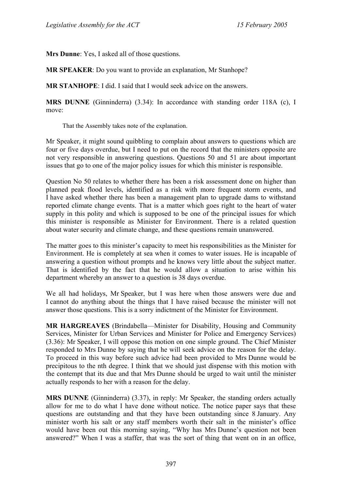**Mrs Dunne**: Yes, I asked all of those questions.

**MR SPEAKER**: Do you want to provide an explanation, Mr Stanhope?

**MR STANHOPE**: I did. I said that I would seek advice on the answers.

**MRS DUNNE** (Ginninderra) (3.34): In accordance with standing order 118A (c), I move:

That the Assembly takes note of the explanation.

Mr Speaker, it might sound quibbling to complain about answers to questions which are four or five days overdue, but I need to put on the record that the ministers opposite are not very responsible in answering questions. Questions 50 and 51 are about important issues that go to one of the major policy issues for which this minister is responsible.

Question No 50 relates to whether there has been a risk assessment done on higher than planned peak flood levels, identified as a risk with more frequent storm events, and I have asked whether there has been a management plan to upgrade dams to withstand reported climate change events. That is a matter which goes right to the heart of water supply in this polity and which is supposed to be one of the principal issues for which this minister is responsible as Minister for Environment. There is a related question about water security and climate change, and these questions remain unanswered.

The matter goes to this minister's capacity to meet his responsibilities as the Minister for Environment. He is completely at sea when it comes to water issues. He is incapable of answering a question without prompts and he knows very little about the subject matter. That is identified by the fact that he would allow a situation to arise within his department whereby an answer to a question is 38 days overdue.

We all had holidays, Mr Speaker, but I was here when those answers were due and I cannot do anything about the things that I have raised because the minister will not answer those questions. This is a sorry indictment of the Minister for Environment.

**MR HARGREAVES** (Brindabella—Minister for Disability, Housing and Community Services, Minister for Urban Services and Minister for Police and Emergency Services) (3.36): Mr Speaker, I will oppose this motion on one simple ground. The Chief Minister responded to Mrs Dunne by saying that he will seek advice on the reason for the delay. To proceed in this way before such advice had been provided to Mrs Dunne would be precipitous to the nth degree. I think that we should just dispense with this motion with the contempt that its due and that Mrs Dunne should be urged to wait until the minister actually responds to her with a reason for the delay.

**MRS DUNNE** (Ginninderra) (3.37), in reply: Mr Speaker, the standing orders actually allow for me to do what I have done without notice. The notice paper says that these questions are outstanding and that they have been outstanding since 8 January. Any minister worth his salt or any staff members worth their salt in the minister's office would have been out this morning saying, "Why has Mrs Dunne's question not been answered?" When I was a staffer, that was the sort of thing that went on in an office,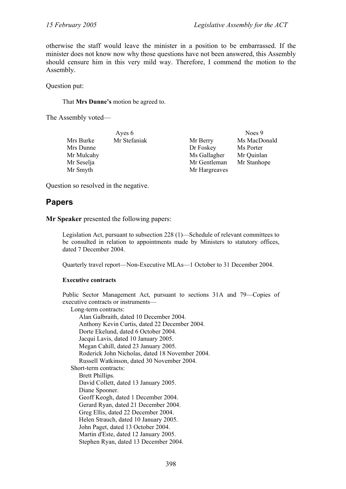otherwise the staff would leave the minister in a position to be embarrassed. If the minister does not know now why those questions have not been answered, this Assembly should censure him in this very mild way. Therefore, I commend the motion to the Assembly.

Question put:

That **Mrs Dunne's** motion be agreed to.

The Assembly voted—

|            | Ayes 6       |               | Noes 9       |
|------------|--------------|---------------|--------------|
| Mrs Burke  | Mr Stefaniak | Mr Berry      | Ms MacDonald |
| Mrs Dunne  |              | Dr Foskey     | Ms Porter    |
| Mr Mulcahy |              | Ms Gallagher  | Mr Quinlan   |
| Mr Seselja |              | Mr Gentleman  | Mr Stanhope  |
| Mr Smyth   |              | Mr Hargreaves |              |

Question so resolved in the negative.

# **Papers**

**Mr Speaker** presented the following papers:

Legislation Act, pursuant to subsection 228 (1)—Schedule of relevant committees to be consulted in relation to appointments made by Ministers to statutory offices, dated 7 December 2004.

Quarterly travel report—Non-Executive MLAs—1 October to 31 December 2004.

#### **Executive contracts**

Public Sector Management Act, pursuant to sections 31A and 79—Copies of executive contracts or instruments—

Long-term contracts:

Alan Galbraith, dated 10 December 2004. Anthony Kevin Curtis, dated 22 December 2004. Dorte Ekelund, dated 6 October 2004. Jacqui Lavis, dated 10 January 2005. Megan Cahill, dated 23 January 2005. Roderick John Nicholas, dated 18 November 2004. Russell Watkinson, dated 30 November 2004. Short-term contracts: Brett Phillips. David Collett, dated 13 January 2005. Diane Spooner. Geoff Keogh, dated 1 December 2004. Gerard Ryan, dated 21 December 2004. Greg Ellis, dated 22 December 2004. Helen Strauch, dated 10 January 2005. John Paget, dated 13 October 2004. Martin d'Este, dated 12 January 2005. Stephen Ryan, dated 13 December 2004.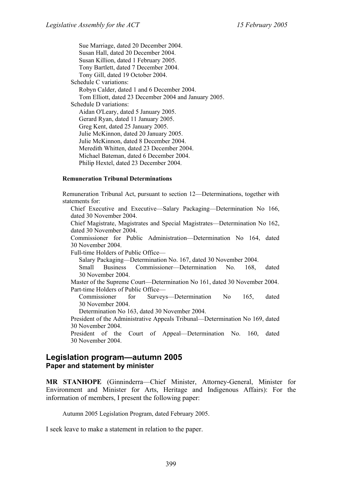Sue Marriage, dated 20 December 2004. Susan Hall, dated 20 December 2004. Susan Killion, dated 1 February 2005. Tony Bartlett, dated 7 December 2004. Tony Gill, dated 19 October 2004. Schedule C variations: Robyn Calder, dated 1 and 6 December 2004. Tom Elliott, dated 23 December 2004 and January 2005. Schedule D variations: Aidan O'Leary, dated 5 January 2005. Gerard Ryan, dated 11 January 2005. Greg Kent, dated 25 January 2005. Julie McKinnon, dated 20 January 2005. Julie McKinnon, dated 8 December 2004. Meredith Whitten, dated 23 December 2004. Michael Bateman, dated 6 December 2004. Philip Hextel, dated 23 December 2004.

#### **Remuneration Tribunal Determinations**

Remuneration Tribunal Act, pursuant to section 12—Determinations, together with statements for: Chief Executive and Executive—Salary Packaging—Determination No 166, dated 30 November 2004. Chief Magistrate, Magistrates and Special Magistrates—Determination No 162, dated 30 November 2004. Commissioner for Public Administration—Determination No 164, dated 30 November 2004. Full-time Holders of Public Office— Salary Packaging—Determination No. 167, dated 30 November 2004. Small Business Commissioner—Determination No. 168, dated 30 November 2004. Master of the Supreme Court—Determination No 161, dated 30 November 2004. Part-time Holders of Public Office— Commissioner for Surveys—Determination No 165, dated 30 November 2004. Determination No 163, dated 30 November 2004. President of the Administrative Appeals Tribunal—Determination No 169, dated 30 November 2004. President of the Court of Appeal—Determination No. 160, dated 30 November 2004.

### **Legislation program—autumn 2005 Paper and statement by minister**

**MR STANHOPE** (Ginninderra—Chief Minister, Attorney-General, Minister for Environment and Minister for Arts, Heritage and Indigenous Affairs): For the information of members, I present the following paper:

Autumn 2005 Legislation Program, dated February 2005.

I seek leave to make a statement in relation to the paper.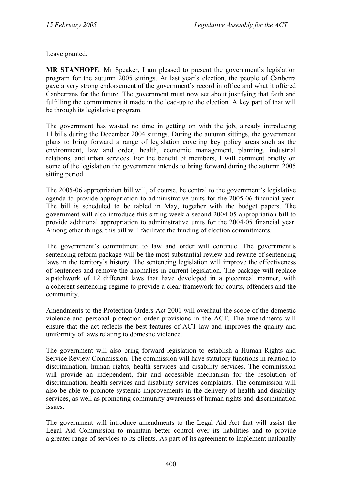Leave granted.

**MR STANHOPE**: Mr Speaker, I am pleased to present the government's legislation program for the autumn 2005 sittings. At last year's election, the people of Canberra gave a very strong endorsement of the government's record in office and what it offered Canberrans for the future. The government must now set about justifying that faith and fulfilling the commitments it made in the lead-up to the election. A key part of that will be through its legislative program.

The government has wasted no time in getting on with the job, already introducing 11 bills during the December 2004 sittings. During the autumn sittings, the government plans to bring forward a range of legislation covering key policy areas such as the environment, law and order, health, economic management, planning, industrial relations, and urban services. For the benefit of members, I will comment briefly on some of the legislation the government intends to bring forward during the autumn 2005 sitting period.

The 2005-06 appropriation bill will, of course, be central to the government's legislative agenda to provide appropriation to administrative units for the 2005-06 financial year. The bill is scheduled to be tabled in May, together with the budget papers. The government will also introduce this sitting week a second 2004-05 appropriation bill to provide additional appropriation to administrative units for the 2004-05 financial year. Among other things, this bill will facilitate the funding of election commitments.

The government's commitment to law and order will continue. The government's sentencing reform package will be the most substantial review and rewrite of sentencing laws in the territory's history. The sentencing legislation will improve the effectiveness of sentences and remove the anomalies in current legislation. The package will replace a patchwork of 12 different laws that have developed in a piecemeal manner, with a coherent sentencing regime to provide a clear framework for courts, offenders and the community.

Amendments to the Protection Orders Act 2001 will overhaul the scope of the domestic violence and personal protection order provisions in the ACT. The amendments will ensure that the act reflects the best features of ACT law and improves the quality and uniformity of laws relating to domestic violence.

The government will also bring forward legislation to establish a Human Rights and Service Review Commission. The commission will have statutory functions in relation to discrimination, human rights, health services and disability services. The commission will provide an independent, fair and accessible mechanism for the resolution of discrimination, health services and disability services complaints. The commission will also be able to promote systemic improvements in the delivery of health and disability services, as well as promoting community awareness of human rights and discrimination issues.

The government will introduce amendments to the Legal Aid Act that will assist the Legal Aid Commission to maintain better control over its liabilities and to provide a greater range of services to its clients. As part of its agreement to implement nationally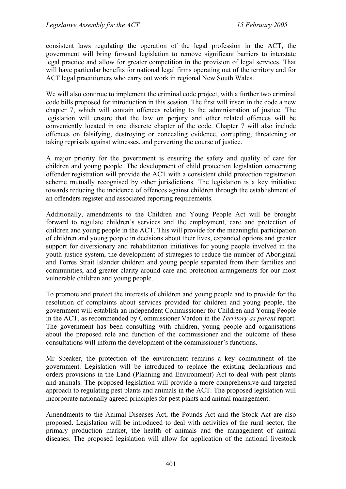consistent laws regulating the operation of the legal profession in the ACT, the government will bring forward legislation to remove significant barriers to interstate legal practice and allow for greater competition in the provision of legal services. That will have particular benefits for national legal firms operating out of the territory and for ACT legal practitioners who carry out work in regional New South Wales.

We will also continue to implement the criminal code project, with a further two criminal code bills proposed for introduction in this session. The first will insert in the code a new chapter 7, which will contain offences relating to the administration of justice. The legislation will ensure that the law on perjury and other related offences will be conveniently located in one discrete chapter of the code. Chapter 7 will also include offences on falsifying, destroying or concealing evidence, corrupting, threatening or taking reprisals against witnesses, and perverting the course of justice.

A major priority for the government is ensuring the safety and quality of care for children and young people. The development of child protection legislation concerning offender registration will provide the ACT with a consistent child protection registration scheme mutually recognised by other jurisdictions. The legislation is a key initiative towards reducing the incidence of offences against children through the establishment of an offenders register and associated reporting requirements.

Additionally, amendments to the Children and Young People Act will be brought forward to regulate children's services and the employment, care and protection of children and young people in the ACT. This will provide for the meaningful participation of children and young people in decisions about their lives, expanded options and greater support for diversionary and rehabilitation initiatives for young people involved in the youth justice system, the development of strategies to reduce the number of Aboriginal and Torres Strait Islander children and young people separated from their families and communities, and greater clarity around care and protection arrangements for our most vulnerable children and young people.

To promote and protect the interests of children and young people and to provide for the resolution of complaints about services provided for children and young people, the government will establish an independent Commissioner for Children and Young People in the ACT, as recommended by Commissioner Vardon in the *Territory as parent* report. The government has been consulting with children, young people and organisations about the proposed role and function of the commissioner and the outcome of these consultations will inform the development of the commissioner's functions.

Mr Speaker, the protection of the environment remains a key commitment of the government. Legislation will be introduced to replace the existing declarations and orders provisions in the Land (Planning and Environment) Act to deal with pest plants and animals. The proposed legislation will provide a more comprehensive and targeted approach to regulating pest plants and animals in the ACT. The proposed legislation will incorporate nationally agreed principles for pest plants and animal management.

Amendments to the Animal Diseases Act, the Pounds Act and the Stock Act are also proposed. Legislation will be introduced to deal with activities of the rural sector, the primary production market, the health of animals and the management of animal diseases. The proposed legislation will allow for application of the national livestock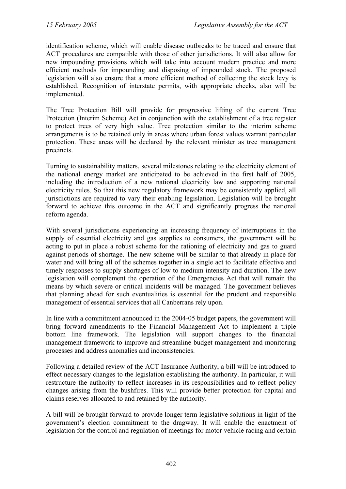identification scheme, which will enable disease outbreaks to be traced and ensure that ACT procedures are compatible with those of other jurisdictions. It will also allow for new impounding provisions which will take into account modern practice and more efficient methods for impounding and disposing of impounded stock. The proposed legislation will also ensure that a more efficient method of collecting the stock levy is established. Recognition of interstate permits, with appropriate checks, also will be implemented.

The Tree Protection Bill will provide for progressive lifting of the current Tree Protection (Interim Scheme) Act in conjunction with the establishment of a tree register to protect trees of very high value. Tree protection similar to the interim scheme arrangements is to be retained only in areas where urban forest values warrant particular protection. These areas will be declared by the relevant minister as tree management precincts.

Turning to sustainability matters, several milestones relating to the electricity element of the national energy market are anticipated to be achieved in the first half of 2005, including the introduction of a new national electricity law and supporting national electricity rules. So that this new regulatory framework may be consistently applied, all jurisdictions are required to vary their enabling legislation. Legislation will be brought forward to achieve this outcome in the ACT and significantly progress the national reform agenda.

With several jurisdictions experiencing an increasing frequency of interruptions in the supply of essential electricity and gas supplies to consumers, the government will be acting to put in place a robust scheme for the rationing of electricity and gas to guard against periods of shortage. The new scheme will be similar to that already in place for water and will bring all of the schemes together in a single act to facilitate effective and timely responses to supply shortages of low to medium intensity and duration. The new legislation will complement the operation of the Emergencies Act that will remain the means by which severe or critical incidents will be managed. The government believes that planning ahead for such eventualities is essential for the prudent and responsible management of essential services that all Canberrans rely upon.

In line with a commitment announced in the 2004-05 budget papers, the government will bring forward amendments to the Financial Management Act to implement a triple bottom line framework. The legislation will support changes to the financial management framework to improve and streamline budget management and monitoring processes and address anomalies and inconsistencies.

Following a detailed review of the ACT Insurance Authority, a bill will be introduced to effect necessary changes to the legislation establishing the authority. In particular, it will restructure the authority to reflect increases in its responsibilities and to reflect policy changes arising from the bushfires. This will provide better protection for capital and claims reserves allocated to and retained by the authority.

A bill will be brought forward to provide longer term legislative solutions in light of the government's election commitment to the dragway. It will enable the enactment of legislation for the control and regulation of meetings for motor vehicle racing and certain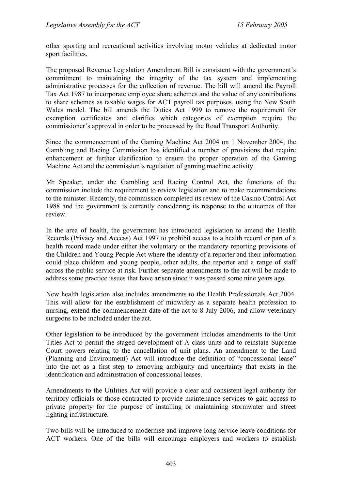other sporting and recreational activities involving motor vehicles at dedicated motor sport facilities.

The proposed Revenue Legislation Amendment Bill is consistent with the government's commitment to maintaining the integrity of the tax system and implementing administrative processes for the collection of revenue. The bill will amend the Payroll Tax Act 1987 to incorporate employee share schemes and the value of any contributions to share schemes as taxable wages for ACT payroll tax purposes, using the New South Wales model. The bill amends the Duties Act 1999 to remove the requirement for exemption certificates and clarifies which categories of exemption require the commissioner's approval in order to be processed by the Road Transport Authority.

Since the commencement of the Gaming Machine Act 2004 on 1 November 2004, the Gambling and Racing Commission has identified a number of provisions that require enhancement or further clarification to ensure the proper operation of the Gaming Machine Act and the commission's regulation of gaming machine activity.

Mr Speaker, under the Gambling and Racing Control Act, the functions of the commission include the requirement to review legislation and to make recommendations to the minister. Recently, the commission completed its review of the Casino Control Act 1988 and the government is currently considering its response to the outcomes of that review.

In the area of health, the government has introduced legislation to amend the Health Records (Privacy and Access) Act 1997 to prohibit access to a health record or part of a health record made under either the voluntary or the mandatory reporting provisions of the Children and Young People Act where the identity of a reporter and their information could place children and young people, other adults, the reporter and a range of staff across the public service at risk. Further separate amendments to the act will be made to address some practice issues that have arisen since it was passed some nine years ago.

New health legislation also includes amendments to the Health Professionals Act 2004. This will allow for the establishment of midwifery as a separate health profession to nursing, extend the commencement date of the act to 8 July 2006, and allow veterinary surgeons to be included under the act.

Other legislation to be introduced by the government includes amendments to the Unit Titles Act to permit the staged development of A class units and to reinstate Supreme Court powers relating to the cancellation of unit plans. An amendment to the Land (Planning and Environment) Act will introduce the definition of "concessional lease" into the act as a first step to removing ambiguity and uncertainty that exists in the identification and administration of concessional leases.

Amendments to the Utilities Act will provide a clear and consistent legal authority for territory officials or those contracted to provide maintenance services to gain access to private property for the purpose of installing or maintaining stormwater and street lighting infrastructure.

Two bills will be introduced to modernise and improve long service leave conditions for ACT workers. One of the bills will encourage employers and workers to establish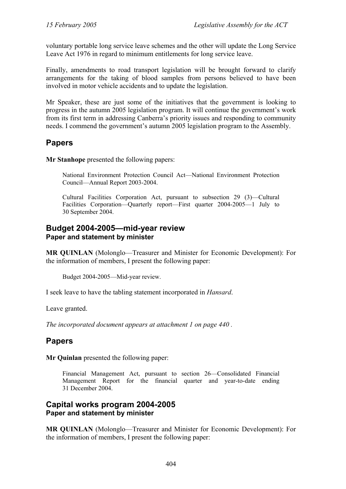voluntary portable long service leave schemes and the other will update the Long Service Leave Act 1976 in regard to minimum entitlements for long service leave.

Finally, amendments to road transport legislation will be brought forward to clarify arrangements for the taking of blood samples from persons believed to have been involved in motor vehicle accidents and to update the legislation.

Mr Speaker, these are just some of the initiatives that the government is looking to progress in the autumn 2005 legislation program. It will continue the government's work from its first term in addressing Canberra's priority issues and responding to community needs. I commend the government's autumn 2005 legislation program to the Assembly.

# **Papers**

**Mr Stanhope** presented the following papers:

National Environment Protection Council Act—National Environment Protection Council—Annual Report 2003-2004.

Cultural Facilities Corporation Act, pursuant to subsection 29 (3)—Cultural Facilities Corporation—Quarterly report—First quarter 2004-2005—1 July to 30 September 2004.

# **Budget 2004-2005—mid-year review Paper and statement by minister**

**MR QUINLAN** (Molonglo—Treasurer and Minister for Economic Development): For the information of members, I present the following paper:

Budget 2004-2005—Mid-year review.

I seek leave to have the tabling statement incorporated in *Hansard*.

Leave granted.

*The incorporated document appears at attachment 1 on page 440 .* 

# **Papers**

**Mr Quinlan** presented the following paper:

Financial Management Act, pursuant to section 26—Consolidated Financial Management Report for the financial quarter and year-to-date ending 31 December 2004.

# **Capital works program 2004-2005 Paper and statement by minister**

**MR QUINLAN** (Molonglo—Treasurer and Minister for Economic Development): For the information of members, I present the following paper: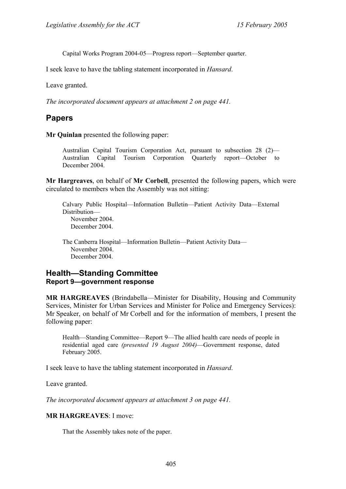Capital Works Program 2004-05—Progress report—September quarter.

I seek leave to have the tabling statement incorporated in *Hansard*.

Leave granted.

*The incorporated document appears at attachment 2 on page 441.* 

# **Papers**

**Mr Quinlan** presented the following paper:

Australian Capital Tourism Corporation Act, pursuant to subsection 28 (2)— Australian Capital Tourism Corporation Quarterly report—October to December 2004.

**Mr Hargreaves**, on behalf of **Mr Corbell**, presented the following papers, which were circulated to members when the Assembly was not sitting:

Calvary Public Hospital—Information Bulletin—Patient Activity Data—External Distribution— November 2004. December 2004.

The Canberra Hospital—Information Bulletin—Patient Activity Data— November 2004. December 2004.

# **Health—Standing Committee Report 9—government response**

**MR HARGREAVES** (Brindabella—Minister for Disability, Housing and Community Services, Minister for Urban Services and Minister for Police and Emergency Services): Mr Speaker, on behalf of Mr Corbell and for the information of members, I present the following paper:

Health—Standing Committee—Report 9—The allied health care needs of people in residential aged care *(presented 19 August 2004)*—Government response, dated February 2005.

I seek leave to have the tabling statement incorporated in *Hansard*.

Leave granted.

*The incorporated document appears at attachment 3 on page 441.* 

### **MR HARGREAVES**: I move:

That the Assembly takes note of the paper.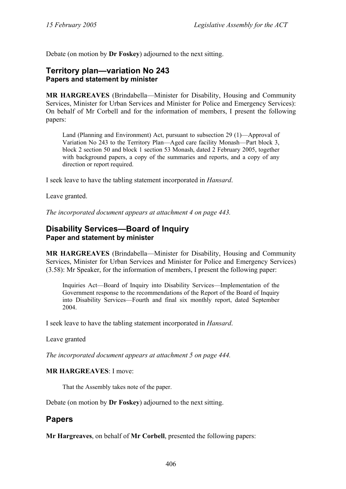Debate (on motion by **Dr Foskey**) adjourned to the next sitting.

## **Territory plan—variation No 243 Papers and statement by minister**

**MR HARGREAVES** (Brindabella—Minister for Disability, Housing and Community Services, Minister for Urban Services and Minister for Police and Emergency Services): On behalf of Mr Corbell and for the information of members, I present the following papers:

Land (Planning and Environment) Act, pursuant to subsection 29 (1)—Approval of Variation No 243 to the Territory Plan—Aged care facility Monash—Part block 3, block 2 section 50 and block 1 section 53 Monash, dated 2 February 2005, together with background papers, a copy of the summaries and reports, and a copy of any direction or report required.

I seek leave to have the tabling statement incorporated in *Hansard*.

Leave granted.

*The incorporated document appears at attachment 4 on page 443.* 

## **Disability Services—Board of Inquiry Paper and statement by minister**

**MR HARGREAVES** (Brindabella—Minister for Disability, Housing and Community Services, Minister for Urban Services and Minister for Police and Emergency Services) (3.58): Mr Speaker, for the information of members, I present the following paper:

Inquiries Act—Board of Inquiry into Disability Services—Implementation of the Government response to the recommendations of the Report of the Board of Inquiry into Disability Services—Fourth and final six monthly report, dated September 2004.

I seek leave to have the tabling statement incorporated in *Hansard*.

Leave granted

*The incorporated document appears at attachment 5 on page 444.* 

### **MR HARGREAVES**: I move:

That the Assembly takes note of the paper.

Debate (on motion by **Dr Foskey**) adjourned to the next sitting.

## **Papers**

**Mr Hargreaves**, on behalf of **Mr Corbell**, presented the following papers: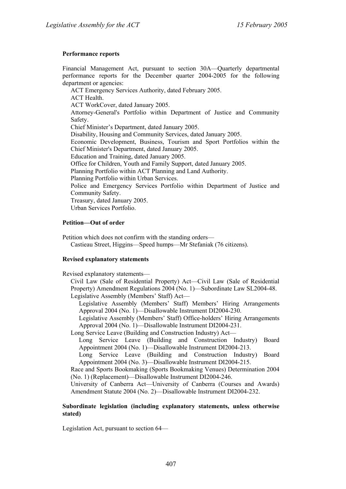### **Performance reports**

Financial Management Act, pursuant to section 30A—Quarterly departmental performance reports for the December quarter 2004-2005 for the following department or agencies:

ACT Emergency Services Authority, dated February 2005.

ACT Health.

ACT WorkCover, dated January 2005.

Attorney-General's Portfolio within Department of Justice and Community Safety.

Chief Minister's Department, dated January 2005.

Disability, Housing and Community Services, dated January 2005.

Economic Development, Business, Tourism and Sport Portfolios within the Chief Minister's Department, dated January 2005.

Education and Training, dated January 2005.

Office for Children, Youth and Family Support, dated January 2005.

Planning Portfolio within ACT Planning and Land Authority.

Planning Portfolio within Urban Services.

Police and Emergency Services Portfolio within Department of Justice and Community Safety.

Treasury, dated January 2005.

Urban Services Portfolio.

### **Petition—Out of order**

Petition which does not confirm with the standing orders— Castieau Street, Higgins—Speed humps—Mr Stefaniak (76 citizens).

### **Revised explanatory statements**

Revised explanatory statements—

Civil Law (Sale of Residential Property) Act—Civil Law (Sale of Residential Property) Amendment Regulations 2004 (No. 1)—Subordinate Law SL2004-48. Legislative Assembly (Members' Staff) Act—

Legislative Assembly (Members' Staff) Members' Hiring Arrangements Approval 2004 (No. 1)—Disallowable Instrument DI2004-230.

Legislative Assembly (Members' Staff) Office-holders' Hiring Arrangements Approval 2004 (No. 1)—Disallowable Instrument DI2004-231.

Long Service Leave (Building and Construction Industry) Act—

Long Service Leave (Building and Construction Industry) Board Appointment 2004 (No. 1)—Disallowable Instrument DI2004-213.

Long Service Leave (Building and Construction Industry) Board Appointment 2004 (No. 3)—Disallowable Instrument DI2004-215.

Race and Sports Bookmaking (Sports Bookmaking Venues) Determination 2004 (No. 1) (Replacement)—Disallowable Instrument DI2004-246.

University of Canberra Act—University of Canberra (Courses and Awards) Amendment Statute 2004 (No. 2)—Disallowable Instrument DI2004-232.

### **Subordinate legislation (including explanatory statements, unless otherwise stated)**

Legislation Act, pursuant to section 64—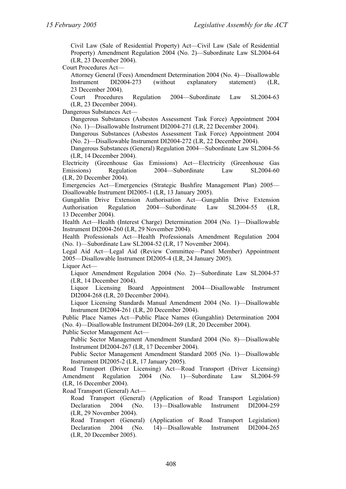Civil Law (Sale of Residential Property) Act—Civil Law (Sale of Residential Property) Amendment Regulation 2004 (No. 2)—Subordinate Law SL2004-64 (LR, 23 December 2004).

Court Procedures Act—

Attorney General (Fees) Amendment Determination 2004 (No. 4)—Disallowable Instrument DI2004-273 (without explanatory statement) (LR, 23 December 2004).

Court Procedures Regulation 2004—Subordinate Law SL2004-63 (LR, 23 December 2004).

Dangerous Substances Act—

Dangerous Substances (Asbestos Assessment Task Force) Appointment 2004 (No. 1)—Disallowable Instrument DI2004-271 (LR, 22 December 2004).

Dangerous Substances (Asbestos Assessment Task Force) Appointment 2004 (No. 2)—Disallowable Instrument DI2004-272 (LR, 22 December 2004).

Dangerous Substances (General) Regulation 2004—Subordinate Law SL2004-56 (LR, 14 December 2004).

Electricity (Greenhouse Gas Emissions) Act—Electricity (Greenhouse Gas Emissions) Regulation 2004—Subordinate Law SL2004-60 (LR, 20 December 2004).

Emergencies Act—Emergencies (Strategic Bushfire Management Plan) 2005— Disallowable Instrument DI2005-1 (LR, 13 January 2005).

Gungahlin Drive Extension Authorisation Act—Gungahlin Drive Extension Authorisation Regulation 2004—Subordinate Law SL2004-55 (LR, 13 December 2004).

Health Act—Health (Interest Charge) Determination 2004 (No. 1)—Disallowable Instrument DI2004-260 (LR, 29 November 2004).

Health Professionals Act—Health Professionals Amendment Regulation 2004 (No. 1)—Subordinate Law SL2004-52 (LR, 17 November 2004).

Legal Aid Act—Legal Aid (Review Committee—Panel Member) Appointment 2005—Disallowable Instrument DI2005-4 (LR, 24 January 2005).

Liquor Act-

Liquor Amendment Regulation 2004 (No. 2)—Subordinate Law SL2004-57 (LR, 14 December 2004).

Liquor Licensing Board Appointment 2004—Disallowable Instrument DI2004-268 (LR, 20 December 2004).

Liquor Licensing Standards Manual Amendment 2004 (No. 1)—Disallowable Instrument DI2004-261 (LR, 20 December 2004).

Public Place Names Act—Public Place Names (Gungahlin) Determination 2004 (No. 4)—Disallowable Instrument DI2004-269 (LR, 20 December 2004).

Public Sector Management Act—

Public Sector Management Amendment Standard 2004 (No. 8)—Disallowable Instrument DI2004-267 (LR, 17 December 2004).

Public Sector Management Amendment Standard 2005 (No. 1)—Disallowable Instrument DI2005-2 (LR, 17 January 2005).

Road Transport (Driver Licensing) Act—Road Transport (Driver Licensing) Amendment Regulation 2004 (No. 1)—Subordinate Law SL2004-59 (LR, 16 December 2004).

Road Transport (General) Act—

Road Transport (General) (Application of Road Transport Legislation) Declaration 2004 (No. 13)—Disallowable Instrument DI2004-259 (LR, 29 November 2004).

Road Transport (General) (Application of Road Transport Legislation) Declaration 2004 (No. 14)—Disallowable Instrument DI2004-265 (LR, 20 December 2005).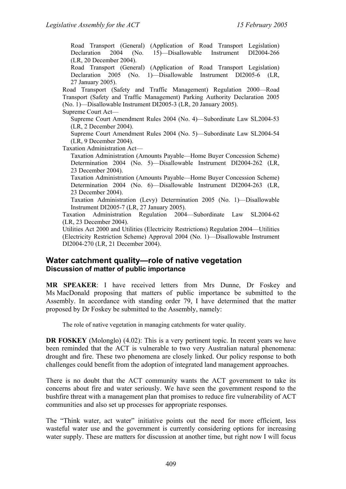Road Transport (General) (Application of Road Transport Legislation) Declaration 2004 (No. 15)—Disallowable Instrument DI2004-266 (LR, 20 December 2004).

Road Transport (General) (Application of Road Transport Legislation) Declaration 2005 (No. 1)—Disallowable Instrument DI2005-6 (LR, 27 January 2005).

Road Transport (Safety and Traffic Management) Regulation 2000—Road Transport (Safety and Traffic Management) Parking Authority Declaration 2005 (No. 1)—Disallowable Instrument DI2005-3 (LR, 20 January 2005). Supreme Court Act—

Supreme Court Amendment Rules 2004 (No. 4)—Subordinate Law SL2004-53 (LR, 2 December 2004).

Supreme Court Amendment Rules 2004 (No. 5)—Subordinate Law SL2004-54 (LR, 9 December 2004).

Taxation Administration Act—

Taxation Administration (Amounts Payable—Home Buyer Concession Scheme) Determination 2004 (No. 5)—Disallowable Instrument DI2004-262 (LR, 23 December 2004).

Taxation Administration (Amounts Payable—Home Buyer Concession Scheme) Determination 2004 (No. 6)—Disallowable Instrument DI2004-263 (LR, 23 December 2004).

Taxation Administration (Levy) Determination 2005 (No. 1)—Disallowable Instrument DI2005-7 (LR, 27 January 2005).

Taxation Administration Regulation 2004—Subordinate Law SL2004-62 (LR, 23 December 2004).

Utilities Act 2000 and Utilities (Electricity Restrictions) Regulation 2004—Utilities (Electricity Restriction Scheme) Approval 2004 (No. 1)—Disallowable Instrument DI2004-270 (LR, 21 December 2004).

### **Water catchment quality—role of native vegetation Discussion of matter of public importance**

**MR SPEAKER**: I have received letters from Mrs Dunne, Dr Foskey and Ms MacDonald proposing that matters of public importance be submitted to the Assembly. In accordance with standing order 79, I have determined that the matter proposed by Dr Foskey be submitted to the Assembly, namely:

The role of native vegetation in managing catchments for water quality.

**DR FOSKEY** (Molonglo) (4.02): This is a very pertinent topic. In recent years we have been reminded that the ACT is vulnerable to two very Australian natural phenomena: drought and fire. These two phenomena are closely linked. Our policy response to both challenges could benefit from the adoption of integrated land management approaches.

There is no doubt that the ACT community wants the ACT government to take its concerns about fire and water seriously. We have seen the government respond to the bushfire threat with a management plan that promises to reduce fire vulnerability of ACT communities and also set up processes for appropriate responses.

The "Think water, act water" initiative points out the need for more efficient, less wasteful water use and the government is currently considering options for increasing water supply. These are matters for discussion at another time, but right now I will focus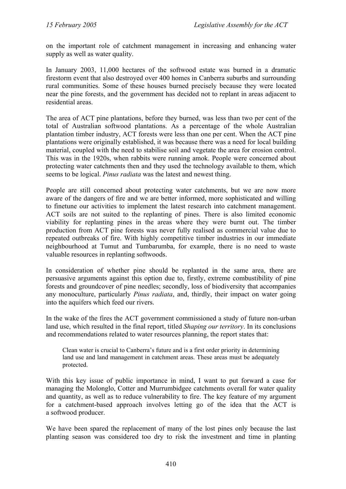on the important role of catchment management in increasing and enhancing water supply as well as water quality.

In January 2003, 11,000 hectares of the softwood estate was burned in a dramatic firestorm event that also destroyed over 400 homes in Canberra suburbs and surrounding rural communities. Some of these houses burned precisely because they were located near the pine forests, and the government has decided not to replant in areas adjacent to residential areas.

The area of ACT pine plantations, before they burned, was less than two per cent of the total of Australian softwood plantations. As a percentage of the whole Australian plantation timber industry, ACT forests were less than one per cent. When the ACT pine plantations were originally established, it was because there was a need for local building material, coupled with the need to stabilise soil and vegetate the area for erosion control. This was in the 1920s, when rabbits were running amok. People were concerned about protecting water catchments then and they used the technology available to them, which seems to be logical. *Pinus radiata* was the latest and newest thing.

People are still concerned about protecting water catchments, but we are now more aware of the dangers of fire and we are better informed, more sophisticated and willing to finetune our activities to implement the latest research into catchment management. ACT soils are not suited to the replanting of pines. There is also limited economic viability for replanting pines in the areas where they were burnt out. The timber production from ACT pine forests was never fully realised as commercial value due to repeated outbreaks of fire. With highly competitive timber industries in our immediate neighbourhood at Tumut and Tumbarumba, for example, there is no need to waste valuable resources in replanting softwoods.

In consideration of whether pine should be replanted in the same area, there are persuasive arguments against this option due to, firstly, extreme combustibility of pine forests and groundcover of pine needles; secondly, loss of biodiversity that accompanies any monoculture, particularly *Pinus radiata*, and, thirdly, their impact on water going into the aquifers which feed our rivers.

In the wake of the fires the ACT government commissioned a study of future non-urban land use, which resulted in the final report, titled *Shaping our territory*. In its conclusions and recommendations related to water resources planning, the report states that:

Clean water is crucial to Canberra's future and is a first order priority in determining land use and land management in catchment areas. These areas must be adequately protected.

With this key issue of public importance in mind, I want to put forward a case for managing the Molonglo, Cotter and Murrumbidgee catchments overall for water quality and quantity, as well as to reduce vulnerability to fire. The key feature of my argument for a catchment-based approach involves letting go of the idea that the ACT is a softwood producer.

We have been spared the replacement of many of the lost pines only because the last planting season was considered too dry to risk the investment and time in planting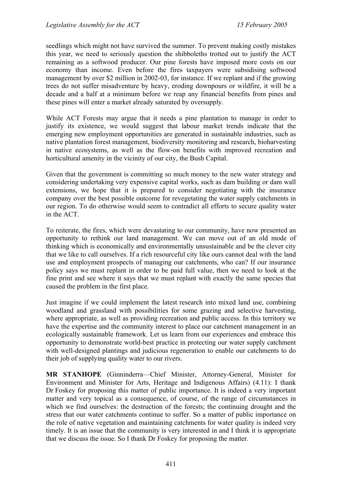seedlings which might not have survived the summer. To prevent making costly mistakes this year, we need to seriously question the shibboleths trotted out to justify the ACT remaining as a softwood producer. Our pine forests have imposed more costs on our economy than income. Even before the fires taxpayers were subsidising softwood management by over \$2 million in 2002-03, for instance. If we replant and if the growing trees do not suffer misadventure by heavy, eroding downpours or wildfire, it will be a decade and a half at a minimum before we reap any financial benefits from pines and these pines will enter a market already saturated by oversupply.

While ACT Forests may argue that it needs a pine plantation to manage in order to justify its existence, we would suggest that labour market trends indicate that the emerging new employment opportunities are generated in sustainable industries, such as native plantation forest management, biodiversity monitoring and research, bioharvesting in native ecosystems, as well as the flow-on benefits with improved recreation and horticultural amenity in the vicinity of our city, the Bush Capital.

Given that the government is committing so much money to the new water strategy and considering undertaking very expensive capital works, such as dam building or dam wall extensions, we hope that it is prepared to consider negotiating with the insurance company over the best possible outcome for revegetating the water supply catchments in our region. To do otherwise would seem to contradict all efforts to secure quality water in the ACT.

To reiterate, the fires, which were devastating to our community, have now presented an opportunity to rethink our land management. We can move out of an old mode of thinking which is economically and environmentally unsustainable and be the clever city that we like to call ourselves. If a rich resourceful city like ours cannot deal with the land use and employment prospects of managing our catchments, who can? If our insurance policy says we must replant in order to be paid full value, then we need to look at the fine print and see where it says that we must replant with exactly the same species that caused the problem in the first place.

Just imagine if we could implement the latest research into mixed land use, combining woodland and grassland with possibilities for some grazing and selective harvesting, where appropriate, as well as providing recreation and public access. In this territory we have the expertise and the community interest to place our catchment management in an ecologically sustainable framework. Let us learn from our experiences and embrace this opportunity to demonstrate world-best practice in protecting our water supply catchment with well-designed plantings and judicious regeneration to enable our catchments to do their job of supplying quality water to our rivers.

**MR STANHOPE** (Ginninderra—Chief Minister, Attorney-General, Minister for Environment and Minister for Arts, Heritage and Indigenous Affairs) (4.11): I thank Dr Foskey for proposing this matter of public importance. It is indeed a very important matter and very topical as a consequence, of course, of the range of circumstances in which we find ourselves: the destruction of the forests; the continuing drought and the stress that our water catchments continue to suffer. So a matter of public importance on the role of native vegetation and maintaining catchments for water quality is indeed very timely. It is an issue that the community is very interested in and I think it is appropriate that we discuss the issue. So I thank Dr Foskey for proposing the matter.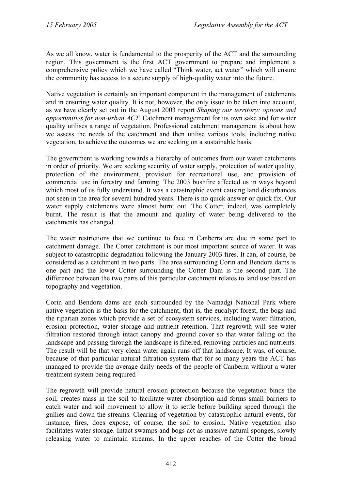As we all know, water is fundamental to the prosperity of the ACT and the surrounding region. This government is the first ACT government to prepare and implement a comprehensive policy which we have called "Think water, act water" which will ensure the community has access to a secure supply of high-quality water into the future.

Native vegetation is certainly an important component in the management of catchments and in ensuring water quality. It is not, however, the only issue to be taken into account, as we have clearly set out in the August 2003 report *Shaping our territory: options and opportunities for non-urban ACT*. Catchment management for its own sake and for water quality utilises a range of vegetation. Professional catchment management is about how we assess the needs of the catchment and then utilise various tools, including native vegetation, to achieve the outcomes we are seeking on a sustainable basis.

The government is working towards a hierarchy of outcomes from our water catchments in order of priority. We are seeking security of water supply, protection of water quality, protection of the environment, provision for recreational use, and provision of commercial use in forestry and farming. The 2003 bushfire affected us in ways beyond which most of us fully understand. It was a catastrophic event causing land disturbances not seen in the area for several hundred years. There is no quick answer or quick fix. Our water supply catchments were almost burnt out. The Cotter, indeed, was completely burnt. The result is that the amount and quality of water being delivered to the catchments has changed.

The water restrictions that we continue to face in Canberra are due in some part to catchment damage. The Cotter catchment is our most important source of water. It was subject to catastrophic degradation following the January 2003 fires. It can, of course, be considered as a catchment in two parts. The area surrounding Corin and Bendora dams is one part and the lower Cotter surrounding the Cotter Dam is the second part. The difference between the two parts of this particular catchment relates to land use based on topography and vegetation.

Corin and Bendora dams are each surrounded by the Namadgi National Park where native vegetation is the basis for the catchment, that is, the eucalypt forest, the bogs and the riparian zones which provide a set of ecosystem services, including water filtration, erosion protection, water storage and nutrient retention. That regrowth will see water filtration restored through intact canopy and ground cover so that water falling on the landscape and passing through the landscape is filtered, removing particles and nutrients. The result will be that very clean water again runs off that landscape. It was, of course, because of that particular natural filtration system that for so many years the ACT has managed to provide the average daily needs of the people of Canberra without a water treatment system being required

The regrowth will provide natural erosion protection because the vegetation binds the soil, creates mass in the soil to facilitate water absorption and forms small barriers to catch water and soil movement to allow it to settle before building speed through the gullies and down the streams. Clearing of vegetation by catastrophic natural events, for instance, fires, does expose, of course, the soil to erosion. Native vegetation also facilitates water storage. Intact swamps and bogs act as massive natural sponges, slowly releasing water to maintain streams. In the upper reaches of the Cotter the broad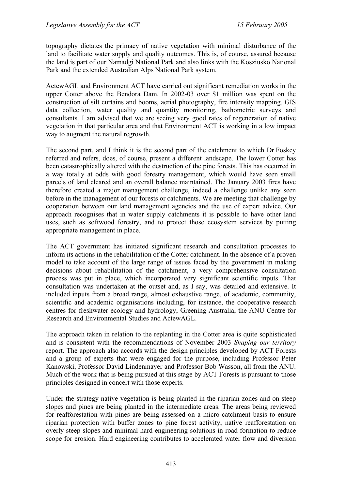topography dictates the primacy of native vegetation with minimal disturbance of the land to facilitate water supply and quality outcomes. This is, of course, assured because the land is part of our Namadgi National Park and also links with the Kosziusko National Park and the extended Australian Alps National Park system.

ActewAGL and Environment ACT have carried out significant remediation works in the upper Cotter above the Bendora Dam. In 2002-03 over \$1 million was spent on the construction of silt curtains and booms, aerial photography, fire intensity mapping, GIS data collection, water quality and quantity monitoring, bathometric surveys and consultants. I am advised that we are seeing very good rates of regeneration of native vegetation in that particular area and that Environment ACT is working in a low impact way to augment the natural regrowth.

The second part, and I think it is the second part of the catchment to which Dr Foskey referred and refers, does, of course, present a different landscape. The lower Cotter has been catastrophically altered with the destruction of the pine forests. This has occurred in a way totally at odds with good forestry management, which would have seen small parcels of land cleared and an overall balance maintained. The January 2003 fires have therefore created a major management challenge, indeed a challenge unlike any seen before in the management of our forests or catchments. We are meeting that challenge by cooperation between our land management agencies and the use of expert advice. Our approach recognises that in water supply catchments it is possible to have other land uses, such as softwood forestry, and to protect those ecosystem services by putting appropriate management in place.

The ACT government has initiated significant research and consultation processes to inform its actions in the rehabilitation of the Cotter catchment. In the absence of a proven model to take account of the large range of issues faced by the government in making decisions about rehabilitation of the catchment, a very comprehensive consultation process was put in place, which incorporated very significant scientific inputs. That consultation was undertaken at the outset and, as I say, was detailed and extensive. It included inputs from a broad range, almost exhaustive range, of academic, community, scientific and academic organisations including, for instance, the cooperative research centres for freshwater ecology and hydrology, Greening Australia, the ANU Centre for Research and Environmental Studies and ActewAGL.

The approach taken in relation to the replanting in the Cotter area is quite sophisticated and is consistent with the recommendations of November 2003 *Shaping our territory* report. The approach also accords with the design principles developed by ACT Forests and a group of experts that were engaged for the purpose, including Professor Peter Kanowski, Professor David Lindenmayer and Professor Bob Wasson, all from the ANU. Much of the work that is being pursued at this stage by ACT Forests is pursuant to those principles designed in concert with those experts.

Under the strategy native vegetation is being planted in the riparian zones and on steep slopes and pines are being planted in the intermediate areas. The areas being reviewed for reafforestation with pines are being assessed on a micro-catchment basis to ensure riparian protection with buffer zones to pine forest activity, native reafforestation on overly steep slopes and minimal hard engineering solutions in road formation to reduce scope for erosion. Hard engineering contributes to accelerated water flow and diversion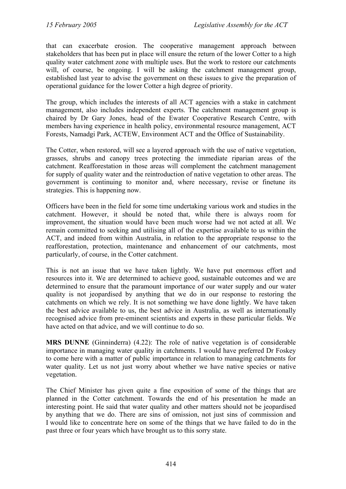that can exacerbate erosion. The cooperative management approach between stakeholders that has been put in place will ensure the return of the lower Cotter to a high quality water catchment zone with multiple uses. But the work to restore our catchments will, of course, be ongoing. I will be asking the catchment management group, established last year to advise the government on these issues to give the preparation of operational guidance for the lower Cotter a high degree of priority.

The group, which includes the interests of all ACT agencies with a stake in catchment management, also includes independent experts. The catchment management group is chaired by Dr Gary Jones, head of the Ewater Cooperative Research Centre, with members having experience in health policy, environmental resource management, ACT Forests, Namadgi Park, ACTEW, Environment ACT and the Office of Sustainability.

The Cotter, when restored, will see a layered approach with the use of native vegetation, grasses, shrubs and canopy trees protecting the immediate riparian areas of the catchment. Reafforestation in those areas will complement the catchment management for supply of quality water and the reintroduction of native vegetation to other areas. The government is continuing to monitor and, where necessary, revise or finetune its strategies. This is happening now.

Officers have been in the field for some time undertaking various work and studies in the catchment. However, it should be noted that, while there is always room for improvement, the situation would have been much worse had we not acted at all. We remain committed to seeking and utilising all of the expertise available to us within the ACT, and indeed from within Australia, in relation to the appropriate response to the reafforestation, protection, maintenance and enhancement of our catchments, most particularly, of course, in the Cotter catchment.

This is not an issue that we have taken lightly. We have put enormous effort and resources into it. We are determined to achieve good, sustainable outcomes and we are determined to ensure that the paramount importance of our water supply and our water quality is not jeopardised by anything that we do in our response to restoring the catchments on which we rely. It is not something we have done lightly. We have taken the best advice available to us, the best advice in Australia, as well as internationally recognised advice from pre-eminent scientists and experts in these particular fields. We have acted on that advice, and we will continue to do so.

**MRS DUNNE** (Ginninderra) (4.22): The role of native vegetation is of considerable importance in managing water quality in catchments. I would have preferred Dr Foskey to come here with a matter of public importance in relation to managing catchments for water quality. Let us not just worry about whether we have native species or native vegetation.

The Chief Minister has given quite a fine exposition of some of the things that are planned in the Cotter catchment. Towards the end of his presentation he made an interesting point. He said that water quality and other matters should not be jeopardised by anything that we do. There are sins of omission, not just sins of commission and I would like to concentrate here on some of the things that we have failed to do in the past three or four years which have brought us to this sorry state.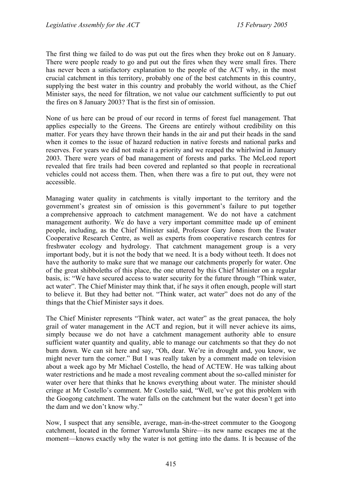The first thing we failed to do was put out the fires when they broke out on 8 January. There were people ready to go and put out the fires when they were small fires. There has never been a satisfactory explanation to the people of the ACT why, in the most crucial catchment in this territory, probably one of the best catchments in this country, supplying the best water in this country and probably the world without, as the Chief Minister says, the need for filtration, we not value our catchment sufficiently to put out the fires on 8 January 2003? That is the first sin of omission.

None of us here can be proud of our record in terms of forest fuel management. That applies especially to the Greens. The Greens are entirely without credibility on this matter. For years they have thrown their hands in the air and put their heads in the sand when it comes to the issue of hazard reduction in native forests and national parks and reserves. For years we did not make it a priority and we reaped the whirlwind in January 2003. There were years of bad management of forests and parks. The McLeod report revealed that fire trails had been covered and replanted so that people in recreational vehicles could not access them. Then, when there was a fire to put out, they were not accessible.

Managing water quality in catchments is vitally important to the territory and the government's greatest sin of omission is this government's failure to put together a comprehensive approach to catchment management. We do not have a catchment management authority. We do have a very important committee made up of eminent people, including, as the Chief Minister said, Professor Gary Jones from the Ewater Cooperative Research Centre, as well as experts from cooperative research centres for freshwater ecology and hydrology. That catchment management group is a very important body, but it is not the body that we need. It is a body without teeth. It does not have the authority to make sure that we manage our catchments properly for water. One of the great shibboleths of this place, the one uttered by this Chief Minister on a regular basis, is: "We have secured access to water security for the future through "Think water, act water". The Chief Minister may think that, if he says it often enough, people will start to believe it. But they had better not. "Think water, act water" does not do any of the things that the Chief Minister says it does.

The Chief Minister represents "Think water, act water" as the great panacea, the holy grail of water management in the ACT and region, but it will never achieve its aims, simply because we do not have a catchment management authority able to ensure sufficient water quantity and quality, able to manage our catchments so that they do not burn down. We can sit here and say, "Oh, dear. We're in drought and, you know, we might never turn the corner." But I was really taken by a comment made on television about a week ago by Mr Michael Costello, the head of ACTEW. He was talking about water restrictions and he made a most revealing comment about the so-called minister for water over here that thinks that he knows everything about water. The minister should cringe at Mr Costello's comment. Mr Costello said, "Well, we've got this problem with the Googong catchment. The water falls on the catchment but the water doesn't get into the dam and we don't know why."

Now, I suspect that any sensible, average, man-in-the-street commuter to the Googong catchment, located in the former Yarrowlumla Shire—its new name escapes me at the moment—knows exactly why the water is not getting into the dams. It is because of the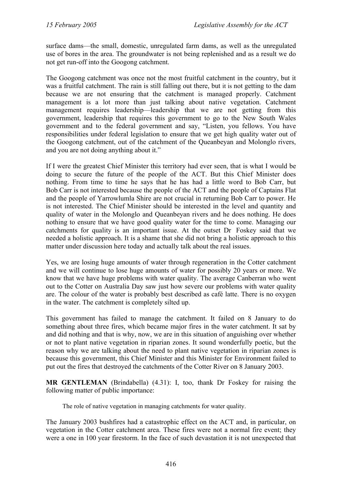surface dams—the small, domestic, unregulated farm dams, as well as the unregulated use of bores in the area. The groundwater is not being replenished and as a result we do not get run-off into the Googong catchment.

The Googong catchment was once not the most fruitful catchment in the country, but it was a fruitful catchment. The rain is still falling out there, but it is not getting to the dam because we are not ensuring that the catchment is managed properly. Catchment management is a lot more than just talking about native vegetation. Catchment management requires leadership—leadership that we are not getting from this government, leadership that requires this government to go to the New South Wales government and to the federal government and say, "Listen, you fellows. You have responsibilities under federal legislation to ensure that we get high quality water out of the Googong catchment, out of the catchment of the Queanbeyan and Molonglo rivers, and you are not doing anything about it."

If I were the greatest Chief Minister this territory had ever seen, that is what I would be doing to secure the future of the people of the ACT. But this Chief Minister does nothing. From time to time he says that he has had a little word to Bob Carr, but Bob Carr is not interested because the people of the ACT and the people of Captains Flat and the people of Yarrowlumla Shire are not crucial in returning Bob Carr to power. He is not interested. The Chief Minister should be interested in the level and quantity and quality of water in the Molonglo and Queanbeyan rivers and he does nothing. He does nothing to ensure that we have good quality water for the time to come. Managing our catchments for quality is an important issue. At the outset Dr Foskey said that we needed a holistic approach. It is a shame that she did not bring a holistic approach to this matter under discussion here today and actually talk about the real issues.

Yes, we are losing huge amounts of water through regeneration in the Cotter catchment and we will continue to lose huge amounts of water for possibly 20 years or more. We know that we have huge problems with water quality. The average Canberran who went out to the Cotter on Australia Day saw just how severe our problems with water quality are. The colour of the water is probably best described as café latte. There is no oxygen in the water. The catchment is completely silted up.

This government has failed to manage the catchment. It failed on 8 January to do something about three fires, which became major fires in the water catchment. It sat by and did nothing and that is why, now, we are in this situation of anguishing over whether or not to plant native vegetation in riparian zones. It sound wonderfully poetic, but the reason why we are talking about the need to plant native vegetation in riparian zones is because this government, this Chief Minister and this Minister for Environment failed to put out the fires that destroyed the catchments of the Cotter River on 8 January 2003.

**MR GENTLEMAN** (Brindabella) (4.31): I, too, thank Dr Foskey for raising the following matter of public importance:

The role of native vegetation in managing catchments for water quality.

The January 2003 bushfires had a catastrophic effect on the ACT and, in particular, on vegetation in the Cotter catchment area. These fires were not a normal fire event; they were a one in 100 year firestorm. In the face of such devastation it is not unexpected that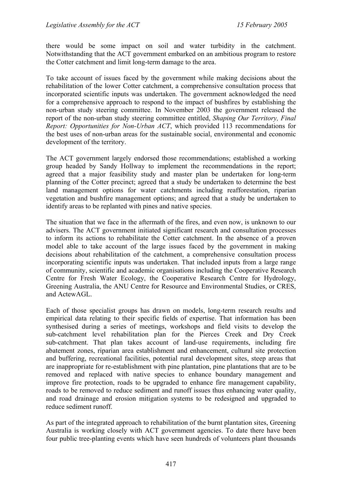there would be some impact on soil and water turbidity in the catchment. Notwithstanding that the ACT government embarked on an ambitious program to restore the Cotter catchment and limit long-term damage to the area.

To take account of issues faced by the government while making decisions about the rehabilitation of the lower Cotter catchment, a comprehensive consultation process that incorporated scientific inputs was undertaken. The government acknowledged the need for a comprehensive approach to respond to the impact of bushfires by establishing the non-urban study steering committee. In November 2003 the government released the report of the non-urban study steering committee entitled, *Shaping Our Territory, Final Report: Opportunities for Non-Urban ACT*, which provided 113 recommendations for the best uses of non-urban areas for the sustainable social, environmental and economic development of the territory.

The ACT government largely endorsed those recommendations; established a working group headed by Sandy Hollway to implement the recommendations in the report; agreed that a major feasibility study and master plan be undertaken for long-term planning of the Cotter precinct; agreed that a study be undertaken to determine the best land management options for water catchments including reafforestation, riparian vegetation and bushfire management options; and agreed that a study be undertaken to identify areas to be replanted with pines and native species.

The situation that we face in the aftermath of the fires, and even now, is unknown to our advisers. The ACT government initiated significant research and consultation processes to inform its actions to rehabilitate the Cotter catchment. In the absence of a proven model able to take account of the large issues faced by the government in making decisions about rehabilitation of the catchment, a comprehensive consultation process incorporating scientific inputs was undertaken. That included inputs from a large range of community, scientific and academic organisations including the Cooperative Research Centre for Fresh Water Ecology, the Cooperative Research Centre for Hydrology, Greening Australia, the ANU Centre for Resource and Environmental Studies, or CRES, and ActewAGL.

Each of those specialist groups has drawn on models, long-term research results and empirical data relating to their specific fields of expertise. That information has been synthesised during a series of meetings, workshops and field visits to develop the sub-catchment level rehabilitation plan for the Pierces Creek and Dry Creek sub-catchment. That plan takes account of land-use requirements, including fire abatement zones, riparian area establishment and enhancement, cultural site protection and buffering, recreational facilities, potential rural development sites, steep areas that are inappropriate for re-establishment with pine plantation, pine plantations that are to be removed and replaced with native species to enhance boundary management and improve fire protection, roads to be upgraded to enhance fire management capability, roads to be removed to reduce sediment and runoff issues thus enhancing water quality, and road drainage and erosion mitigation systems to be redesigned and upgraded to reduce sediment runoff.

As part of the integrated approach to rehabilitation of the burnt plantation sites, Greening Australia is working closely with ACT government agencies. To date there have been four public tree-planting events which have seen hundreds of volunteers plant thousands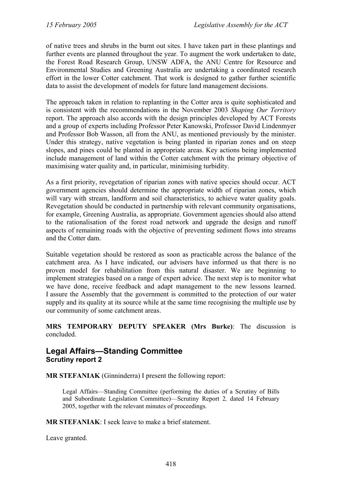of native trees and shrubs in the burnt out sites. I have taken part in these plantings and further events are planned throughout the year. To augment the work undertaken to date, the Forest Road Research Group, UNSW ADFA, the ANU Centre for Resource and Environmental Studies and Greening Australia are undertaking a coordinated research effort in the lower Cotter catchment. That work is designed to gather further scientific data to assist the development of models for future land management decisions.

The approach taken in relation to replanting in the Cotter area is quite sophisticated and is consistent with the recommendations in the November 2003 *Shaping Our Territory*  report. The approach also accords with the design principles developed by ACT Forests and a group of experts including Professor Peter Kanowski, Professor David Lindenmyer and Professor Bob Wasson, all from the ANU, as mentioned previously by the minister. Under this strategy, native vegetation is being planted in riparian zones and on steep slopes, and pines could be planted in appropriate areas. Key actions being implemented include management of land within the Cotter catchment with the primary objective of maximising water quality and, in particular, minimising turbidity.

As a first priority, revegetation of riparian zones with native species should occur. ACT government agencies should determine the appropriate width of riparian zones, which will vary with stream, landform and soil characteristics, to achieve water quality goals. Revegetation should be conducted in partnership with relevant community organisations, for example, Greening Australia, as appropriate. Government agencies should also attend to the rationalisation of the forest road network and upgrade the design and runoff aspects of remaining roads with the objective of preventing sediment flows into streams and the Cotter dam.

Suitable vegetation should be restored as soon as practicable across the balance of the catchment area. As I have indicated, our advisers have informed us that there is no proven model for rehabilitation from this natural disaster. We are beginning to implement strategies based on a range of expert advice. The next step is to monitor what we have done, receive feedback and adapt management to the new lessons learned. I assure the Assembly that the government is committed to the protection of our water supply and its quality at its source while at the same time recognising the multiple use by our community of some catchment areas.

**MRS TEMPORARY DEPUTY SPEAKER (Mrs Burke)**: The discussion is concluded.

## **Legal Affairs—Standing Committee Scrutiny report 2**

**MR STEFANIAK** (Ginninderra) I present the following report:

Legal Affairs—Standing Committee (performing the duties of a Scrutiny of Bills and Subordinate Legislation Committee)—Scrutiny Report 2*,* dated 14 February 2005, together with the relevant minutes of proceedings.

**MR STEFANIAK**: I seek leave to make a brief statement.

Leave granted.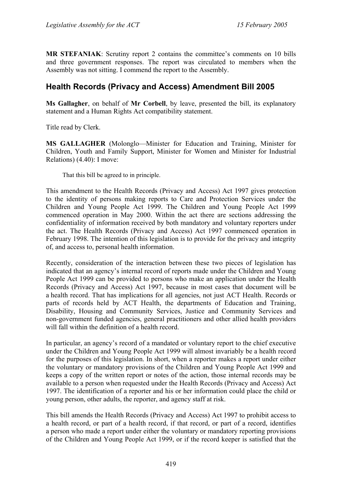**MR STEFANIAK**: Scrutiny report 2 contains the committee's comments on 10 bills and three government responses. The report was circulated to members when the Assembly was not sitting. I commend the report to the Assembly.

# **Health Records (Privacy and Access) Amendment Bill 2005**

**Ms Gallagher**, on behalf of **Mr Corbell**, by leave, presented the bill, its explanatory statement and a Human Rights Act compatibility statement.

Title read by Clerk.

**MS GALLAGHER** (Molonglo—Minister for Education and Training, Minister for Children, Youth and Family Support, Minister for Women and Minister for Industrial Relations) (4.40): I move:

That this bill be agreed to in principle.

This amendment to the Health Records (Privacy and Access) Act 1997 gives protection to the identity of persons making reports to Care and Protection Services under the Children and Young People Act 1999. The Children and Young People Act 1999 commenced operation in May 2000. Within the act there are sections addressing the confidentiality of information received by both mandatory and voluntary reporters under the act. The Health Records (Privacy and Access) Act 1997 commenced operation in February 1998. The intention of this legislation is to provide for the privacy and integrity of, and access to, personal health information.

Recently, consideration of the interaction between these two pieces of legislation has indicated that an agency's internal record of reports made under the Children and Young People Act 1999 can be provided to persons who make an application under the Health Records (Privacy and Access) Act 1997, because in most cases that document will be a health record. That has implications for all agencies, not just ACT Health. Records or parts of records held by ACT Health, the departments of Education and Training, Disability, Housing and Community Services, Justice and Community Services and non-government funded agencies, general practitioners and other allied health providers will fall within the definition of a health record.

In particular, an agency's record of a mandated or voluntary report to the chief executive under the Children and Young People Act 1999 will almost invariably be a health record for the purposes of this legislation. In short, when a reporter makes a report under either the voluntary or mandatory provisions of the Children and Young People Act 1999 and keeps a copy of the written report or notes of the action, those internal records may be available to a person when requested under the Health Records (Privacy and Access) Act 1997. The identification of a reporter and his or her information could place the child or young person, other adults, the reporter, and agency staff at risk.

This bill amends the Health Records (Privacy and Access) Act 1997 to prohibit access to a health record, or part of a health record, if that record, or part of a record, identifies a person who made a report under either the voluntary or mandatory reporting provisions of the Children and Young People Act 1999, or if the record keeper is satisfied that the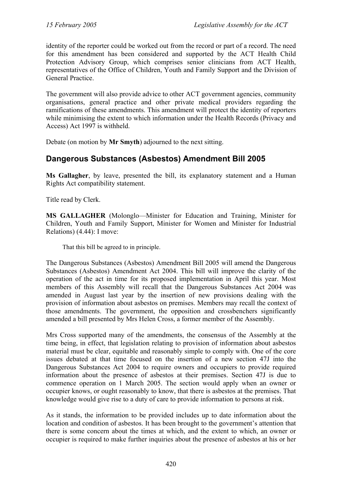identity of the reporter could be worked out from the record or part of a record. The need for this amendment has been considered and supported by the ACT Health Child Protection Advisory Group, which comprises senior clinicians from ACT Health, representatives of the Office of Children, Youth and Family Support and the Division of General Practice.

The government will also provide advice to other ACT government agencies, community organisations, general practice and other private medical providers regarding the ramifications of these amendments. This amendment will protect the identity of reporters while minimising the extent to which information under the Health Records (Privacy and Access) Act 1997 is withheld.

Debate (on motion by **Mr Smyth**) adjourned to the next sitting.

# **Dangerous Substances (Asbestos) Amendment Bill 2005**

**Ms Gallagher**, by leave, presented the bill, its explanatory statement and a Human Rights Act compatibility statement.

Title read by Clerk.

**MS GALLAGHER** (Molonglo—Minister for Education and Training, Minister for Children, Youth and Family Support, Minister for Women and Minister for Industrial Relations) (4.44): I move:

That this bill be agreed to in principle.

The Dangerous Substances (Asbestos) Amendment Bill 2005 will amend the Dangerous Substances (Asbestos) Amendment Act 2004. This bill will improve the clarity of the operation of the act in time for its proposed implementation in April this year. Most members of this Assembly will recall that the Dangerous Substances Act 2004 was amended in August last year by the insertion of new provisions dealing with the provision of information about asbestos on premises. Members may recall the context of those amendments. The government, the opposition and crossbenchers significantly amended a bill presented by Mrs Helen Cross, a former member of the Assembly.

Mrs Cross supported many of the amendments, the consensus of the Assembly at the time being, in effect, that legislation relating to provision of information about asbestos material must be clear, equitable and reasonably simple to comply with. One of the core issues debated at that time focused on the insertion of a new section 47J into the Dangerous Substances Act 2004 to require owners and occupiers to provide required information about the presence of asbestos at their premises. Section 47J is due to commence operation on 1 March 2005. The section would apply when an owner or occupier knows, or ought reasonably to know, that there is asbestos at the premises. That knowledge would give rise to a duty of care to provide information to persons at risk.

As it stands, the information to be provided includes up to date information about the location and condition of asbestos. It has been brought to the government's attention that there is some concern about the times at which, and the extent to which, an owner or occupier is required to make further inquiries about the presence of asbestos at his or her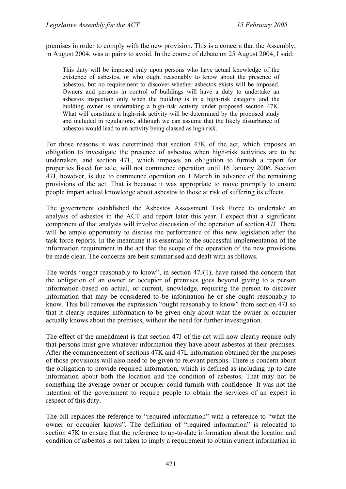premises in order to comply with the new provision. This is a concern that the Assembly, in August 2004, was at pains to avoid. In the course of debate on 25 August 2004, I said:

This duty will be imposed only upon persons who have actual knowledge of the existence of asbestos, or who ought reasonably to know about the presence of asbestos, but no requirement to discover whether asbestos exists will be imposed. Owners and persons in control of buildings will have a duty to undertake an asbestos inspection only when the building is in a high-risk category and the building owner is undertaking a high-risk activity under proposed section 47K. What will constitute a high-risk activity will be determined by the proposed study and included in regulations, although we can assume that the likely disturbance of asbestos would lead to an activity being classed as high risk.

For those reasons it was determined that section 47K of the act, which imposes an obligation to investigate the presence of asbestos when high-risk activities are to be undertaken, and section 47L, which imposes an obligation to furnish a report for properties listed for sale, will not commence operation until 16 January 2006. Section 47J, however, is due to commence operation on 1 March in advance of the remaining provisions of the act. That is because it was appropriate to move promptly to ensure people impart actual knowledge about asbestos to those at risk of suffering its effects.

The government established the Asbestos Assessment Task Force to undertake an analysis of asbestos in the ACT and report later this year. I expect that a significant component of that analysis will involve discussion of the operation of section 47J. There will be ample opportunity to discuss the performance of this new legislation after the task force reports. In the meantime it is essential to the successful implementation of the information requirement in the act that the scope of the operation of the new provisions be made clear. The concerns are best summarised and dealt with as follows.

The words "ought reasonably to know", in section 47J(1), have raised the concern that the obligation of an owner or occupier of premises goes beyond giving to a person information based on actual, or current, knowledge, requiring the person to discover information that may be considered to be information he or she ought reasonably to know. This bill removes the expression "ought reasonably to know" from section 47J so that it clearly requires information to be given only about what the owner or occupier actually knows about the premises, without the need for further investigation.

The effect of the amendment is that section 47J of the act will now clearly require only that persons must give whatever information they have about asbestos at their premises. After the commencement of sections 47K and 47L information obtained for the purposes of those provisions will also need to be given to relevant persons. There is concern about the obligation to provide required information, which is defined as including up-to-date information about both the location and the condition of asbestos. That may not be something the average owner or occupier could furnish with confidence. It was not the intention of the government to require people to obtain the services of an expert in respect of this duty.

The bill replaces the reference to "required information" with a reference to "what the owner or occupier knows". The definition of "required information" is relocated to section 47K to ensure that the reference to up-to-date information about the location and condition of asbestos is not taken to imply a requirement to obtain current information in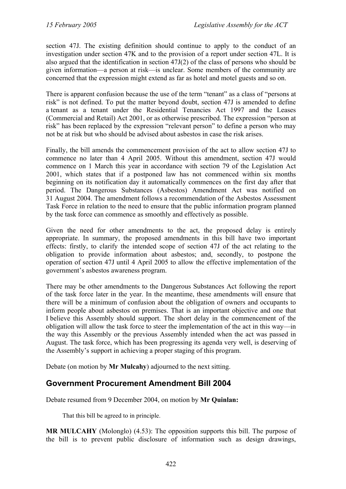section 47J. The existing definition should continue to apply to the conduct of an investigation under section 47K and to the provision of a report under section 47L. It is also argued that the identification in section 47J(2) of the class of persons who should be given information—a person at risk—is unclear. Some members of the community are concerned that the expression might extend as far as hotel and motel guests and so on.

There is apparent confusion because the use of the term "tenant" as a class of "persons at risk" is not defined. To put the matter beyond doubt, section 47J is amended to define a tenant as a tenant under the Residential Tenancies Act 1997 and the Leases (Commercial and Retail) Act 2001, or as otherwise prescribed. The expression "person at risk" has been replaced by the expression "relevant person" to define a person who may not be at risk but who should be advised about asbestos in case the risk arises.

Finally, the bill amends the commencement provision of the act to allow section 47J to commence no later than 4 April 2005. Without this amendment, section 47J would commence on 1 March this year in accordance with section 79 of the Legislation Act 2001, which states that if a postponed law has not commenced within six months beginning on its notification day it automatically commences on the first day after that period. The Dangerous Substances (Asbestos) Amendment Act was notified on 31 August 2004. The amendment follows a recommendation of the Asbestos Assessment Task Force in relation to the need to ensure that the public information program planned by the task force can commence as smoothly and effectively as possible.

Given the need for other amendments to the act, the proposed delay is entirely appropriate. In summary, the proposed amendments in this bill have two important effects: firstly, to clarify the intended scope of section 47J of the act relating to the obligation to provide information about asbestos; and, secondly, to postpone the operation of section 47J until 4 April 2005 to allow the effective implementation of the government's asbestos awareness program.

There may be other amendments to the Dangerous Substances Act following the report of the task force later in the year. In the meantime, these amendments will ensure that there will be a minimum of confusion about the obligation of owners and occupants to inform people about asbestos on premises. That is an important objective and one that I believe this Assembly should support. The short delay in the commencement of the obligation will allow the task force to steer the implementation of the act in this way—in the way this Assembly or the previous Assembly intended when the act was passed in August. The task force, which has been progressing its agenda very well, is deserving of the Assembly's support in achieving a proper staging of this program.

Debate (on motion by **Mr Mulcahy**) adjourned to the next sitting.

# **Government Procurement Amendment Bill 2004**

Debate resumed from 9 December 2004, on motion by **Mr Quinlan:** 

That this bill be agreed to in principle.

**MR MULCAHY** (Molonglo) (4.53): The opposition supports this bill. The purpose of the bill is to prevent public disclosure of information such as design drawings,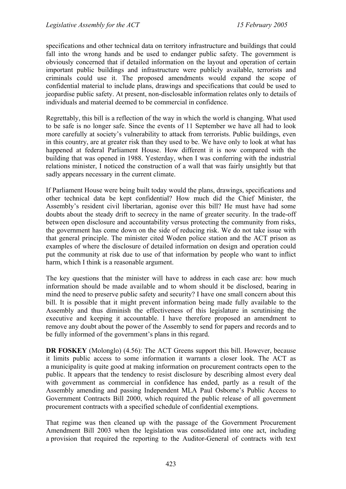specifications and other technical data on territory infrastructure and buildings that could fall into the wrong hands and be used to endanger public safety. The government is obviously concerned that if detailed information on the layout and operation of certain important public buildings and infrastructure were publicly available, terrorists and criminals could use it. The proposed amendments would expand the scope of confidential material to include plans, drawings and specifications that could be used to jeopardise public safety. At present, non-disclosable information relates only to details of individuals and material deemed to be commercial in confidence.

Regrettably, this bill is a reflection of the way in which the world is changing. What used to be safe is no longer safe. Since the events of 11 September we have all had to look more carefully at society's vulnerability to attack from terrorists. Public buildings, even in this country, are at greater risk than they used to be. We have only to look at what has happened at federal Parliament House. How different it is now compared with the building that was opened in 1988. Yesterday, when I was conferring with the industrial relations minister, I noticed the construction of a wall that was fairly unsightly but that sadly appears necessary in the current climate.

If Parliament House were being built today would the plans, drawings, specifications and other technical data be kept confidential? How much did the Chief Minister, the Assembly's resident civil libertarian, agonise over this bill? He must have had some doubts about the steady drift to secrecy in the name of greater security. In the trade-off between open disclosure and accountability versus protecting the community from risks, the government has come down on the side of reducing risk. We do not take issue with that general principle. The minister cited Woden police station and the ACT prison as examples of where the disclosure of detailed information on design and operation could put the community at risk due to use of that information by people who want to inflict harm, which I think is a reasonable argument.

The key questions that the minister will have to address in each case are: how much information should be made available and to whom should it be disclosed, bearing in mind the need to preserve public safety and security? I have one small concern about this bill. It is possible that it might prevent information being made fully available to the Assembly and thus diminish the effectiveness of this legislature in scrutinising the executive and keeping it accountable. I have therefore proposed an amendment to remove any doubt about the power of the Assembly to send for papers and records and to be fully informed of the government's plans in this regard.

**DR FOSKEY** (Molonglo) (4.56): The ACT Greens support this bill. However, because it limits public access to some information it warrants a closer look. The ACT as a municipality is quite good at making information on procurement contracts open to the public. It appears that the tendency to resist disclosure by describing almost every deal with government as commercial in confidence has ended, partly as a result of the Assembly amending and passing Independent MLA Paul Osborne's Public Access to Government Contracts Bill 2000, which required the public release of all government procurement contracts with a specified schedule of confidential exemptions.

That regime was then cleaned up with the passage of the Government Procurement Amendment Bill 2003 when the legislation was consolidated into one act, including a provision that required the reporting to the Auditor-General of contracts with text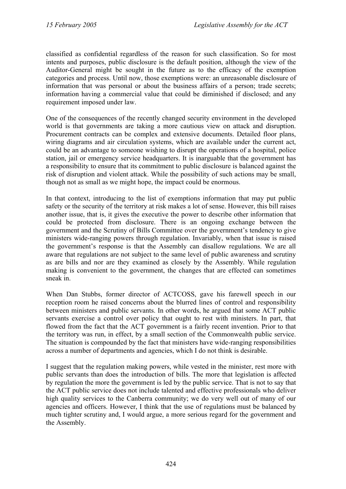classified as confidential regardless of the reason for such classification. So for most intents and purposes, public disclosure is the default position, although the view of the Auditor-General might be sought in the future as to the efficacy of the exemption categories and process. Until now, those exemptions were: an unreasonable disclosure of information that was personal or about the business affairs of a person; trade secrets; information having a commercial value that could be diminished if disclosed; and any requirement imposed under law.

One of the consequences of the recently changed security environment in the developed world is that governments are taking a more cautious view on attack and disruption. Procurement contracts can be complex and extensive documents. Detailed floor plans, wiring diagrams and air circulation systems, which are available under the current act, could be an advantage to someone wishing to disrupt the operations of a hospital, police station, jail or emergency service headquarters. It is inarguable that the government has a responsibility to ensure that its commitment to public disclosure is balanced against the risk of disruption and violent attack. While the possibility of such actions may be small, though not as small as we might hope, the impact could be enormous.

In that context, introducing to the list of exemptions information that may put public safety or the security of the territory at risk makes a lot of sense. However, this bill raises another issue, that is, it gives the executive the power to describe other information that could be protected from disclosure. There is an ongoing exchange between the government and the Scrutiny of Bills Committee over the government's tendency to give ministers wide-ranging powers through regulation. Invariably, when that issue is raised the government's response is that the Assembly can disallow regulations. We are all aware that regulations are not subject to the same level of public awareness and scrutiny as are bills and nor are they examined as closely by the Assembly. While regulation making is convenient to the government, the changes that are effected can sometimes sneak in.

When Dan Stubbs, former director of ACTCOSS, gave his farewell speech in our reception room he raised concerns about the blurred lines of control and responsibility between ministers and public servants. In other words, he argued that some ACT public servants exercise a control over policy that ought to rest with ministers. In part, that flowed from the fact that the ACT government is a fairly recent invention. Prior to that the territory was run, in effect, by a small section of the Commonwealth public service. The situation is compounded by the fact that ministers have wide-ranging responsibilities across a number of departments and agencies, which I do not think is desirable.

I suggest that the regulation making powers, while vested in the minister, rest more with public servants than does the introduction of bills. The more that legislation is affected by regulation the more the government is led by the public service. That is not to say that the ACT public service does not include talented and effective professionals who deliver high quality services to the Canberra community; we do very well out of many of our agencies and officers. However, I think that the use of regulations must be balanced by much tighter scrutiny and, I would argue, a more serious regard for the government and the Assembly.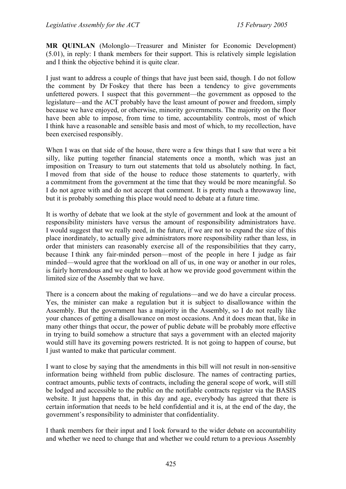**MR QUINLAN** (Molonglo—Treasurer and Minister for Economic Development) (5.01), in reply: I thank members for their support. This is relatively simple legislation and I think the objective behind it is quite clear.

I just want to address a couple of things that have just been said, though. I do not follow the comment by Dr Foskey that there has been a tendency to give governments unfettered powers. I suspect that this government—the government as opposed to the legislature—and the ACT probably have the least amount of power and freedom, simply because we have enjoyed, or otherwise, minority governments. The majority on the floor have been able to impose, from time to time, accountability controls, most of which I think have a reasonable and sensible basis and most of which, to my recollection, have been exercised responsibly.

When I was on that side of the house, there were a few things that I saw that were a bit silly, like putting together financial statements once a month, which was just an imposition on Treasury to turn out statements that told us absolutely nothing. In fact, I moved from that side of the house to reduce those statements to quarterly, with a commitment from the government at the time that they would be more meaningful. So I do not agree with and do not accept that comment. It is pretty much a throwaway line, but it is probably something this place would need to debate at a future time.

It is worthy of debate that we look at the style of government and look at the amount of responsibility ministers have versus the amount of responsibility administrators have. I would suggest that we really need, in the future, if we are not to expand the size of this place inordinately, to actually give administrators more responsibility rather than less, in order that ministers can reasonably exercise all of the responsibilities that they carry, because I think any fair-minded person—most of the people in here I judge as fair minded—would agree that the workload on all of us, in one way or another in our roles, is fairly horrendous and we ought to look at how we provide good government within the limited size of the Assembly that we have.

There is a concern about the making of regulations—and we do have a circular process. Yes, the minister can make a regulation but it is subject to disallowance within the Assembly. But the government has a majority in the Assembly, so I do not really like your chances of getting a disallowance on most occasions. And it does mean that, like in many other things that occur, the power of public debate will be probably more effective in trying to build somehow a structure that says a government with an elected majority would still have its governing powers restricted. It is not going to happen of course, but I just wanted to make that particular comment.

I want to close by saying that the amendments in this bill will not result in non-sensitive information being withheld from public disclosure. The names of contracting parties, contract amounts, public texts of contracts, including the general scope of work, will still be lodged and accessible to the public on the notifiable contracts register via the BASIS website. It just happens that, in this day and age, everybody has agreed that there is certain information that needs to be held confidential and it is, at the end of the day, the government's responsibility to administer that confidentiality.

I thank members for their input and I look forward to the wider debate on accountability and whether we need to change that and whether we could return to a previous Assembly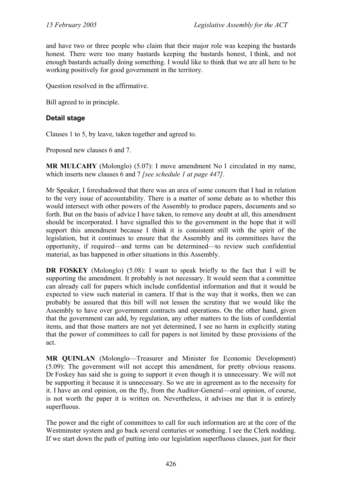and have two or three people who claim that their major role was keeping the bastards honest. There were too many bastards keeping the bastards honest, I think, and not enough bastards actually doing something. I would like to think that we are all here to be working positively for good government in the territory.

Question resolved in the affirmative.

Bill agreed to in principle.

## **Detail stage**

Clauses 1 to 5, by leave, taken together and agreed to.

Proposed new clauses 6 and 7.

**MR MULCAHY** (Molonglo) (5.07): I move amendment No 1 circulated in my name, which inserts new clauses 6 and 7 *[see schedule 1 at page 447]*.

Mr Speaker, I foreshadowed that there was an area of some concern that I had in relation to the very issue of accountability. There is a matter of some debate as to whether this would intersect with other powers of the Assembly to produce papers, documents and so forth. But on the basis of advice I have taken, to remove any doubt at all, this amendment should be incorporated. I have signalled this to the government in the hope that it will support this amendment because I think it is consistent still with the spirit of the legislation, but it continues to ensure that the Assembly and its committees have the opportunity, if required—and terms can be determined—to review such confidential material, as has happened in other situations in this Assembly.

**DR FOSKEY** (Molonglo) (5.08): I want to speak briefly to the fact that I will be supporting the amendment. It probably is not necessary. It would seem that a committee can already call for papers which include confidential information and that it would be expected to view such material in camera. If that is the way that it works, then we can probably be assured that this bill will not lessen the scrutiny that we would like the Assembly to have over government contracts and operations. On the other hand, given that the government can add, by regulation, any other matters to the lists of confidential items, and that those matters are not yet determined, I see no harm in explicitly stating that the power of committees to call for papers is not limited by these provisions of the act.

**MR QUINLAN** (Molonglo—Treasurer and Minister for Economic Development) (5.09): The government will not accept this amendment, for pretty obvious reasons. Dr Foskey has said she is going to support it even though it is unnecessary. We will not be supporting it because it is unnecessary. So we are in agreement as to the necessity for it. I have an oral opinion, on the fly, from the Auditor-General—oral opinion, of course, is not worth the paper it is written on. Nevertheless, it advises me that it is entirely superfluous.

The power and the right of committees to call for such information are at the core of the Westminster system and go back several centuries or something. I see the Clerk nodding. If we start down the path of putting into our legislation superfluous clauses, just for their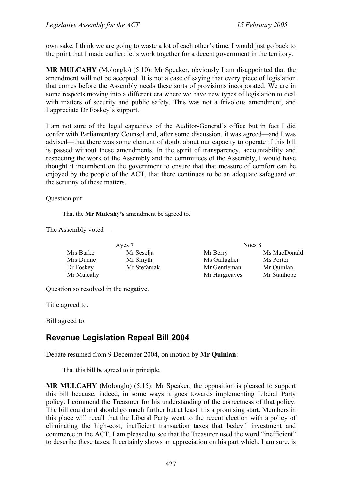own sake, I think we are going to waste a lot of each other's time. I would just go back to the point that I made earlier: let's work together for a decent government in the territory.

**MR MULCAHY** (Molonglo) (5.10): Mr Speaker, obviously I am disappointed that the amendment will not be accepted. It is not a case of saying that every piece of legislation that comes before the Assembly needs these sorts of provisions incorporated. We are in some respects moving into a different era where we have new types of legislation to deal with matters of security and public safety. This was not a frivolous amendment, and I appreciate Dr Foskey's support.

I am not sure of the legal capacities of the Auditor-General's office but in fact I did confer with Parliamentary Counsel and, after some discussion, it was agreed—and I was advised—that there was some element of doubt about our capacity to operate if this bill is passed without these amendments. In the spirit of transparency, accountability and respecting the work of the Assembly and the committees of the Assembly, I would have thought it incumbent on the government to ensure that that measure of comfort can be enjoyed by the people of the ACT, that there continues to be an adequate safeguard on the scrutiny of these matters.

Question put:

That the **Mr Mulcahy's** amendment be agreed to.

The Assembly voted—

| Ayes 7     |              | Noes 8        |              |
|------------|--------------|---------------|--------------|
| Mrs Burke  | Mr Seselja   | Mr Berry      | Ms MacDonald |
| Mrs Dunne  | Mr Smyth     | Ms Gallagher  | Ms Porter    |
| Dr Foskey  | Mr Stefaniak | Mr Gentleman  | Mr Quinlan   |
| Mr Mulcahy |              | Mr Hargreaves | Mr Stanhope  |

Question so resolved in the negative.

Title agreed to.

Bill agreed to.

# **Revenue Legislation Repeal Bill 2004**

Debate resumed from 9 December 2004, on motion by **Mr Quinlan**:

That this bill be agreed to in principle.

**MR MULCAHY** (Molonglo) (5.15): Mr Speaker, the opposition is pleased to support this bill because, indeed, in some ways it goes towards implementing Liberal Party policy. I commend the Treasurer for his understanding of the correctness of that policy. The bill could and should go much further but at least it is a promising start. Members in this place will recall that the Liberal Party went to the recent election with a policy of eliminating the high-cost, inefficient transaction taxes that bedevil investment and commerce in the ACT. I am pleased to see that the Treasurer used the word "inefficient" to describe these taxes. It certainly shows an appreciation on his part which, I am sure, is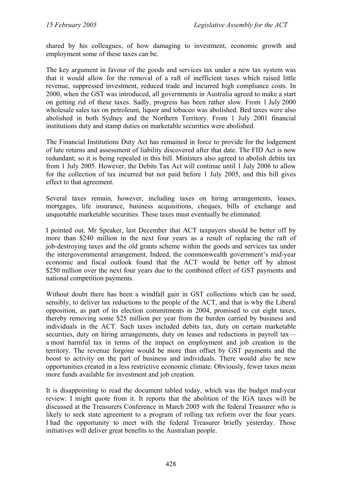shared by his colleagues, of how damaging to investment, economic growth and employment some of these taxes can be.

The key argument in favour of the goods and services tax under a new tax system was that it would allow for the removal of a raft of inefficient taxes which raised little revenue, suppressed investment, reduced trade and incurred high compliance costs. In 2000, when the GST was introduced, all governments in Australia agreed to make a start on getting rid of these taxes. Sadly, progress has been rather slow. From 1 July 2000 wholesale sales tax on petroleum, liquor and tobacco was abolished. Bed taxes were also abolished in both Sydney and the Northern Territory. From 1 July 2001 financial institutions duty and stamp duties on marketable securities were abolished.

The Financial Institutions Duty Act has remained in force to provide for the lodgement of late returns and assessment of liability discovered after that date. The FID Act is now redundant; so it is being repealed in this bill. Ministers also agreed to abolish debits tax from 1 July 2005. However, the Debits Tax Act will continue until 1 July 2006 to allow for the collection of tax incurred but not paid before 1 July 2005, and this bill gives effect to that agreement.

Several taxes remain, however, including taxes on hiring arrangements, leases, mortgages, life insurance, business acquisitions, cheques, bills of exchange and unquotable marketable securities. These taxes must eventually be eliminated.

I pointed out, Mr Speaker, last December that ACT taxpayers should be better off by more than \$240 million in the next four years as a result of replacing the raft of job-destroying taxes and the old grants scheme within the goods and services tax under the intergovernmental arrangement. Indeed, the commonwealth government's mid-year economic and fiscal outlook found that the ACT would be better off by almost \$250 million over the next four years due to the combined effect of GST payments and national competition payments.

Without doubt there has been a windfall gain in GST collections which can be used, sensibly, to deliver tax reductions to the people of the ACT, and that is why the Liberal opposition, as part of its election commitments in 2004, promised to cut eight taxes, thereby removing some \$25 million per year from the burden carried by business and individuals in the ACT. Such taxes included debits tax, duty on certain marketable securities, duty on hiring arrangements, duty on leases and reductions in payroll tax a most harmful tax in terms of the impact on employment and job creation in the territory. The revenue forgone would be more than offset by GST payments and the boost to activity on the part of business and individuals. There would also be new opportunities created in a less restrictive economic climate. Obviously, fewer taxes mean more funds available for investment and job creation.

It is disappointing to read the document tabled today, which was the budget mid-year review. I might quote from it. It reports that the abolition of the IGA taxes will be discussed at the Treasurers Conference in March 2005 with the federal Treasurer who is likely to seek state agreement to a program of rolling tax reform over the four years. I had the opportunity to meet with the federal Treasurer briefly yesterday. Those initiatives will deliver great benefits to the Australian people.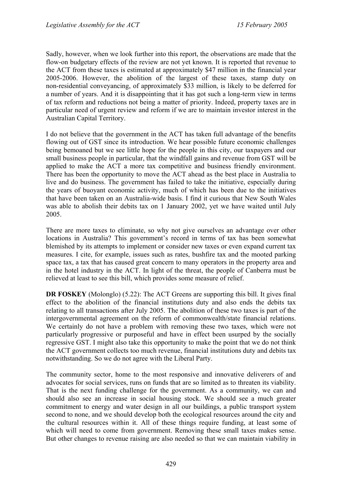Sadly, however, when we look further into this report, the observations are made that the flow-on budgetary effects of the review are not yet known. It is reported that revenue to the ACT from these taxes is estimated at approximately \$47 million in the financial year 2005-2006. However, the abolition of the largest of these taxes, stamp duty on non-residential conveyancing, of approximately \$33 million, is likely to be deferred for a number of years. And it is disappointing that it has got such a long-term view in terms of tax reform and reductions not being a matter of priority. Indeed, property taxes are in particular need of urgent review and reform if we are to maintain investor interest in the Australian Capital Territory.

I do not believe that the government in the ACT has taken full advantage of the benefits flowing out of GST since its introduction. We hear possible future economic challenges being bemoaned but we see little hope for the people in this city, our taxpayers and our small business people in particular, that the windfall gains and revenue from GST will be applied to make the ACT a more tax competitive and business friendly environment. There has been the opportunity to move the ACT ahead as the best place in Australia to live and do business. The government has failed to take the initiative, especially during the years of buoyant economic activity, much of which has been due to the initiatives that have been taken on an Australia-wide basis. I find it curious that New South Wales was able to abolish their debits tax on 1 January 2002, yet we have waited until July 2005.

There are more taxes to eliminate, so why not give ourselves an advantage over other locations in Australia? This government's record in terms of tax has been somewhat blemished by its attempts to implement or consider new taxes or even expand current tax measures. I cite, for example, issues such as rates, bushfire tax and the mooted parking space tax, a tax that has caused great concern to many operators in the property area and in the hotel industry in the ACT. In light of the threat, the people of Canberra must be relieved at least to see this bill, which provides some measure of relief.

**DR FOSKEY** (Molonglo) (5.22): The ACT Greens are supporting this bill. It gives final effect to the abolition of the financial institutions duty and also ends the debits tax relating to all transactions after July 2005. The abolition of these two taxes is part of the intergovernmental agreement on the reform of commonwealth/state financial relations. We certainly do not have a problem with removing these two taxes, which were not particularly progressive or purposeful and have in effect been usurped by the socially regressive GST. I might also take this opportunity to make the point that we do not think the ACT government collects too much revenue, financial institutions duty and debits tax notwithstanding. So we do not agree with the Liberal Party.

The community sector, home to the most responsive and innovative deliverers of and advocates for social services, runs on funds that are so limited as to threaten its viability. That is the next funding challenge for the government. As a community, we can and should also see an increase in social housing stock. We should see a much greater commitment to energy and water design in all our buildings, a public transport system second to none, and we should develop both the ecological resources around the city and the cultural resources within it. All of these things require funding, at least some of which will need to come from government. Removing these small taxes makes sense. But other changes to revenue raising are also needed so that we can maintain viability in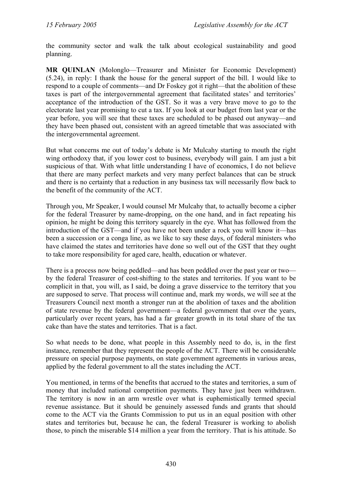the community sector and walk the talk about ecological sustainability and good planning.

**MR QUINLAN** (Molonglo—Treasurer and Minister for Economic Development) (5.24), in reply: I thank the house for the general support of the bill. I would like to respond to a couple of comments—and Dr Foskey got it right—that the abolition of these taxes is part of the intergovernmental agreement that facilitated states' and territories' acceptance of the introduction of the GST. So it was a very brave move to go to the electorate last year promising to cut a tax. If you look at our budget from last year or the year before, you will see that these taxes are scheduled to be phased out anyway—and they have been phased out, consistent with an agreed timetable that was associated with the intergovernmental agreement.

But what concerns me out of today's debate is Mr Mulcahy starting to mouth the right wing orthodoxy that, if you lower cost to business, everybody will gain. I am just a bit suspicious of that. With what little understanding I have of economics, I do not believe that there are many perfect markets and very many perfect balances that can be struck and there is no certainty that a reduction in any business tax will necessarily flow back to the benefit of the community of the ACT.

Through you, Mr Speaker, I would counsel Mr Mulcahy that, to actually become a cipher for the federal Treasurer by name-dropping, on the one hand, and in fact repeating his opinion, he might be doing this territory squarely in the eye. What has followed from the introduction of the GST—and if you have not been under a rock you will know it—has been a succession or a conga line, as we like to say these days, of federal ministers who have claimed the states and territories have done so well out of the GST that they ought to take more responsibility for aged care, health, education or whatever.

There is a process now being peddled—and has been peddled over the past year or two by the federal Treasurer of cost-shifting to the states and territories. If you want to be complicit in that, you will, as I said, be doing a grave disservice to the territory that you are supposed to serve. That process will continue and, mark my words, we will see at the Treasurers Council next month a stronger run at the abolition of taxes and the abolition of state revenue by the federal government—a federal government that over the years, particularly over recent years, has had a far greater growth in its total share of the tax cake than have the states and territories. That is a fact.

So what needs to be done, what people in this Assembly need to do, is, in the first instance, remember that they represent the people of the ACT. There will be considerable pressure on special purpose payments, on state government agreements in various areas, applied by the federal government to all the states including the ACT.

You mentioned, in terms of the benefits that accrued to the states and territories, a sum of money that included national competition payments. They have just been withdrawn. The territory is now in an arm wrestle over what is euphemistically termed special revenue assistance. But it should be genuinely assessed funds and grants that should come to the ACT via the Grants Commission to put us in an equal position with other states and territories but, because he can, the federal Treasurer is working to abolish those, to pinch the miserable \$14 million a year from the territory. That is his attitude. So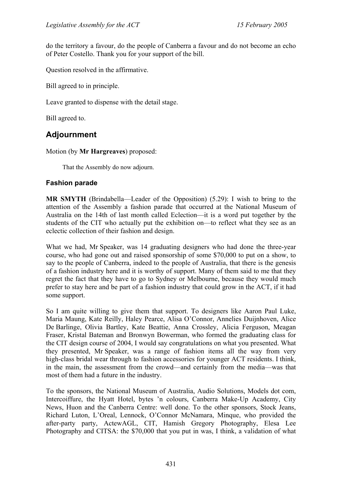do the territory a favour, do the people of Canberra a favour and do not become an echo of Peter Costello. Thank you for your support of the bill.

Question resolved in the affirmative.

Bill agreed to in principle.

Leave granted to dispense with the detail stage.

Bill agreed to.

# **Adjournment**

Motion (by **Mr Hargreaves**) proposed:

That the Assembly do now adjourn.

### **Fashion parade**

**MR SMYTH** (Brindabella—Leader of the Opposition) (5.29): I wish to bring to the attention of the Assembly a fashion parade that occurred at the National Museum of Australia on the 14th of last month called Eclection—it is a word put together by the students of the CIT who actually put the exhibition on—to reflect what they see as an eclectic collection of their fashion and design.

What we had, Mr Speaker, was 14 graduating designers who had done the three-year course, who had gone out and raised sponsorship of some \$70,000 to put on a show, to say to the people of Canberra, indeed to the people of Australia, that there is the genesis of a fashion industry here and it is worthy of support. Many of them said to me that they regret the fact that they have to go to Sydney or Melbourne, because they would much prefer to stay here and be part of a fashion industry that could grow in the ACT, if it had some support.

So I am quite willing to give them that support. To designers like Aaron Paul Luke, Maria Maung, Kate Reilly, Haley Pearce, Alisa O'Connor, Annelies Duijnhoven, Alice De Barlinge, Olivia Bartley, Kate Beattie, Anna Crossley, Alicia Ferguson, Meagan Fraser, Kristal Bateman and Bronwyn Bowerman, who formed the graduating class for the CIT design course of 2004, I would say congratulations on what you presented. What they presented, Mr Speaker, was a range of fashion items all the way from very high-class bridal wear through to fashion accessories for younger ACT residents. I think, in the main, the assessment from the crowd—and certainly from the media—was that most of them had a future in the industry.

To the sponsors, the National Museum of Australia, Audio Solutions, Models dot com, Intercoiffure, the Hyatt Hotel, bytes 'n colours, Canberra Make-Up Academy, City News, Huon and the Canberra Centre: well done. To the other sponsors, Stock Jeans, Richard Luton, L'Oreal, Lennock, O'Connor McNamara, Minque, who provided the after-party party, ActewAGL, CIT, Hamish Gregory Photography, Elesa Lee Photography and CITSA: the \$70,000 that you put in was, I think, a validation of what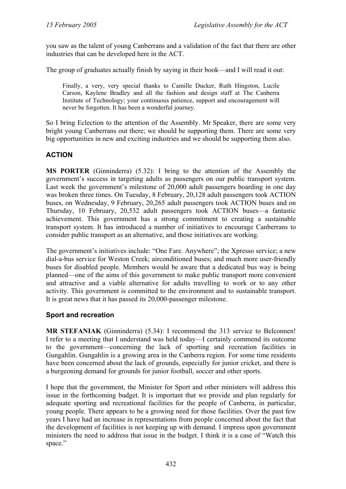you saw as the talent of young Canberrans and a validation of the fact that there are other industries that can be developed here in the ACT.

The group of graduates actually finish by saying in their book—and I will read it out:

Finally, a very, very special thanks to Camille Ducker, Ruth Hingston, Lucile Carson, Kaylene Bradley and all the fashion and design staff at The Canberra Institute of Technology; your continuous patience, support and encouragement will never be forgotten. It has been a wonderful journey.

So I bring Eclection to the attention of the Assembly. Mr Speaker, there are some very bright young Canberrans out there; we should be supporting them. There are some very big opportunities in new and exciting industries and we should be supporting them also.

## **ACTION**

**MS PORTER** (Ginninderra) (5.32): I bring to the attention of the Assembly the government's success in targeting adults as passengers on our public transport system. Last week the government's milestone of 20,000 adult passengers boarding in one day was broken three times. On Tuesday, 8 February, 20,128 adult passengers took ACTION buses, on Wednesday, 9 February, 20,265 adult passengers took ACTION buses and on Thursday, 10 February, 20,532 adult passengers took ACTION buses—a fantastic achievement. This government has a strong commitment to creating a sustainable transport system. It has introduced a number of initiatives to encourage Canberrans to consider public transport as an alternative, and those initiatives are working.

The government's initiatives include: "One Fare. Anywhere"; the Xpresso service; a new dial-a-bus service for Weston Creek; airconditioned buses; and much more user-friendly buses for disabled people. Members would be aware that a dedicated bus way is being planned—one of the aims of this government to make public transport more convenient and attractive and a viable alternative for adults travelling to work or to any other activity. This government is committed to the environment and to sustainable transport. It is great news that it has passed its 20,000-passenger milestone.

## **Sport and recreation**

**MR STEFANIAK** (Ginninderra) (5.34): I recommend the 313 service to Belconnen! I refer to a meeting that I understand was held today—I certainly commend its outcome to the government—concerning the lack of sporting and recreation facilities in Gungahlin. Gungahlin is a growing area in the Canberra region. For some time residents have been concerned about the lack of grounds, especially for junior cricket, and there is a burgeoning demand for grounds for junior football, soccer and other sports.

I hope that the government, the Minister for Sport and other ministers will address this issue in the forthcoming budget. It is important that we provide and plan regularly for adequate sporting and recreational facilities for the people of Canberra, in particular, young people. There appears to be a growing need for those facilities. Over the past few years I have had an increase in representations from people concerned about the fact that the development of facilities is not keeping up with demand. I impress upon government ministers the need to address that issue in the budget. I think it is a case of "Watch this space."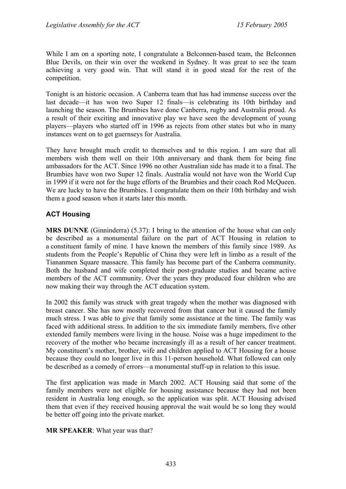While I am on a sporting note, I congratulate a Belconnen-based team, the Belconnen Blue Devils, on their win over the weekend in Sydney. It was great to see the team achieving a very good win. That will stand it in good stead for the rest of the competition.

Tonight is an historic occasion. A Canberra team that has had immense success over the last decade—it has won two Super 12 finals—is celebrating its 10th birthday and launching the season. The Brumbies have done Canberra, rugby and Australia proud. As a result of their exciting and innovative play we have seen the development of young players—players who started off in 1996 as rejects from other states but who in many instances went on to get guernseys for Australia.

They have brought much credit to themselves and to this region. I am sure that all members wish them well on their 10th anniversary and thank them for being fine ambassadors for the ACT. Since 1996 no other Australian side has made it to a final. The Brumbies have won two Super 12 finals. Australia would not have won the World Cup in 1999 if it were not for the huge efforts of the Brumbies and their coach Rod McQueen. We are lucky to have the Brumbies. I congratulate them on their 10th birthday and wish them a good season when it starts later this month.

## **ACT Housing**

**MRS DUNNE** (Ginninderra) (5.37): I bring to the attention of the house what can only be described as a monumental failure on the part of ACT Housing in relation to a constituent family of mine. I have known the members of this family since 1989. As students from the People's Republic of China they were left in limbo as a result of the Tiananmen Square massacre. This family has become part of the Canberra community. Both the husband and wife completed their post-graduate studies and became active members of the ACT community. Over the years they produced four children who are now making their way through the ACT education system.

In 2002 this family was struck with great tragedy when the mother was diagnosed with breast cancer. She has now mostly recovered from that cancer but it caused the family much stress. I was able to give that family some assistance at the time. The family was faced with additional stress. In addition to the six immediate family members, five other extended family members were living in the house. Noise was a huge impediment to the recovery of the mother who became increasingly ill as a result of her cancer treatment. My constituent's mother, brother, wife and children applied to ACT Housing for a house because they could no longer live in this 11-person household. What followed can only be described as a comedy of errors—a monumental stuff-up in relation to this issue.

The first application was made in March 2002. ACT Housing said that some of the family members were not eligible for housing assistance because they had not been resident in Australia long enough, so the application was split. ACT Housing advised them that even if they received housing approval the wait would be so long they would be better off going into the private market.

#### **MR SPEAKER**: What year was that?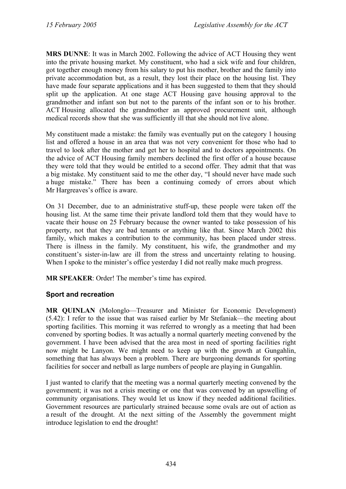**MRS DUNNE**: It was in March 2002. Following the advice of ACT Housing they went into the private housing market. My constituent, who had a sick wife and four children, got together enough money from his salary to put his mother, brother and the family into private accommodation but, as a result, they lost their place on the housing list. They have made four separate applications and it has been suggested to them that they should split up the application. At one stage ACT Housing gave housing approval to the grandmother and infant son but not to the parents of the infant son or to his brother. ACT Housing allocated the grandmother an approved procurement unit, although medical records show that she was sufficiently ill that she should not live alone.

My constituent made a mistake: the family was eventually put on the category 1 housing list and offered a house in an area that was not very convenient for those who had to travel to look after the mother and get her to hospital and to doctors appointments. On the advice of ACT Housing family members declined the first offer of a house because they were told that they would be entitled to a second offer. They admit that that was a big mistake. My constituent said to me the other day, "I should never have made such a huge mistake." There has been a continuing comedy of errors about which Mr Hargreaves's office is aware.

On 31 December, due to an administrative stuff-up, these people were taken off the housing list. At the same time their private landlord told them that they would have to vacate their house on 25 February because the owner wanted to take possession of his property, not that they are bad tenants or anything like that. Since March 2002 this family, which makes a contribution to the community, has been placed under stress. There is illness in the family. My constituent, his wife, the grandmother and my constituent's sister-in-law are ill from the stress and uncertainty relating to housing. When I spoke to the minister's office yesterday I did not really make much progress.

**MR SPEAKER**: Order! The member's time has expired.

## **Sport and recreation**

**MR QUINLAN** (Molonglo—Treasurer and Minister for Economic Development) (5.42): I refer to the issue that was raised earlier by Mr Stefaniak—the meeting about sporting facilities. This morning it was referred to wrongly as a meeting that had been convened by sporting bodies. It was actually a normal quarterly meeting convened by the government. I have been advised that the area most in need of sporting facilities right now might be Lanyon. We might need to keep up with the growth at Gungahlin, something that has always been a problem. There are burgeoning demands for sporting facilities for soccer and netball as large numbers of people are playing in Gungahlin.

I just wanted to clarify that the meeting was a normal quarterly meeting convened by the government; it was not a crisis meeting or one that was convened by an upswelling of community organisations. They would let us know if they needed additional facilities. Government resources are particularly strained because some ovals are out of action as a result of the drought. At the next sitting of the Assembly the government might introduce legislation to end the drought!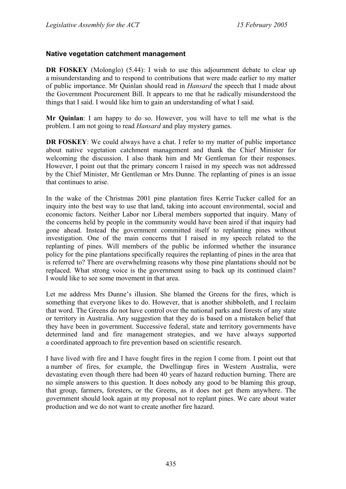## **Native vegetation catchment management**

**DR FOSKEY** (Molonglo) (5.44): I wish to use this adjournment debate to clear up a misunderstanding and to respond to contributions that were made earlier to my matter of public importance. Mr Quinlan should read in *Hansard* the speech that I made about the Government Procurement Bill. It appears to me that he radically misunderstood the things that I said. I would like him to gain an understanding of what I said.

**Mr Quinlan**: I am happy to do so. However, you will have to tell me what is the problem. I am not going to read *Hansard* and play mystery games.

**DR FOSKEY**: We could always have a chat. I refer to my matter of public importance about native vegetation catchment management and thank the Chief Minister for welcoming the discussion. I also thank him and Mr Gentleman for their responses. However, I point out that the primary concern I raised in my speech was not addressed by the Chief Minister, Mr Gentleman or Mrs Dunne. The replanting of pines is an issue that continues to arise.

In the wake of the Christmas 2001 pine plantation fires Kerrie Tucker called for an inquiry into the best way to use that land, taking into account environmental, social and economic factors. Neither Labor nor Liberal members supported that inquiry. Many of the concerns held by people in the community would have been aired if that inquiry had gone ahead. Instead the government committed itself to replanting pines without investigation. One of the main concerns that I raised in my speech related to the replanting of pines. Will members of the public be informed whether the insurance policy for the pine plantations specifically requires the replanting of pines in the area that is referred to? There are overwhelming reasons why those pine plantations should not be replaced. What strong voice is the government using to back up its continued claim? I would like to see some movement in that area.

Let me address Mrs Dunne's illusion. She blamed the Greens for the fires, which is something that everyone likes to do. However, that is another shibboleth, and I reclaim that word. The Greens do not have control over the national parks and forests of any state or territory in Australia. Any suggestion that they do is based on a mistaken belief that they have been in government. Successive federal, state and territory governments have determined land and fire management strategies, and we have always supported a coordinated approach to fire prevention based on scientific research.

I have lived with fire and I have fought fires in the region I come from. I point out that a number of fires, for example, the Dwellingup fires in Western Australia, were devastating even though there had been 40 years of hazard reduction burning. There are no simple answers to this question. It does nobody any good to be blaming this group, that group, farmers, foresters, or the Greens, as it does not get them anywhere. The government should look again at my proposal not to replant pines. We care about water production and we do not want to create another fire hazard.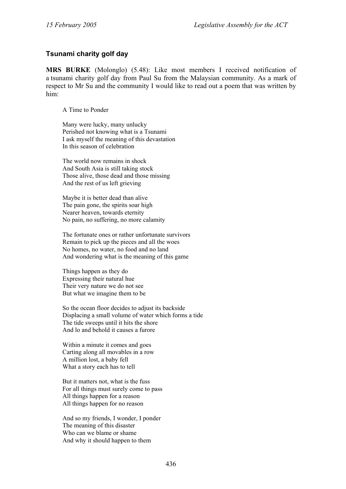## **Tsunami charity golf day**

**MRS BURKE** (Molonglo) (5.48): Like most members I received notification of a tsunami charity golf day from Paul Su from the Malaysian community. As a mark of respect to Mr Su and the community I would like to read out a poem that was written by him:

A Time to Ponder

Many were lucky, many unlucky Perished not knowing what is a Tsunami I ask myself the meaning of this devastation In this season of celebration

The world now remains in shock And South Asia is still taking stock Those alive, those dead and those missing And the rest of us left grieving

Maybe it is better dead than alive The pain gone, the spirits soar high Nearer heaven, towards eternity No pain, no suffering, no more calamity

The fortunate ones or rather unfortunate survivors Remain to pick up the pieces and all the woes No homes, no water, no food and no land And wondering what is the meaning of this game

Things happen as they do Expressing their natural hue Their very nature we do not see But what we imagine them to be

So the ocean floor decides to adjust its backside Displacing a small volume of water which forms a tide The tide sweeps until it hits the shore And lo and behold it causes a furore

Within a minute it comes and goes Carting along all movables in a row A million lost, a baby fell What a story each has to tell

But it matters not, what is the fuss For all things must surely come to pass All things happen for a reason All things happen for no reason

And so my friends, I wonder, I ponder The meaning of this disaster Who can we blame or shame And why it should happen to them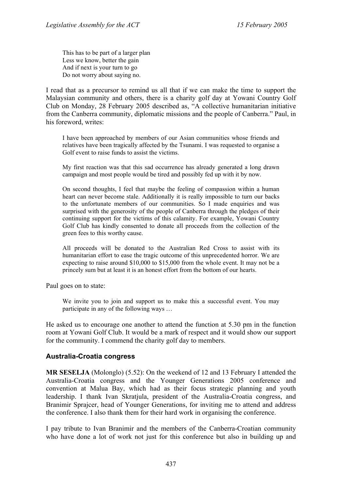This has to be part of a larger plan Less we know, better the gain And if next is your turn to go Do not worry about saying no.

I read that as a precursor to remind us all that if we can make the time to support the Malaysian community and others, there is a charity golf day at Yowani Country Golf Club on Monday, 28 February 2005 described as, "A collective humanitarian initiative from the Canberra community, diplomatic missions and the people of Canberra." Paul, in his foreword, writes:

I have been approached by members of our Asian communities whose friends and relatives have been tragically affected by the Tsunami. I was requested to organise a Golf event to raise funds to assist the victims.

My first reaction was that this sad occurrence has already generated a long drawn campaign and most people would be tired and possibly fed up with it by now.

On second thoughts, I feel that maybe the feeling of compassion within a human heart can never become stale. Additionally it is really impossible to turn our backs to the unfortunate members of our communities. So I made enquiries and was surprised with the generosity of the people of Canberra through the pledges of their continuing support for the victims of this calamity. For example, Yowani Country Golf Club has kindly consented to donate all proceeds from the collection of the green fees to this worthy cause.

All proceeds will be donated to the Australian Red Cross to assist with its humanitarian effort to ease the tragic outcome of this unprecedented horror. We are expecting to raise around \$10,000 to \$15,000 from the whole event. It may not be a princely sum but at least it is an honest effort from the bottom of our hearts.

Paul goes on to state:

We invite you to join and support us to make this a successful event. You may participate in any of the following ways …

He asked us to encourage one another to attend the function at 5.30 pm in the function room at Yowani Golf Club. It would be a mark of respect and it would show our support for the community. I commend the charity golf day to members.

#### **Australia-Croatia congress**

**MR SESELJA** (Molonglo) (5.52): On the weekend of 12 and 13 February I attended the Australia-Croatia congress and the Younger Generations 2005 conference and convention at Malua Bay, which had as their focus strategic planning and youth leadership. I thank Ivan Skratjula, president of the Australia-Croatia congress, and Branimir Sprajcer, head of Younger Generations, for inviting me to attend and address the conference. I also thank them for their hard work in organising the conference.

I pay tribute to Ivan Branimir and the members of the Canberra-Croatian community who have done a lot of work not just for this conference but also in building up and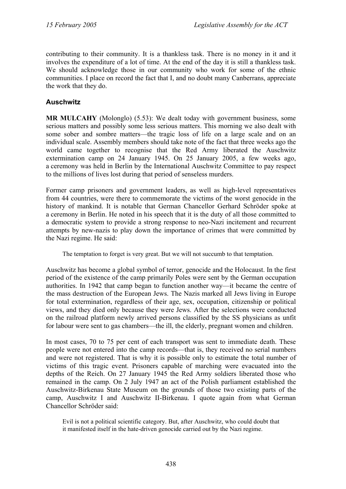contributing to their community. It is a thankless task. There is no money in it and it involves the expenditure of a lot of time. At the end of the day it is still a thankless task. We should acknowledge those in our community who work for some of the ethnic communities. I place on record the fact that I, and no doubt many Canberrans, appreciate the work that they do.

## **Auschwitz**

**MR MULCAHY** (Molonglo) (5.53): We dealt today with government business, some serious matters and possibly some less serious matters. This morning we also dealt with some sober and sombre matters—the tragic loss of life on a large scale and on an individual scale. Assembly members should take note of the fact that three weeks ago the world came together to recognise that the Red Army liberated the Auschwitz extermination camp on 24 January 1945. On 25 January 2005, a few weeks ago, a ceremony was held in Berlin by the International Auschwitz Committee to pay respect to the millions of lives lost during that period of senseless murders.

Former camp prisoners and government leaders, as well as high-level representatives from 44 countries, were there to commemorate the victims of the worst genocide in the history of mankind. It is notable that German Chancellor Gerhard Schröder spoke at a ceremony in Berlin. He noted in his speech that it is the duty of all those committed to a democratic system to provide a strong response to neo-Nazi incitement and recurrent attempts by new-nazis to play down the importance of crimes that were committed by the Nazi regime. He said:

The temptation to forget is very great. But we will not succumb to that temptation.

Auschwitz has become a global symbol of terror, genocide and the Holocaust. In the first period of the existence of the camp primarily Poles were sent by the German occupation authorities. In 1942 that camp began to function another way—it became the centre of the mass destruction of the European Jews. The Nazis marked all Jews living in Europe for total extermination, regardless of their age, sex, occupation, citizenship or political views, and they died only because they were Jews. After the selections were conducted on the railroad platform newly arrived persons classified by the SS physicians as unfit for labour were sent to gas chambers—the ill, the elderly, pregnant women and children.

In most cases, 70 to 75 per cent of each transport was sent to immediate death. These people were not entered into the camp records—that is, they received no serial numbers and were not registered. That is why it is possible only to estimate the total number of victims of this tragic event. Prisoners capable of marching were evacuated into the depths of the Reich. On 27 January 1945 the Red Army soldiers liberated those who remained in the camp. On 2 July 1947 an act of the Polish parliament established the Auschwitz-Birkenau State Museum on the grounds of those two existing parts of the camp, Auschwitz I and Auschwitz II-Birkenau. I quote again from what German Chancellor Schröder said:

Evil is not a political scientific category. But, after Auschwitz, who could doubt that it manifested itself in the hate-driven genocide carried out by the Nazi regime.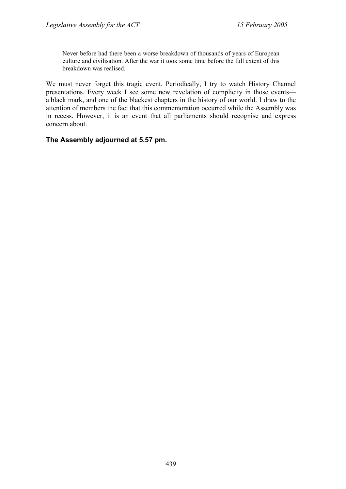Never before had there been a worse breakdown of thousands of years of European culture and civilisation. After the war it took some time before the full extent of this breakdown was realised.

We must never forget this tragic event. Periodically, I try to watch History Channel presentations. Every week I see some new revelation of complicity in those events a black mark, and one of the blackest chapters in the history of our world. I draw to the attention of members the fact that this commemoration occurred while the Assembly was in recess. However, it is an event that all parliaments should recognise and express concern about.

#### **The Assembly adjourned at 5.57 pm.**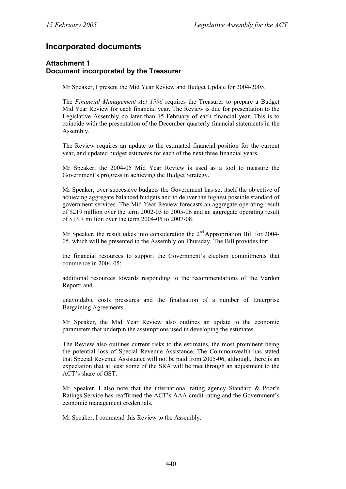# **Incorporated documents**

#### **Attachment 1 Document incorporated by the Treasurer**

Mr Speaker, I present the Mid Year Review and Budget Update for 2004-2005.

The *Financial Management Act 1996* requires the Treasurer to prepare a Budget Mid Year Review for each financial year. The Review is due for presentation to the Legislative Assembly no later than 15 February of each financial year. This is to coincide with the presentation of the December quarterly financial statements in the Assembly.

The Review requires an update to the estimated financial position for the current year, and updated budget estimates for each of the next three financial years.

Mr Speaker, the 2004-05 Mid Year Review is used as a tool to measure the Government's progress in achieving the Budget Strategy.

Mr Speaker, over successive budgets the Government has set itself the objective of achieving aggregate balanced budgets and to deliver the highest possible standard of government services. The Mid Year Review forecasts an aggregate operating result of \$219 million over the term 2002-03 to 2005-06 and an aggregate operating result of \$13.7 million over the term 2004-05 to 2007-08.

Mr Speaker, the result takes into consideration the  $2<sup>nd</sup>$  Appropriation Bill for 2004-05, which will be presented in the Assembly on Thursday. The Bill provides for:

the financial resources to support the Government's election commitments that commence in 2004-05;

additional resources towards responding to the recommendations of the Vardon Report; and

unavoidable costs pressures and the finalisation of a number of Enterprise Bargaining Agreements.

Mr Speaker, the Mid Year Review also outlines an update to the economic parameters that underpin the assumptions used in developing the estimates.

The Review also outlines current risks to the estimates, the most prominent being the potential loss of Special Revenue Assistance. The Commonwealth has stated that Special Revenue Assistance will not be paid from 2005-06, although, there is an expectation that at least some of the SRA will be met through an adjustment to the ACT's share of GST.

Mr Speaker, I also note that the international rating agency Standard & Poor's Ratings Service has reaffirmed the ACT's AAA credit rating and the Government's economic management credentials.

Mr Speaker, I commend this Review to the Assembly.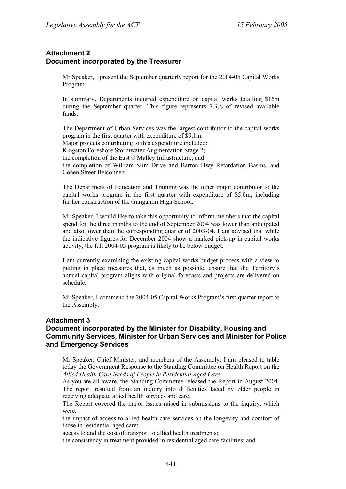### **Attachment 2 Document incorporated by the Treasurer**

Mr Speaker, I present the September quarterly report for the 2004-05 Capital Works Program.

In summary, Departments incurred expenditure on capital works totalling \$16m during the September quarter. This figure represents 7.3% of revised available funds.

The Department of Urban Services was the largest contributor to the capital works program in the first quarter with expenditure of \$9.1m. Major projects contributing to this expenditure included: Kingston Foreshore Stormwater Augmentation Stage 2; the completion of the East O'Malley Infrastructure; and the completion of William Slim Drive and Barton Hwy Retardation Basins, and Cohen Street Belconnen.

The Department of Education and Training was the other major contributor to the capital works program in the first quarter with expenditure of \$5.0m, including further construction of the Gungahlin High School.

Mr Speaker, I would like to take this opportunity to inform members that the capital spend for the three months to the end of September 2004 was lower than anticipated and also lower than the corresponding quarter of 2003-04. I am advised that while the indicative figures for December 2004 show a marked pick-up in capital works activity, the full 2004-05 program is likely to be below budget.

I am currently examining the existing capital works budget process with a view to putting in place measures that, as much as possible, ensure that the Territory's annual capital program aligns with original forecasts and projects are delivered on schedule.

Mr Speaker, I commend the 2004-05 Capital Works Program's first quarter report to the Assembly.

#### **Attachment 3**

#### **Document incorporated by the Minister for Disability, Housing and Community Services, Minister for Urban Services and Minister for Police and Emergency Services**

Mr Speaker, Chief Minister, and members of the Assembly. I am pleased to table today the Government Response to the Standing Committee on Health Report on the *Allied Health Care Needs of People in Residential Aged Care.* 

As you are all aware, the Standing Committee released the Report in August 2004. The report resulted from an inquiry into difficulties faced by older people in receiving adequate allied health services and care.

The Report covered the major issues raised in submissions to the inquiry, which were:

the impact of access to allied health care services on the longevity and comfort of those in residential aged care;

access to and the cost of transport to allied health treatments;

the consistency in treatment provided in residential aged care facilities; and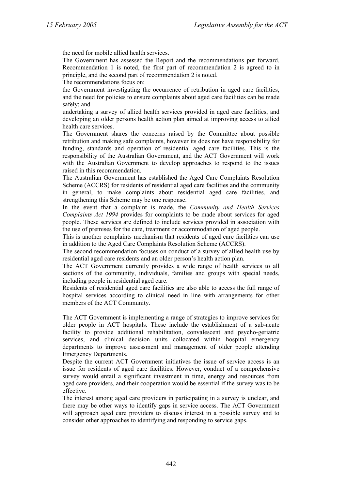the need for mobile allied health services.

The Government has assessed the Report and the recommendations put forward. Recommendation 1 is noted, the first part of recommendation 2 is agreed to in principle, and the second part of recommendation 2 is noted.

The recommendations focus on:

the Government investigating the occurrence of retribution in aged care facilities, and the need for policies to ensure complaints about aged care facilities can be made safely; and

undertaking a survey of allied health services provided in aged care facilities, and developing an older persons health action plan aimed at improving access to allied health care services.

The Government shares the concerns raised by the Committee about possible retribution and making safe complaints, however its does not have responsibility for funding, standards and operation of residential aged care facilities. This is the responsibility of the Australian Government, and the ACT Government will work with the Australian Government to develop approaches to respond to the issues raised in this recommendation.

The Australian Government has established the Aged Care Complaints Resolution Scheme (ACCRS) for residents of residential aged care facilities and the community in general, to make complaints about residential aged care facilities, and strengthening this Scheme may be one response.

In the event that a complaint is made, the *Community and Health Services Complaints Act 1994* provides for complaints to be made about services for aged people. These services are defined to include services provided in association with the use of premises for the care, treatment or accommodation of aged people.

This is another complaints mechanism that residents of aged care facilities can use in addition to the Aged Care Complaints Resolution Scheme (ACCRS).

The second recommendation focuses on conduct of a survey of allied health use by residential aged care residents and an older person's health action plan.

The ACT Government currently provides a wide range of health services to all sections of the community, individuals, families and groups with special needs, including people in residential aged care.

Residents of residential aged care facilities are also able to access the full range of hospital services according to clinical need in line with arrangements for other members of the ACT Community.

The ACT Government is implementing a range of strategies to improve services for older people in ACT hospitals. These include the establishment of a sub-acute facility to provide additional rehabilitation, convalescent and psycho-geriatric services, and clinical decision units collocated within hospital emergency departments to improve assessment and management of older people attending Emergency Departments.

Despite the current ACT Government initiatives the issue of service access is an issue for residents of aged care facilities. However, conduct of a comprehensive survey would entail a significant investment in time, energy and resources from aged care providers, and their cooperation would be essential if the survey was to be effective.

The interest among aged care providers in participating in a survey is unclear, and there may be other ways to identify gaps in service access. The ACT Government will approach aged care providers to discuss interest in a possible survey and to consider other approaches to identifying and responding to service gaps.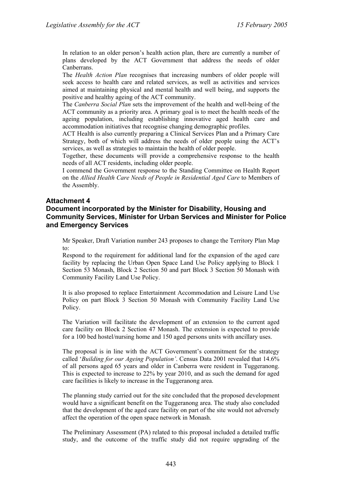In relation to an older person's health action plan, there are currently a number of plans developed by the ACT Government that address the needs of older Canberrans.

The *Health Action Plan* recognises that increasing numbers of older people will seek access to health care and related services, as well as activities and services aimed at maintaining physical and mental health and well being, and supports the positive and healthy ageing of the ACT community.

The *Canberra Social Plan* sets the improvement of the health and well-being of the ACT community as a priority area. A primary goal is to meet the health needs of the ageing population, including establishing innovative aged health care and accommodation initiatives that recognise changing demographic profiles.

ACT Health is also currently preparing a Clinical Services Plan and a Primary Care Strategy, both of which will address the needs of older people using the ACT's services, as well as strategies to maintain the health of older people.

Together, these documents will provide a comprehensive response to the health needs of all ACT residents, including older people.

I commend the Government response to the Standing Committee on Health Report on the *Allied Health Care Needs of People in Residential Aged Care* to Members of the Assembly.

#### **Attachment 4**

#### **Document incorporated by the Minister for Disability, Housing and Community Services, Minister for Urban Services and Minister for Police and Emergency Services**

Mr Speaker, Draft Variation number 243 proposes to change the Territory Plan Map to:

Respond to the requirement for additional land for the expansion of the aged care facility by replacing the Urban Open Space Land Use Policy applying to Block 1 Section 53 Monash, Block 2 Section 50 and part Block 3 Section 50 Monash with Community Facility Land Use Policy.

It is also proposed to replace Entertainment Accommodation and Leisure Land Use Policy on part Block 3 Section 50 Monash with Community Facility Land Use Policy.

The Variation will facilitate the development of an extension to the current aged care facility on Block 2 Section 47 Monash. The extension is expected to provide for a 100 bed hostel/nursing home and 150 aged persons units with ancillary uses.

The proposal is in line with the ACT Government's commitment for the strategy called '*Building for our Ageing Population'*. Census Data 2001 revealed that 14.6% of all persons aged 65 years and older in Canberra were resident in Tuggeranong. This is expected to increase to 22% by year 2010, and as such the demand for aged care facilities is likely to increase in the Tuggeranong area.

The planning study carried out for the site concluded that the proposed development would have a significant benefit on the Tuggeranong area. The study also concluded that the development of the aged care facility on part of the site would not adversely affect the operation of the open space network in Monash.

The Preliminary Assessment (PA) related to this proposal included a detailed traffic study, and the outcome of the traffic study did not require upgrading of the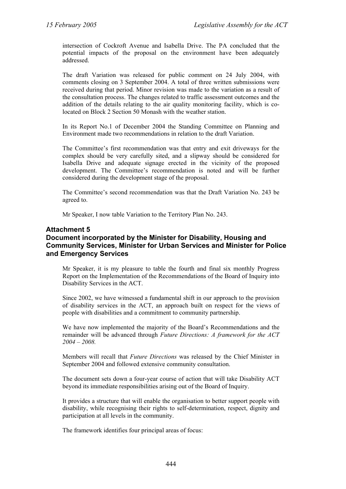intersection of Cockroft Avenue and Isabella Drive. The PA concluded that the potential impacts of the proposal on the environment have been adequately addressed.

The draft Variation was released for public comment on 24 July 2004, with comments closing on 3 September 2004. A total of three written submissions were received during that period. Minor revision was made to the variation as a result of the consultation process. The changes related to traffic assessment outcomes and the addition of the details relating to the air quality monitoring facility, which is colocated on Block 2 Section 50 Monash with the weather station.

In its Report No.1 of December 2004 the Standing Committee on Planning and Environment made two recommendations in relation to the draft Variation.

The Committee's first recommendation was that entry and exit driveways for the complex should be very carefully sited, and a slipway should be considered for Isabella Drive and adequate signage erected in the vicinity of the proposed development. The Committee's recommendation is noted and will be further considered during the development stage of the proposal.

The Committee's second recommendation was that the Draft Variation No. 243 be agreed to.

Mr Speaker, I now table Variation to the Territory Plan No. 243.

#### **Attachment 5**

#### **Document incorporated by the Minister for Disability, Housing and Community Services, Minister for Urban Services and Minister for Police and Emergency Services**

Mr Speaker, it is my pleasure to table the fourth and final six monthly Progress Report on the Implementation of the Recommendations of the Board of Inquiry into Disability Services in the ACT.

Since 2002, we have witnessed a fundamental shift in our approach to the provision of disability services in the ACT, an approach built on respect for the views of people with disabilities and a commitment to community partnership.

We have now implemented the majority of the Board's Recommendations and the remainder will be advanced through *Future Directions: A framework for the ACT 2004 – 2008.*

Members will recall that *Future Directions* was released by the Chief Minister in September 2004 and followed extensive community consultation.

The document sets down a four-year course of action that will take Disability ACT beyond its immediate responsibilities arising out of the Board of Inquiry.

It provides a structure that will enable the organisation to better support people with disability, while recognising their rights to self-determination, respect, dignity and participation at all levels in the community.

The framework identifies four principal areas of focus: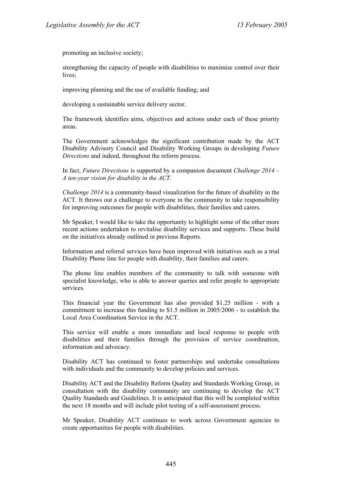promoting an inclusive society;

strengthening the capacity of people with disabilities to maximise control over their lives:

improving planning and the use of available funding; and

developing a sustainable service delivery sector.

The framework identifies aims, objectives and actions under each of these priority areas.

The Government acknowledges the significant contribution made by the ACT Disability Advisory Council and Disability Working Groups in developing *Future Directions* and indeed, throughout the reform process.

In fact, *Future Directions* is supported by a companion document *Challenge 2014 – A ten-year vision for disability in the ACT.* 

*Challenge 2014* is a community-based visualization for the future of disability in the ACT. It throws out a challenge to everyone in the community to take responsibility for improving outcomes for people with disabilities, their families and carers.

Mr Speaker, I would like to take the opportunity to highlight some of the other more recent actions undertaken to revitalise disability services and supports. These build on the initiatives already outlined in previous Reports.

Information and referral services have been improved with initiatives such as a trial Disability Phone line for people with disability, their families and carers.

The phone line enables members of the community to talk with someone with specialist knowledge, who is able to answer queries and refer people to appropriate services.

This financial year the Government has also provided \$1.25 million - with a commitment to increase this funding to \$1.5 million in 2005/2006 - to establish the Local Area Coordination Service in the ACT.

This service will enable a more immediate and local response to people with disabilities and their families through the provision of service coordination, information and advocacy.

Disability ACT has continued to foster partnerships and undertake consultations with individuals and the community to develop policies and services.

Disability ACT and the Disability Reform Quality and Standards Working Group, in consultation with the disability community are continuing to develop the ACT Quality Standards and Guidelines. It is anticipated that this will be completed within the next 18 months and will include pilot testing of a self-assessment process.

Mr Speaker, Disability ACT continues to work across Government agencies to create opportunities for people with disabilities.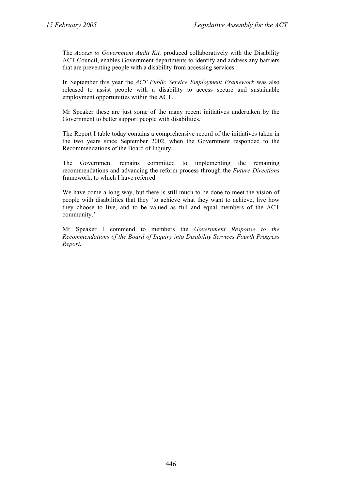The *Access to Government Audit Kit,* produced collaboratively with the Disability ACT Council, enables Government departments to identify and address any barriers that are preventing people with a disability from accessing services.

In September this year the *ACT Public Service Employment Framework* was also released to assist people with a disability to access secure and sustainable employment opportunities within the ACT.

Mr Speaker these are just some of the many recent initiatives undertaken by the Government to better support people with disabilities.

The Report I table today contains a comprehensive record of the initiatives taken in the two years since September 2002, when the Government responded to the Recommendations of the Board of Inquiry.

The Government remains committed to implementing the remaining recommendations and advancing the reform process through the *Future Directions* framework, to which I have referred.

We have come a long way, but there is still much to be done to meet the vision of people with disabilities that they 'to achieve what they want to achieve, live how they choose to live, and to be valued as full and equal members of the ACT community.'

Mr Speaker I commend to members the *Government Response to the Recommendations of the Board of Inquiry into Disability Services Fourth Progress Report.*